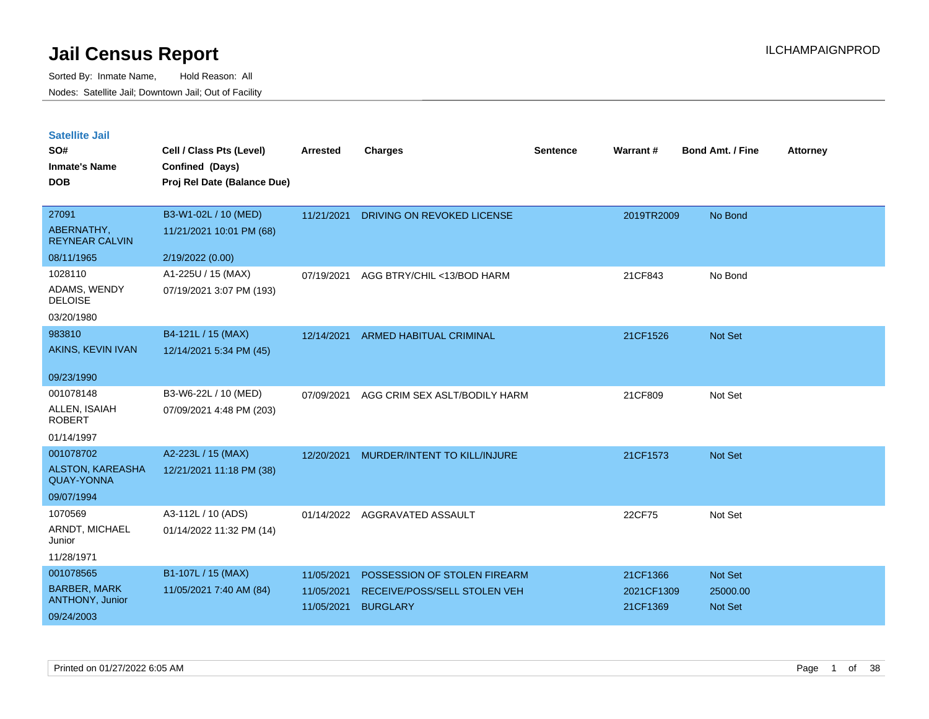| <b>Satellite Jail</b> |  |
|-----------------------|--|
|                       |  |

| SO#<br><b>Inmate's Name</b><br><b>DOB</b>                 | Cell / Class Pts (Level)<br>Confined (Days)<br>Proj Rel Date (Balance Due) | Arrested   | <b>Charges</b>                 | <b>Sentence</b> | Warrant#   | <b>Bond Amt. / Fine</b> | <b>Attorney</b> |
|-----------------------------------------------------------|----------------------------------------------------------------------------|------------|--------------------------------|-----------------|------------|-------------------------|-----------------|
| 27091<br>ABERNATHY,<br><b>REYNEAR CALVIN</b>              | B3-W1-02L / 10 (MED)<br>11/21/2021 10:01 PM (68)                           | 11/21/2021 | DRIVING ON REVOKED LICENSE     |                 | 2019TR2009 | No Bond                 |                 |
| 08/11/1965                                                | 2/19/2022 (0.00)                                                           |            |                                |                 |            |                         |                 |
| 1028110<br>ADAMS, WENDY<br><b>DELOISE</b><br>03/20/1980   | A1-225U / 15 (MAX)<br>07/19/2021 3:07 PM (193)                             | 07/19/2021 | AGG BTRY/CHIL <13/BOD HARM     |                 | 21CF843    | No Bond                 |                 |
| 983810                                                    | B4-121L / 15 (MAX)                                                         | 12/14/2021 | <b>ARMED HABITUAL CRIMINAL</b> |                 | 21CF1526   | Not Set                 |                 |
| AKINS, KEVIN IVAN                                         | 12/14/2021 5:34 PM (45)                                                    |            |                                |                 |            |                         |                 |
| 09/23/1990                                                |                                                                            |            |                                |                 |            |                         |                 |
| 001078148<br>ALLEN, ISAIAH<br><b>ROBERT</b><br>01/14/1997 | B3-W6-22L / 10 (MED)<br>07/09/2021 4:48 PM (203)                           | 07/09/2021 | AGG CRIM SEX ASLT/BODILY HARM  |                 | 21CF809    | Not Set                 |                 |
| 001078702                                                 | A2-223L / 15 (MAX)                                                         | 12/20/2021 | MURDER/INTENT TO KILL/INJURE   |                 | 21CF1573   | Not Set                 |                 |
| ALSTON, KAREASHA<br><b>QUAY-YONNA</b>                     | 12/21/2021 11:18 PM (38)                                                   |            |                                |                 |            |                         |                 |
| 09/07/1994                                                |                                                                            |            |                                |                 |            |                         |                 |
| 1070569                                                   | A3-112L / 10 (ADS)                                                         |            | 01/14/2022 AGGRAVATED ASSAULT  |                 | 22CF75     | Not Set                 |                 |
| ARNDT, MICHAEL<br>Junior                                  | 01/14/2022 11:32 PM (14)                                                   |            |                                |                 |            |                         |                 |
| 11/28/1971                                                |                                                                            |            |                                |                 |            |                         |                 |
| 001078565                                                 | B1-107L / 15 (MAX)                                                         | 11/05/2021 | POSSESSION OF STOLEN FIREARM   |                 | 21CF1366   | Not Set                 |                 |
| <b>BARBER, MARK</b><br>ANTHONY, Junior                    | 11/05/2021 7:40 AM (84)                                                    | 11/05/2021 | RECEIVE/POSS/SELL STOLEN VEH   |                 | 2021CF1309 | 25000.00                |                 |
| 09/24/2003                                                |                                                                            | 11/05/2021 | <b>BURGLARY</b>                |                 | 21CF1369   | <b>Not Set</b>          |                 |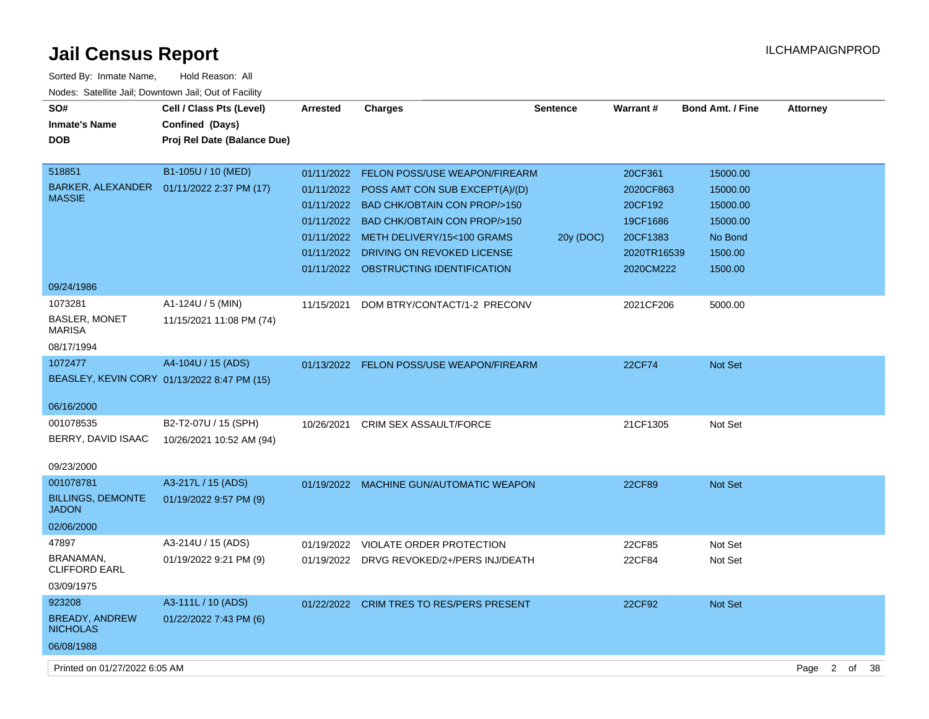| Sorted By: Inmate Name,                               | Hold Reason: All            |            |                                           |                 |               |                         |                        |          |
|-------------------------------------------------------|-----------------------------|------------|-------------------------------------------|-----------------|---------------|-------------------------|------------------------|----------|
| Nodes: Satellite Jail; Downtown Jail; Out of Facility |                             |            |                                           |                 |               |                         |                        |          |
| SO#                                                   | Cell / Class Pts (Level)    | Arrested   | <b>Charges</b>                            | <b>Sentence</b> | Warrant#      | <b>Bond Amt. / Fine</b> | <b>Attorney</b>        |          |
| <b>Inmate's Name</b>                                  | Confined (Days)             |            |                                           |                 |               |                         |                        |          |
| <b>DOB</b>                                            | Proj Rel Date (Balance Due) |            |                                           |                 |               |                         |                        |          |
|                                                       |                             |            |                                           |                 |               |                         |                        |          |
| 518851                                                | B1-105U / 10 (MED)          |            | 01/11/2022 FELON POSS/USE WEAPON/FIREARM  |                 | 20CF361       | 15000.00                |                        |          |
| BARKER, ALEXANDER  01/11/2022 2:37 PM (17)            |                             |            | 01/11/2022 POSS AMT CON SUB EXCEPT(A)/(D) |                 | 2020CF863     | 15000.00                |                        |          |
| <b>MASSIE</b>                                         |                             |            | 01/11/2022 BAD CHK/OBTAIN CON PROP/>150   |                 | 20CF192       | 15000.00                |                        |          |
|                                                       |                             |            | 01/11/2022 BAD CHK/OBTAIN CON PROP/>150   |                 | 19CF1686      | 15000.00                |                        |          |
|                                                       |                             |            | 01/11/2022 METH DELIVERY/15<100 GRAMS     | 20y (DOC)       | 20CF1383      | No Bond                 |                        |          |
|                                                       |                             |            | 01/11/2022 DRIVING ON REVOKED LICENSE     |                 | 2020TR16539   | 1500.00                 |                        |          |
|                                                       |                             |            | 01/11/2022 OBSTRUCTING IDENTIFICATION     |                 | 2020CM222     | 1500.00                 |                        |          |
| 09/24/1986                                            |                             |            |                                           |                 |               |                         |                        |          |
| 1073281                                               | A1-124U / 5 (MIN)           | 11/15/2021 | DOM BTRY/CONTACT/1-2 PRECONV              |                 | 2021CF206     | 5000.00                 |                        |          |
| <b>BASLER, MONET</b>                                  | 11/15/2021 11:08 PM (74)    |            |                                           |                 |               |                         |                        |          |
| <b>MARISA</b>                                         |                             |            |                                           |                 |               |                         |                        |          |
| 08/17/1994                                            |                             |            |                                           |                 |               |                         |                        |          |
| 1072477                                               | A4-104U / 15 (ADS)          | 01/13/2022 | <b>FELON POSS/USE WEAPON/FIREARM</b>      |                 | <b>22CF74</b> | <b>Not Set</b>          |                        |          |
| BEASLEY, KEVIN CORY 01/13/2022 8:47 PM (15)           |                             |            |                                           |                 |               |                         |                        |          |
|                                                       |                             |            |                                           |                 |               |                         |                        |          |
| 06/16/2000                                            |                             |            |                                           |                 |               |                         |                        |          |
| 001078535                                             | B2-T2-07U / 15 (SPH)        | 10/26/2021 | CRIM SEX ASSAULT/FORCE                    |                 | 21CF1305      | Not Set                 |                        |          |
| BERRY, DAVID ISAAC                                    | 10/26/2021 10:52 AM (94)    |            |                                           |                 |               |                         |                        |          |
| 09/23/2000                                            |                             |            |                                           |                 |               |                         |                        |          |
| 001078781                                             | A3-217L / 15 (ADS)          |            | 01/19/2022 MACHINE GUN/AUTOMATIC WEAPON   |                 | 22CF89        | <b>Not Set</b>          |                        |          |
| <b>BILLINGS, DEMONTE</b>                              | 01/19/2022 9:57 PM (9)      |            |                                           |                 |               |                         |                        |          |
| <b>JADON</b>                                          |                             |            |                                           |                 |               |                         |                        |          |
| 02/06/2000                                            |                             |            |                                           |                 |               |                         |                        |          |
| 47897                                                 | A3-214U / 15 (ADS)          | 01/19/2022 | VIOLATE ORDER PROTECTION                  |                 | 22CF85        | Not Set                 |                        |          |
| BRANAMAN,                                             | 01/19/2022 9:21 PM (9)      |            | 01/19/2022 DRVG REVOKED/2+/PERS INJ/DEATH |                 | 22CF84        | Not Set                 |                        |          |
| <b>CLIFFORD EARL</b>                                  |                             |            |                                           |                 |               |                         |                        |          |
| 03/09/1975                                            |                             |            |                                           |                 |               |                         |                        |          |
| 923208                                                | A3-111L / 10 (ADS)          |            | 01/22/2022 CRIM TRES TO RES/PERS PRESENT  |                 | 22CF92        | Not Set                 |                        |          |
| <b>BREADY, ANDREW</b><br><b>NICHOLAS</b>              | 01/22/2022 7:43 PM (6)      |            |                                           |                 |               |                         |                        |          |
| 06/08/1988                                            |                             |            |                                           |                 |               |                         |                        |          |
|                                                       |                             |            |                                           |                 |               |                         |                        |          |
| Printed on 01/27/2022 6:05 AM                         |                             |            |                                           |                 |               |                         | $\overline{2}$<br>Page | of<br>38 |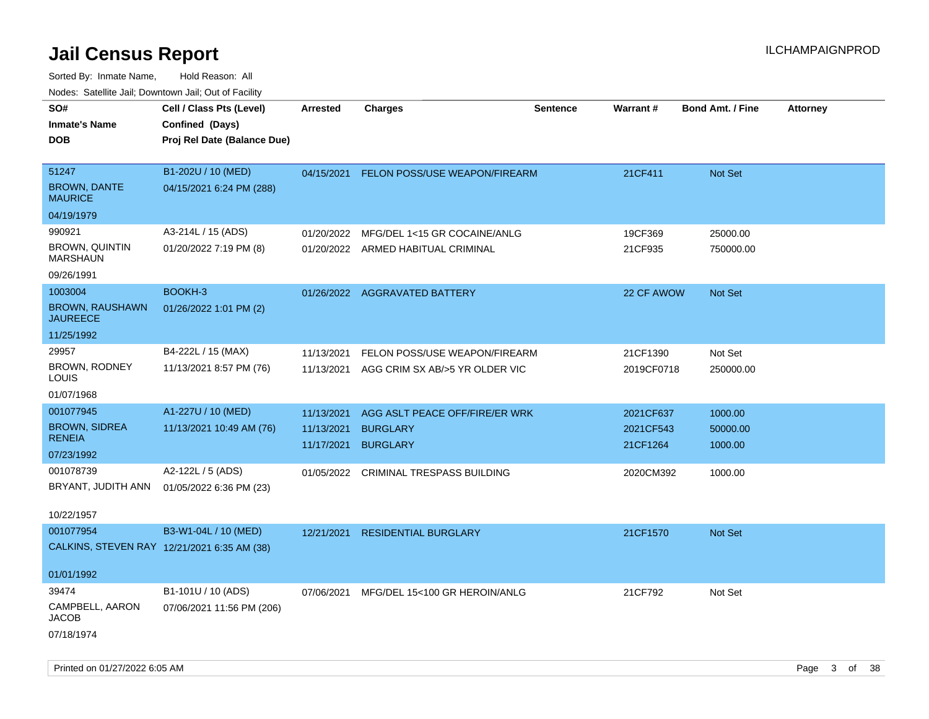| roaco. Catolino dall, Downtown dall, Out of Fability |                                                                            |                 |                                                                            |                 |                        |                         |                 |
|------------------------------------------------------|----------------------------------------------------------------------------|-----------------|----------------------------------------------------------------------------|-----------------|------------------------|-------------------------|-----------------|
| SO#<br><b>Inmate's Name</b><br><b>DOB</b>            | Cell / Class Pts (Level)<br>Confined (Days)<br>Proj Rel Date (Balance Due) | <b>Arrested</b> | <b>Charges</b>                                                             | <b>Sentence</b> | Warrant#               | <b>Bond Amt. / Fine</b> | <b>Attorney</b> |
| 51247<br><b>BROWN, DANTE</b><br><b>MAURICE</b>       | B1-202U / 10 (MED)<br>04/15/2021 6:24 PM (288)                             | 04/15/2021      | <b>FELON POSS/USE WEAPON/FIREARM</b>                                       |                 | 21CF411                | <b>Not Set</b>          |                 |
| 04/19/1979                                           |                                                                            |                 |                                                                            |                 |                        |                         |                 |
| 990921                                               | A3-214L / 15 (ADS)                                                         | 01/20/2022      | MFG/DEL 1<15 GR COCAINE/ANLG                                               |                 | 19CF369                | 25000.00                |                 |
| <b>BROWN, QUINTIN</b><br><b>MARSHAUN</b>             | 01/20/2022 7:19 PM (8)                                                     |                 | 01/20/2022 ARMED HABITUAL CRIMINAL                                         |                 | 21CF935                | 750000.00               |                 |
| 09/26/1991                                           |                                                                            |                 |                                                                            |                 |                        |                         |                 |
| 1003004                                              | <b>BOOKH-3</b>                                                             |                 | 01/26/2022 AGGRAVATED BATTERY                                              |                 | 22 CF AWOW             | <b>Not Set</b>          |                 |
| <b>BROWN, RAUSHAWN</b><br><b>JAUREECE</b>            | 01/26/2022 1:01 PM (2)                                                     |                 |                                                                            |                 |                        |                         |                 |
| 11/25/1992                                           |                                                                            |                 |                                                                            |                 |                        |                         |                 |
| 29957<br>BROWN, RODNEY<br>LOUIS                      | B4-222L / 15 (MAX)<br>11/13/2021 8:57 PM (76)                              | 11/13/2021      | FELON POSS/USE WEAPON/FIREARM<br>11/13/2021 AGG CRIM SX AB/>5 YR OLDER VIC |                 | 21CF1390<br>2019CF0718 | Not Set<br>250000.00    |                 |
| 01/07/1968                                           |                                                                            |                 |                                                                            |                 |                        |                         |                 |
| 001077945                                            | A1-227U / 10 (MED)                                                         | 11/13/2021      | AGG ASLT PEACE OFF/FIRE/ER WRK                                             |                 | 2021CF637              | 1000.00                 |                 |
| <b>BROWN, SIDREA</b>                                 | 11/13/2021 10:49 AM (76)                                                   | 11/13/2021      | <b>BURGLARY</b>                                                            |                 | 2021CF543              | 50000.00                |                 |
| <b>RENEIA</b>                                        |                                                                            | 11/17/2021      | <b>BURGLARY</b>                                                            |                 | 21CF1264               | 1000.00                 |                 |
| 07/23/1992                                           |                                                                            |                 |                                                                            |                 |                        |                         |                 |
| 001078739                                            | A2-122L / 5 (ADS)                                                          |                 | 01/05/2022 CRIMINAL TRESPASS BUILDING                                      |                 | 2020CM392              | 1000.00                 |                 |
| BRYANT, JUDITH ANN                                   | 01/05/2022 6:36 PM (23)                                                    |                 |                                                                            |                 |                        |                         |                 |
| 10/22/1957                                           |                                                                            |                 |                                                                            |                 |                        |                         |                 |
| 001077954                                            | B3-W1-04L / 10 (MED)                                                       | 12/21/2021      | <b>RESIDENTIAL BURGLARY</b>                                                |                 | 21CF1570               | Not Set                 |                 |
|                                                      | CALKINS, STEVEN RAY 12/21/2021 6:35 AM (38)                                |                 |                                                                            |                 |                        |                         |                 |
| 01/01/1992                                           |                                                                            |                 |                                                                            |                 |                        |                         |                 |
| 39474                                                | B1-101U / 10 (ADS)                                                         | 07/06/2021      | MFG/DEL 15<100 GR HEROIN/ANLG                                              |                 | 21CF792                | Not Set                 |                 |
| CAMPBELL, AARON<br>JACOB                             | 07/06/2021 11:56 PM (206)                                                  |                 |                                                                            |                 |                        |                         |                 |
| 07/18/1974                                           |                                                                            |                 |                                                                            |                 |                        |                         |                 |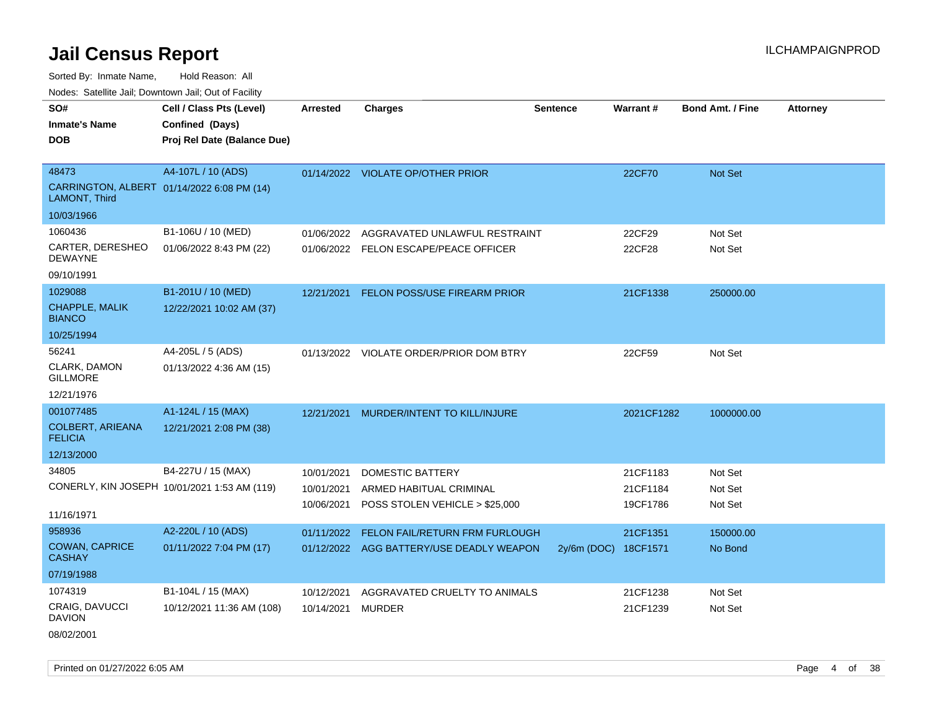Sorted By: Inmate Name, Hold Reason: All

Nodes: Satellite Jail; Downtown Jail; Out of Facility

| SO#<br><b>Inmate's Name</b><br><b>DOB</b>                                 | Cell / Class Pts (Level)<br>Confined (Days)<br>Proj Rel Date (Balance Due) | Arrested                               | <b>Charges</b>                                                                       | <b>Sentence</b>      | Warrant#                         | <b>Bond Amt. / Fine</b>       | <b>Attorney</b> |
|---------------------------------------------------------------------------|----------------------------------------------------------------------------|----------------------------------------|--------------------------------------------------------------------------------------|----------------------|----------------------------------|-------------------------------|-----------------|
| 48473<br>CARRINGTON, ALBERT 01/14/2022 6:08 PM (14)<br>LAMONT, Third      | A4-107L / 10 (ADS)                                                         |                                        | 01/14/2022 VIOLATE OP/OTHER PRIOR                                                    |                      | 22CF70                           | Not Set                       |                 |
| 10/03/1966<br>1060436<br>CARTER, DERESHEO<br><b>DEWAYNE</b><br>09/10/1991 | B1-106U / 10 (MED)<br>01/06/2022 8:43 PM (22)                              | 01/06/2022                             | AGGRAVATED UNLAWFUL RESTRAINT<br>01/06/2022 FELON ESCAPE/PEACE OFFICER               |                      | 22CF29<br>22CF28                 | Not Set<br>Not Set            |                 |
| 1029088<br><b>CHAPPLE, MALIK</b><br><b>BIANCO</b><br>10/25/1994           | B1-201U / 10 (MED)<br>12/22/2021 10:02 AM (37)                             | 12/21/2021                             | <b>FELON POSS/USE FIREARM PRIOR</b>                                                  |                      | 21CF1338                         | 250000.00                     |                 |
| 56241<br>CLARK, DAMON<br><b>GILLMORE</b><br>12/21/1976                    | A4-205L / 5 (ADS)<br>01/13/2022 4:36 AM (15)                               |                                        | 01/13/2022 VIOLATE ORDER/PRIOR DOM BTRY                                              |                      | 22CF59                           | Not Set                       |                 |
| 001077485<br><b>COLBERT, ARIEANA</b><br><b>FELICIA</b><br>12/13/2000      | A1-124L / 15 (MAX)<br>12/21/2021 2:08 PM (38)                              | 12/21/2021                             | MURDER/INTENT TO KILL/INJURE                                                         |                      | 2021CF1282                       | 1000000.00                    |                 |
| 34805<br>11/16/1971                                                       | B4-227U / 15 (MAX)<br>CONERLY, KIN JOSEPH 10/01/2021 1:53 AM (119)         | 10/01/2021<br>10/01/2021<br>10/06/2021 | <b>DOMESTIC BATTERY</b><br>ARMED HABITUAL CRIMINAL<br>POSS STOLEN VEHICLE > \$25,000 |                      | 21CF1183<br>21CF1184<br>19CF1786 | Not Set<br>Not Set<br>Not Set |                 |
| 958936<br><b>COWAN, CAPRICE</b><br><b>CASHAY</b><br>07/19/1988            | A2-220L / 10 (ADS)<br>01/11/2022 7:04 PM (17)                              | 01/11/2022                             | FELON FAIL/RETURN FRM FURLOUGH<br>01/12/2022 AGG BATTERY/USE DEADLY WEAPON           | 2y/6m (DOC) 18CF1571 | 21CF1351                         | 150000.00<br>No Bond          |                 |
| 1074319<br>CRAIG, DAVUCCI<br><b>DAVION</b>                                | B1-104L / 15 (MAX)<br>10/12/2021 11:36 AM (108)                            | 10/12/2021<br>10/14/2021               | AGGRAVATED CRUELTY TO ANIMALS<br><b>MURDER</b>                                       |                      | 21CF1238<br>21CF1239             | Not Set<br>Not Set            |                 |

08/02/2001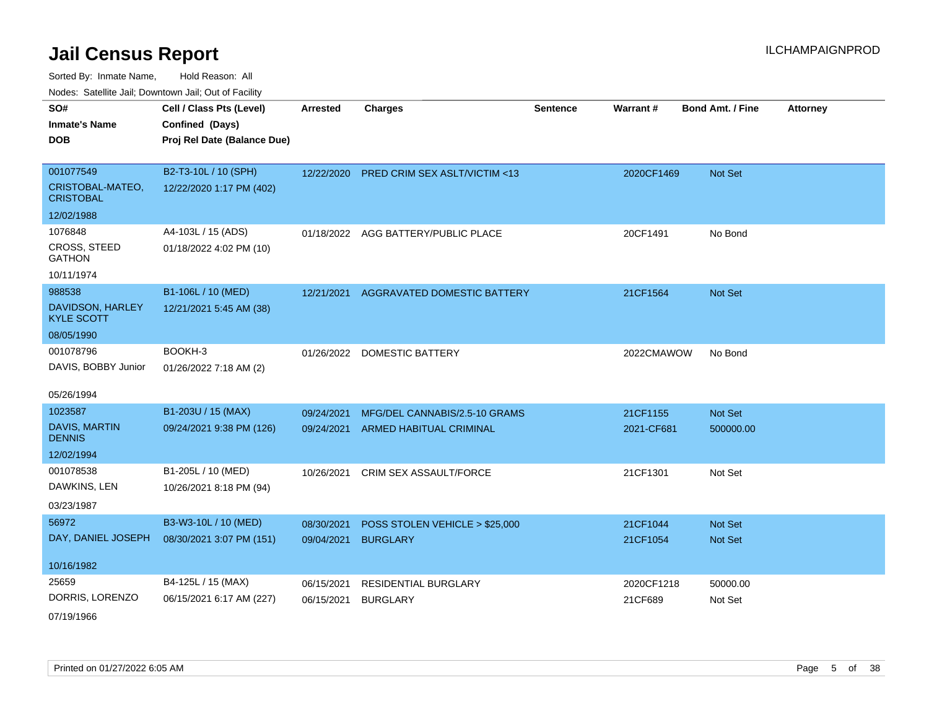Sorted By: Inmate Name, Hold Reason: All Nodes: Satellite Jail; Downtown Jail; Out of Facility

| SO#                                   | Cell / Class Pts (Level)    | <b>Arrested</b> | <b>Charges</b>                      | <b>Sentence</b> | Warrant#   | <b>Bond Amt. / Fine</b> | <b>Attorney</b> |
|---------------------------------------|-----------------------------|-----------------|-------------------------------------|-----------------|------------|-------------------------|-----------------|
| <b>Inmate's Name</b>                  | Confined (Days)             |                 |                                     |                 |            |                         |                 |
| DOB                                   | Proj Rel Date (Balance Due) |                 |                                     |                 |            |                         |                 |
|                                       |                             |                 |                                     |                 |            |                         |                 |
| 001077549                             | B2-T3-10L / 10 (SPH)        | 12/22/2020      | PRED CRIM SEX ASLT/VICTIM <13       |                 | 2020CF1469 | Not Set                 |                 |
| CRISTOBAL-MATEO,<br><b>CRISTOBAL</b>  | 12/22/2020 1:17 PM (402)    |                 |                                     |                 |            |                         |                 |
| 12/02/1988                            |                             |                 |                                     |                 |            |                         |                 |
| 1076848                               | A4-103L / 15 (ADS)          |                 | 01/18/2022 AGG BATTERY/PUBLIC PLACE |                 | 20CF1491   | No Bond                 |                 |
| <b>CROSS, STEED</b><br><b>GATHON</b>  | 01/18/2022 4:02 PM (10)     |                 |                                     |                 |            |                         |                 |
| 10/11/1974                            |                             |                 |                                     |                 |            |                         |                 |
| 988538                                | B1-106L / 10 (MED)          | 12/21/2021      | AGGRAVATED DOMESTIC BATTERY         |                 | 21CF1564   | <b>Not Set</b>          |                 |
| DAVIDSON, HARLEY<br><b>KYLE SCOTT</b> | 12/21/2021 5:45 AM (38)     |                 |                                     |                 |            |                         |                 |
| 08/05/1990                            |                             |                 |                                     |                 |            |                         |                 |
| 001078796                             | BOOKH-3                     |                 | 01/26/2022 DOMESTIC BATTERY         |                 | 2022CMAWOW | No Bond                 |                 |
| DAVIS, BOBBY Junior                   | 01/26/2022 7:18 AM (2)      |                 |                                     |                 |            |                         |                 |
|                                       |                             |                 |                                     |                 |            |                         |                 |
| 05/26/1994                            |                             |                 |                                     |                 |            |                         |                 |
| 1023587                               | B1-203U / 15 (MAX)          | 09/24/2021      | MFG/DEL CANNABIS/2.5-10 GRAMS       |                 | 21CF1155   | Not Set                 |                 |
| <b>DAVIS, MARTIN</b><br><b>DENNIS</b> | 09/24/2021 9:38 PM (126)    | 09/24/2021      | <b>ARMED HABITUAL CRIMINAL</b>      |                 | 2021-CF681 | 500000.00               |                 |
| 12/02/1994                            |                             |                 |                                     |                 |            |                         |                 |
| 001078538                             | B1-205L / 10 (MED)          | 10/26/2021      | CRIM SEX ASSAULT/FORCE              |                 | 21CF1301   | Not Set                 |                 |
| DAWKINS, LEN                          | 10/26/2021 8:18 PM (94)     |                 |                                     |                 |            |                         |                 |
| 03/23/1987                            |                             |                 |                                     |                 |            |                         |                 |
| 56972                                 | B3-W3-10L / 10 (MED)        | 08/30/2021      | POSS STOLEN VEHICLE > \$25,000      |                 | 21CF1044   | <b>Not Set</b>          |                 |
| DAY, DANIEL JOSEPH                    | 08/30/2021 3:07 PM (151)    | 09/04/2021      | <b>BURGLARY</b>                     |                 | 21CF1054   | <b>Not Set</b>          |                 |
|                                       |                             |                 |                                     |                 |            |                         |                 |
| 10/16/1982                            |                             |                 |                                     |                 |            |                         |                 |
| 25659                                 | B4-125L / 15 (MAX)          | 06/15/2021      | RESIDENTIAL BURGLARY                |                 | 2020CF1218 | 50000.00                |                 |
| DORRIS, LORENZO                       | 06/15/2021 6:17 AM (227)    | 06/15/2021      | <b>BURGLARY</b>                     |                 | 21CF689    | Not Set                 |                 |
|                                       |                             |                 |                                     |                 |            |                         |                 |

07/19/1966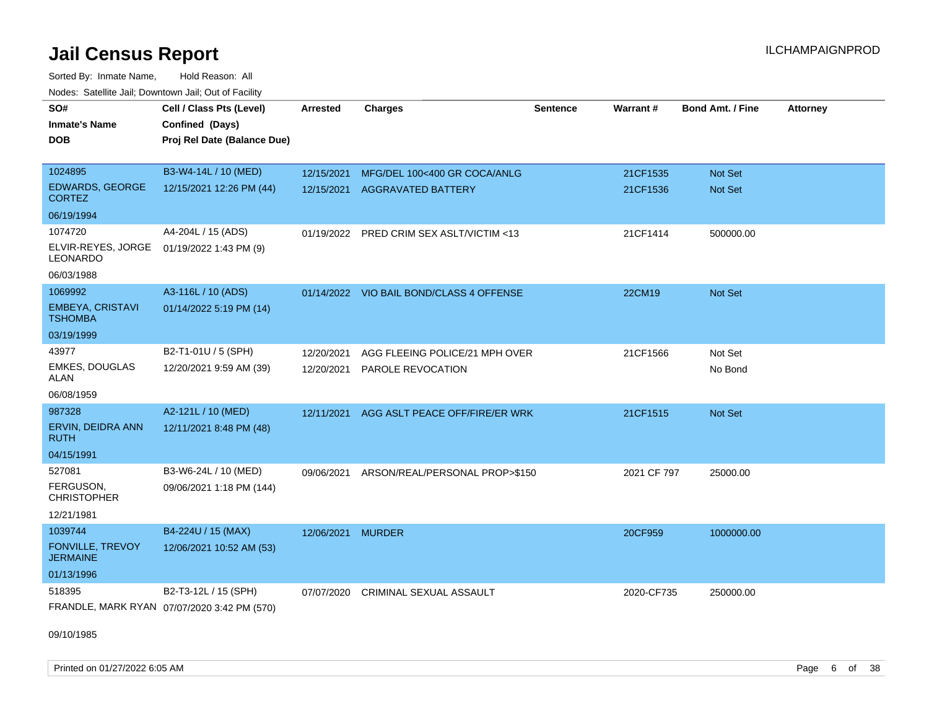Sorted By: Inmate Name, Hold Reason: All Nodes: Satellite Jail; Downtown Jail; Out of Facility

| SO#                                        | Cell / Class Pts (Level)                       | <b>Arrested</b> | <b>Charges</b>                           | <b>Sentence</b> | Warrant#    | <b>Bond Amt. / Fine</b> | <b>Attorney</b> |
|--------------------------------------------|------------------------------------------------|-----------------|------------------------------------------|-----------------|-------------|-------------------------|-----------------|
| <b>Inmate's Name</b><br><b>DOB</b>         | Confined (Days)<br>Proj Rel Date (Balance Due) |                 |                                          |                 |             |                         |                 |
|                                            |                                                |                 |                                          |                 |             |                         |                 |
| 1024895                                    | B3-W4-14L / 10 (MED)                           | 12/15/2021      | MFG/DEL 100<400 GR COCA/ANLG             |                 | 21CF1535    | Not Set                 |                 |
| <b>EDWARDS, GEORGE</b><br><b>CORTEZ</b>    | 12/15/2021 12:26 PM (44)                       | 12/15/2021      | <b>AGGRAVATED BATTERY</b>                |                 | 21CF1536    | Not Set                 |                 |
| 06/19/1994                                 |                                                |                 |                                          |                 |             |                         |                 |
| 1074720                                    | A4-204L / 15 (ADS)                             |                 | 01/19/2022 PRED CRIM SEX ASLT/VICTIM <13 |                 | 21CF1414    | 500000.00               |                 |
| ELVIR-REYES, JORGE<br>LEONARDO             | 01/19/2022 1:43 PM (9)                         |                 |                                          |                 |             |                         |                 |
| 06/03/1988                                 |                                                |                 |                                          |                 |             |                         |                 |
| 1069992                                    | A3-116L / 10 (ADS)                             |                 | 01/14/2022 VIO BAIL BOND/CLASS 4 OFFENSE |                 | 22CM19      | Not Set                 |                 |
| <b>EMBEYA, CRISTAVI</b><br><b>TSHOMBA</b>  | 01/14/2022 5:19 PM (14)                        |                 |                                          |                 |             |                         |                 |
| 03/19/1999                                 |                                                |                 |                                          |                 |             |                         |                 |
| 43977                                      | B2-T1-01U / 5 (SPH)                            | 12/20/2021      | AGG FLEEING POLICE/21 MPH OVER           |                 | 21CF1566    | Not Set                 |                 |
| <b>EMKES, DOUGLAS</b><br><b>ALAN</b>       | 12/20/2021 9:59 AM (39)                        | 12/20/2021      | PAROLE REVOCATION                        |                 |             | No Bond                 |                 |
| 06/08/1959                                 |                                                |                 |                                          |                 |             |                         |                 |
| 987328                                     | A2-121L / 10 (MED)                             | 12/11/2021      | AGG ASLT PEACE OFF/FIRE/ER WRK           |                 | 21CF1515    | <b>Not Set</b>          |                 |
| ERVIN, DEIDRA ANN<br>RUTH                  | 12/11/2021 8:48 PM (48)                        |                 |                                          |                 |             |                         |                 |
| 04/15/1991                                 |                                                |                 |                                          |                 |             |                         |                 |
| 527081                                     | B3-W6-24L / 10 (MED)                           | 09/06/2021      | ARSON/REAL/PERSONAL PROP>\$150           |                 | 2021 CF 797 | 25000.00                |                 |
| FERGUSON,<br><b>CHRISTOPHER</b>            | 09/06/2021 1:18 PM (144)                       |                 |                                          |                 |             |                         |                 |
| 12/21/1981                                 |                                                |                 |                                          |                 |             |                         |                 |
| 1039744                                    | B4-224U / 15 (MAX)                             | 12/06/2021      | <b>MURDER</b>                            |                 | 20CF959     | 1000000.00              |                 |
| <b>FONVILLE, TREVOY</b><br><b>JERMAINE</b> | 12/06/2021 10:52 AM (53)                       |                 |                                          |                 |             |                         |                 |
| 01/13/1996                                 |                                                |                 |                                          |                 |             |                         |                 |
| 518395                                     | B2-T3-12L / 15 (SPH)                           | 07/07/2020      | <b>CRIMINAL SEXUAL ASSAULT</b>           |                 | 2020-CF735  | 250000.00               |                 |
|                                            | FRANDLE, MARK RYAN 07/07/2020 3:42 PM (570)    |                 |                                          |                 |             |                         |                 |

09/10/1985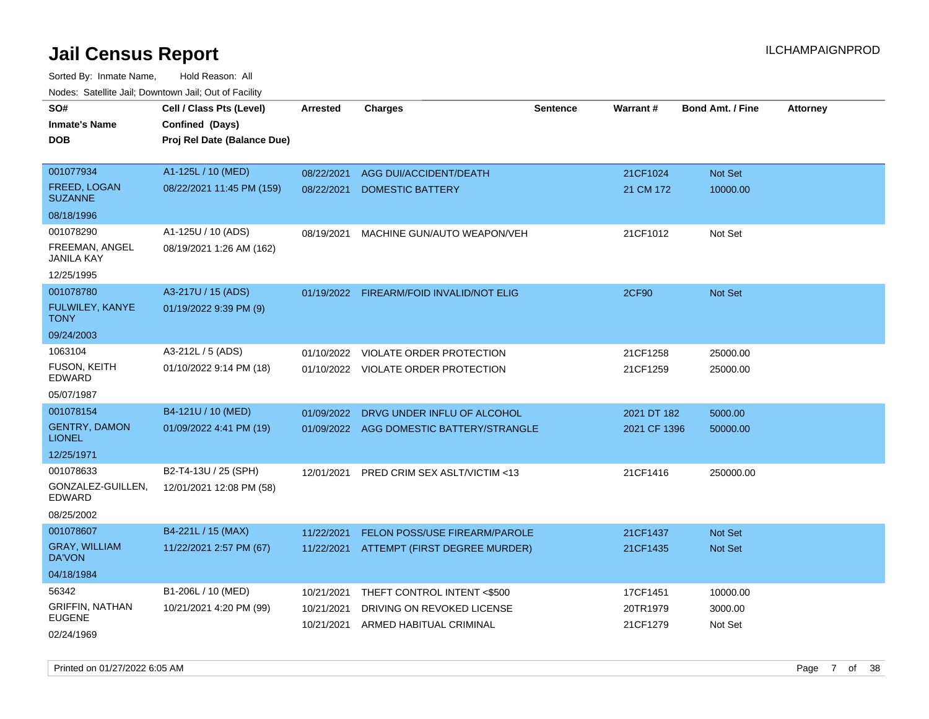| SO#<br><b>Inmate's Name</b><br><b>DOB</b>                        | Cell / Class Pts (Level)<br>Confined (Days)<br>Proj Rel Date (Balance Due) | <b>Arrested</b>                        | <b>Charges</b>                                                                       | <b>Sentence</b> | Warrant#                         | <b>Bond Amt. / Fine</b>        | <b>Attorney</b> |
|------------------------------------------------------------------|----------------------------------------------------------------------------|----------------------------------------|--------------------------------------------------------------------------------------|-----------------|----------------------------------|--------------------------------|-----------------|
| 001077934<br>FREED, LOGAN<br><b>SUZANNE</b>                      | A1-125L / 10 (MED)<br>08/22/2021 11:45 PM (159)                            | 08/22/2021<br>08/22/2021               | AGG DUI/ACCIDENT/DEATH<br><b>DOMESTIC BATTERY</b>                                    |                 | 21CF1024<br>21 CM 172            | Not Set<br>10000.00            |                 |
| 08/18/1996                                                       |                                                                            |                                        |                                                                                      |                 |                                  |                                |                 |
| 001078290<br>FREEMAN, ANGEL<br><b>JANILA KAY</b><br>12/25/1995   | A1-125U / 10 (ADS)<br>08/19/2021 1:26 AM (162)                             | 08/19/2021                             | MACHINE GUN/AUTO WEAPON/VEH                                                          |                 | 21CF1012                         | Not Set                        |                 |
| 001078780<br>FULWILEY, KANYE<br><b>TONY</b>                      | A3-217U / 15 (ADS)<br>01/19/2022 9:39 PM (9)                               |                                        | 01/19/2022 FIREARM/FOID INVALID/NOT ELIG                                             |                 | <b>2CF90</b>                     | Not Set                        |                 |
| 09/24/2003                                                       |                                                                            |                                        |                                                                                      |                 |                                  |                                |                 |
| 1063104<br><b>FUSON, KEITH</b><br>EDWARD                         | A3-212L / 5 (ADS)<br>01/10/2022 9:14 PM (18)                               | 01/10/2022                             | VIOLATE ORDER PROTECTION<br>01/10/2022 VIOLATE ORDER PROTECTION                      |                 | 21CF1258<br>21CF1259             | 25000.00<br>25000.00           |                 |
| 05/07/1987                                                       |                                                                            |                                        |                                                                                      |                 |                                  |                                |                 |
| 001078154<br><b>GENTRY, DAMON</b><br><b>LIONEL</b><br>12/25/1971 | B4-121U / 10 (MED)<br>01/09/2022 4:41 PM (19)                              | 01/09/2022                             | DRVG UNDER INFLU OF ALCOHOL<br>01/09/2022 AGG DOMESTIC BATTERY/STRANGLE              |                 | 2021 DT 182<br>2021 CF 1396      | 5000.00<br>50000.00            |                 |
| 001078633<br>GONZALEZ-GUILLEN,<br><b>EDWARD</b><br>08/25/2002    | B2-T4-13U / 25 (SPH)<br>12/01/2021 12:08 PM (58)                           | 12/01/2021                             | <b>PRED CRIM SEX ASLT/VICTIM &lt;13</b>                                              |                 | 21CF1416                         | 250000.00                      |                 |
| 001078607<br><b>GRAY, WILLIAM</b><br>DA'VON                      | B4-221L / 15 (MAX)<br>11/22/2021 2:57 PM (67)                              | 11/22/2021                             | FELON POSS/USE FIREARM/PAROLE<br>11/22/2021 ATTEMPT (FIRST DEGREE MURDER)            |                 | 21CF1437<br>21CF1435             | Not Set<br><b>Not Set</b>      |                 |
| 04/18/1984                                                       |                                                                            |                                        |                                                                                      |                 |                                  |                                |                 |
| 56342<br><b>GRIFFIN, NATHAN</b><br><b>EUGENE</b><br>02/24/1969   | B1-206L / 10 (MED)<br>10/21/2021 4:20 PM (99)                              | 10/21/2021<br>10/21/2021<br>10/21/2021 | THEFT CONTROL INTENT <\$500<br>DRIVING ON REVOKED LICENSE<br>ARMED HABITUAL CRIMINAL |                 | 17CF1451<br>20TR1979<br>21CF1279 | 10000.00<br>3000.00<br>Not Set |                 |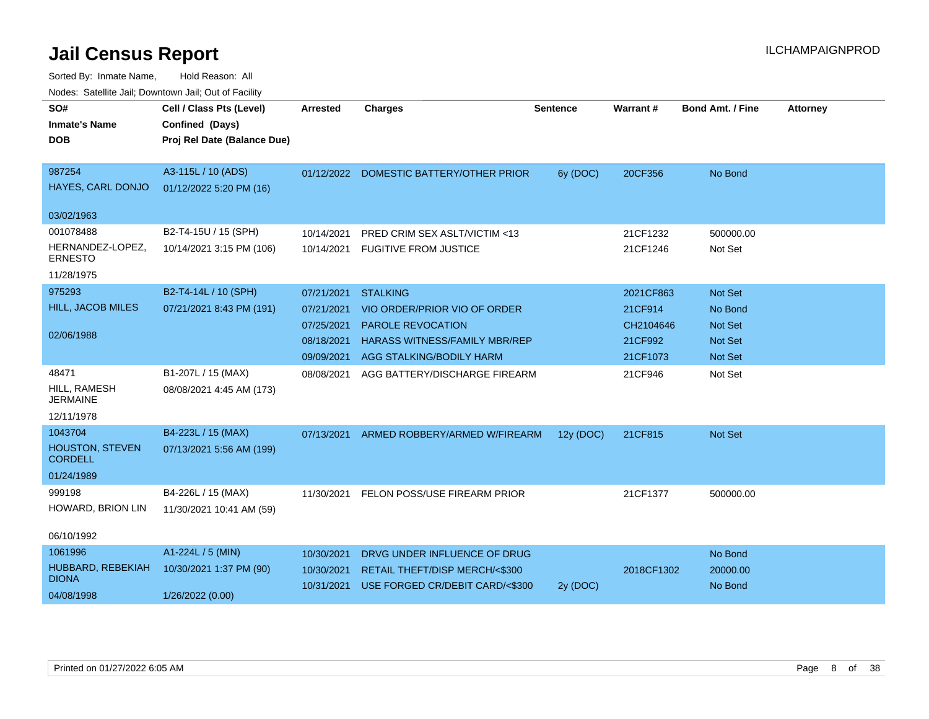| roucs. Oatchite sail, Downtown sail, Out of Facility |                                             |                 |                                         |                 |            |                         |                 |  |  |
|------------------------------------------------------|---------------------------------------------|-----------------|-----------------------------------------|-----------------|------------|-------------------------|-----------------|--|--|
| SO#<br><b>Inmate's Name</b>                          | Cell / Class Pts (Level)<br>Confined (Days) | <b>Arrested</b> | <b>Charges</b>                          | <b>Sentence</b> | Warrant#   | <b>Bond Amt. / Fine</b> | <b>Attorney</b> |  |  |
| <b>DOB</b>                                           | Proj Rel Date (Balance Due)                 |                 |                                         |                 |            |                         |                 |  |  |
| 987254                                               | A3-115L / 10 (ADS)                          |                 | 01/12/2022 DOMESTIC BATTERY/OTHER PRIOR | 6y (DOC)        | 20CF356    | No Bond                 |                 |  |  |
| HAYES, CARL DONJO                                    | 01/12/2022 5:20 PM (16)                     |                 |                                         |                 |            |                         |                 |  |  |
| 03/02/1963                                           |                                             |                 |                                         |                 |            |                         |                 |  |  |
| 001078488                                            | B2-T4-15U / 15 (SPH)                        | 10/14/2021      | PRED CRIM SEX ASLT/VICTIM <13           |                 | 21CF1232   | 500000.00               |                 |  |  |
| HERNANDEZ-LOPEZ,<br><b>ERNESTO</b>                   | 10/14/2021 3:15 PM (106)                    | 10/14/2021      | <b>FUGITIVE FROM JUSTICE</b>            |                 | 21CF1246   | Not Set                 |                 |  |  |
| 11/28/1975                                           |                                             |                 |                                         |                 |            |                         |                 |  |  |
| 975293                                               | B2-T4-14L / 10 (SPH)                        | 07/21/2021      | <b>STALKING</b>                         |                 | 2021CF863  | Not Set                 |                 |  |  |
| <b>HILL, JACOB MILES</b>                             | 07/21/2021 8:43 PM (191)                    | 07/21/2021      | VIO ORDER/PRIOR VIO OF ORDER            |                 | 21CF914    | No Bond                 |                 |  |  |
|                                                      |                                             | 07/25/2021      | <b>PAROLE REVOCATION</b>                |                 | CH2104646  | Not Set                 |                 |  |  |
| 02/06/1988                                           |                                             | 08/18/2021      | <b>HARASS WITNESS/FAMILY MBR/REP</b>    |                 | 21CF992    | <b>Not Set</b>          |                 |  |  |
|                                                      |                                             | 09/09/2021      | AGG STALKING/BODILY HARM                |                 | 21CF1073   | <b>Not Set</b>          |                 |  |  |
| 48471                                                | B1-207L / 15 (MAX)                          | 08/08/2021      | AGG BATTERY/DISCHARGE FIREARM           |                 | 21CF946    | Not Set                 |                 |  |  |
| HILL, RAMESH<br><b>JERMAINE</b>                      | 08/08/2021 4:45 AM (173)                    |                 |                                         |                 |            |                         |                 |  |  |
| 12/11/1978                                           |                                             |                 |                                         |                 |            |                         |                 |  |  |
| 1043704                                              | B4-223L / 15 (MAX)                          | 07/13/2021      | ARMED ROBBERY/ARMED W/FIREARM           | 12y (DOC)       | 21CF815    | Not Set                 |                 |  |  |
| <b>HOUSTON, STEVEN</b><br><b>CORDELL</b>             | 07/13/2021 5:56 AM (199)                    |                 |                                         |                 |            |                         |                 |  |  |
| 01/24/1989                                           |                                             |                 |                                         |                 |            |                         |                 |  |  |
| 999198                                               | B4-226L / 15 (MAX)                          | 11/30/2021      | FELON POSS/USE FIREARM PRIOR            |                 | 21CF1377   | 500000.00               |                 |  |  |
| HOWARD, BRION LIN                                    | 11/30/2021 10:41 AM (59)                    |                 |                                         |                 |            |                         |                 |  |  |
| 06/10/1992                                           |                                             |                 |                                         |                 |            |                         |                 |  |  |
| 1061996                                              | A1-224L / 5 (MIN)                           | 10/30/2021      | DRVG UNDER INFLUENCE OF DRUG            |                 |            | No Bond                 |                 |  |  |
| HUBBARD, REBEKIAH<br><b>DIONA</b>                    | 10/30/2021 1:37 PM (90)                     | 10/30/2021      | RETAIL THEFT/DISP MERCH/<\$300          |                 | 2018CF1302 | 20000.00                |                 |  |  |
| 04/08/1998                                           | 1/26/2022 (0.00)                            | 10/31/2021      | USE FORGED CR/DEBIT CARD/<\$300         | 2y (DOC)        |            | No Bond                 |                 |  |  |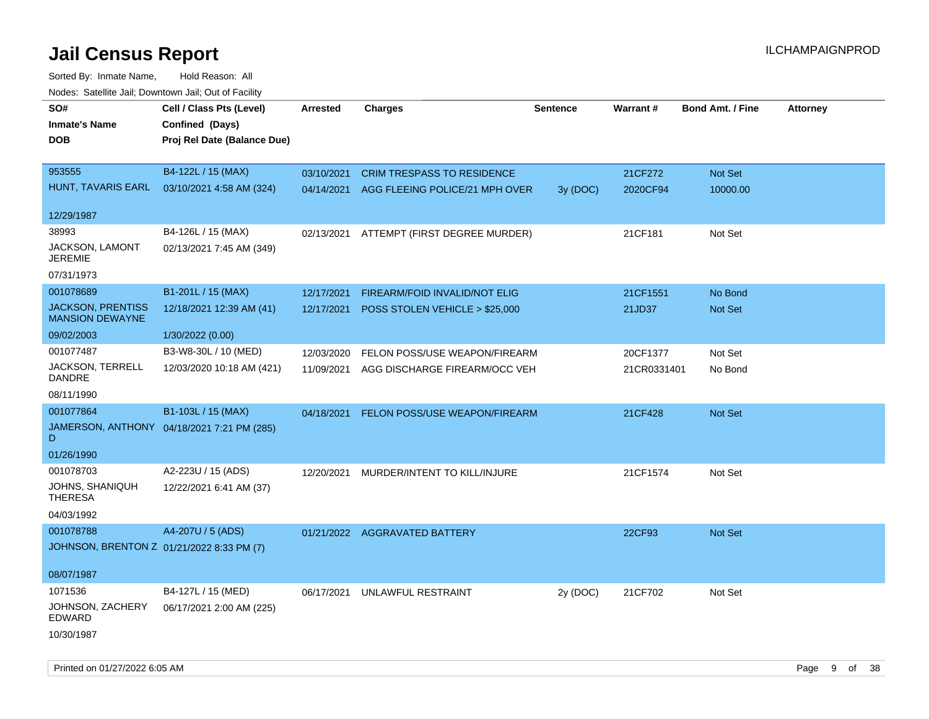| rougs. Calcing Jan, Downtown Jan, Out of Facility |                                            |                 |                                           |                 |             |                         |                 |
|---------------------------------------------------|--------------------------------------------|-----------------|-------------------------------------------|-----------------|-------------|-------------------------|-----------------|
| SO#                                               | Cell / Class Pts (Level)                   | <b>Arrested</b> | <b>Charges</b>                            | <b>Sentence</b> | Warrant#    | <b>Bond Amt. / Fine</b> | <b>Attorney</b> |
| <b>Inmate's Name</b>                              | Confined (Days)                            |                 |                                           |                 |             |                         |                 |
| <b>DOB</b>                                        | Proj Rel Date (Balance Due)                |                 |                                           |                 |             |                         |                 |
|                                                   |                                            |                 |                                           |                 |             |                         |                 |
| 953555                                            | B4-122L / 15 (MAX)                         | 03/10/2021      | <b>CRIM TRESPASS TO RESIDENCE</b>         |                 | 21CF272     | Not Set                 |                 |
| HUNT, TAVARIS EARL                                | 03/10/2021 4:58 AM (324)                   |                 | 04/14/2021 AGG FLEEING POLICE/21 MPH OVER | 3y (DOC)        | 2020CF94    | 10000.00                |                 |
|                                                   |                                            |                 |                                           |                 |             |                         |                 |
| 12/29/1987                                        |                                            |                 |                                           |                 |             |                         |                 |
| 38993                                             | B4-126L / 15 (MAX)                         | 02/13/2021      | ATTEMPT (FIRST DEGREE MURDER)             |                 | 21CF181     | Not Set                 |                 |
| JACKSON, LAMONT<br><b>JEREMIE</b>                 | 02/13/2021 7:45 AM (349)                   |                 |                                           |                 |             |                         |                 |
| 07/31/1973                                        |                                            |                 |                                           |                 |             |                         |                 |
| 001078689                                         | B1-201L / 15 (MAX)                         | 12/17/2021      | FIREARM/FOID INVALID/NOT ELIG             |                 | 21CF1551    | No Bond                 |                 |
| <b>JACKSON, PRENTISS</b>                          | 12/18/2021 12:39 AM (41)                   |                 | 12/17/2021 POSS STOLEN VEHICLE > \$25,000 |                 | 21JD37      | Not Set                 |                 |
| <b>MANSION DEWAYNE</b>                            |                                            |                 |                                           |                 |             |                         |                 |
| 09/02/2003                                        | 1/30/2022 (0.00)                           |                 |                                           |                 |             |                         |                 |
| 001077487                                         | B3-W8-30L / 10 (MED)                       | 12/03/2020      | FELON POSS/USE WEAPON/FIREARM             |                 | 20CF1377    | Not Set                 |                 |
| JACKSON, TERRELL<br>DANDRE                        | 12/03/2020 10:18 AM (421)                  | 11/09/2021      | AGG DISCHARGE FIREARM/OCC VEH             |                 | 21CR0331401 | No Bond                 |                 |
| 08/11/1990                                        |                                            |                 |                                           |                 |             |                         |                 |
| 001077864                                         | B1-103L / 15 (MAX)                         | 04/18/2021      | FELON POSS/USE WEAPON/FIREARM             |                 | 21CF428     | Not Set                 |                 |
| D                                                 | JAMERSON, ANTHONY 04/18/2021 7:21 PM (285) |                 |                                           |                 |             |                         |                 |
| 01/26/1990                                        |                                            |                 |                                           |                 |             |                         |                 |
| 001078703                                         | A2-223U / 15 (ADS)                         | 12/20/2021      | MURDER/INTENT TO KILL/INJURE              |                 | 21CF1574    | Not Set                 |                 |
| JOHNS, SHANIQUH<br><b>THERESA</b>                 | 12/22/2021 6:41 AM (37)                    |                 |                                           |                 |             |                         |                 |
| 04/03/1992                                        |                                            |                 |                                           |                 |             |                         |                 |
| 001078788                                         | A4-207U / 5 (ADS)                          |                 | 01/21/2022 AGGRAVATED BATTERY             |                 | 22CF93      | Not Set                 |                 |
| JOHNSON, BRENTON Z 01/21/2022 8:33 PM (7)         |                                            |                 |                                           |                 |             |                         |                 |
|                                                   |                                            |                 |                                           |                 |             |                         |                 |
| 08/07/1987                                        |                                            |                 |                                           |                 |             |                         |                 |
| 1071536                                           | B4-127L / 15 (MED)                         | 06/17/2021      | UNLAWFUL RESTRAINT                        | 2y (DOC)        | 21CF702     | Not Set                 |                 |
| JOHNSON, ZACHERY<br>EDWARD                        | 06/17/2021 2:00 AM (225)                   |                 |                                           |                 |             |                         |                 |
| 10/30/1987                                        |                                            |                 |                                           |                 |             |                         |                 |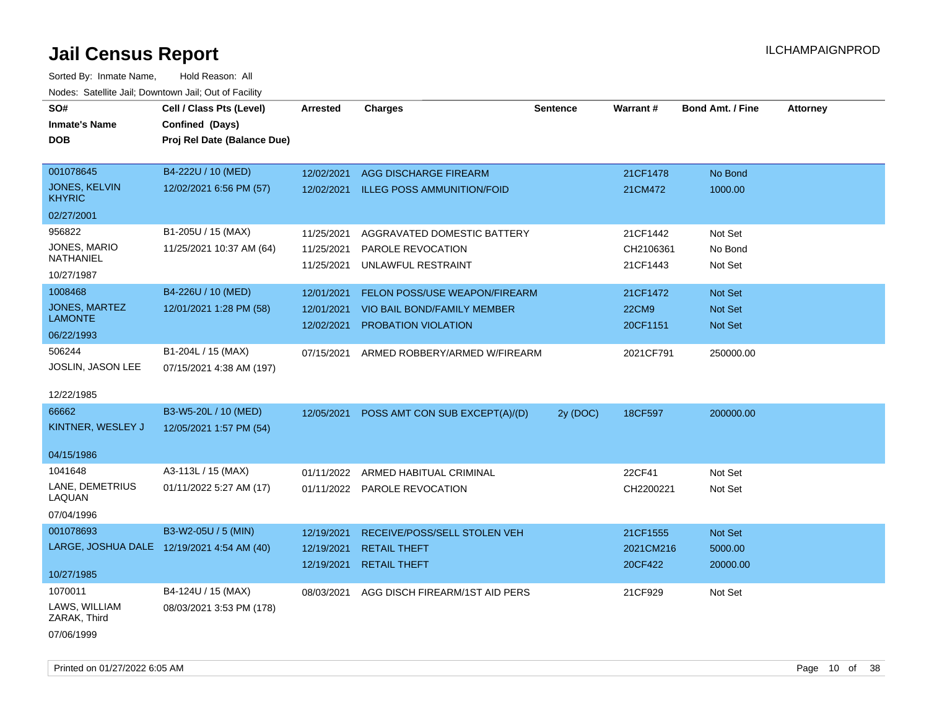| SO#                           |                                            |            |                                   |                 | Warrant#     | <b>Bond Amt. / Fine</b> |                 |
|-------------------------------|--------------------------------------------|------------|-----------------------------------|-----------------|--------------|-------------------------|-----------------|
|                               | Cell / Class Pts (Level)                   | Arrested   | <b>Charges</b>                    | <b>Sentence</b> |              |                         | <b>Attorney</b> |
| <b>Inmate's Name</b>          | Confined (Days)                            |            |                                   |                 |              |                         |                 |
| <b>DOB</b>                    | Proj Rel Date (Balance Due)                |            |                                   |                 |              |                         |                 |
| 001078645                     | B4-222U / 10 (MED)                         |            |                                   |                 |              |                         |                 |
| <b>JONES, KELVIN</b>          |                                            | 12/02/2021 | AGG DISCHARGE FIREARM             |                 | 21CF1478     | No Bond                 |                 |
| <b>KHYRIC</b>                 | 12/02/2021 6:56 PM (57)                    | 12/02/2021 | <b>ILLEG POSS AMMUNITION/FOID</b> |                 | 21CM472      | 1000.00                 |                 |
| 02/27/2001                    |                                            |            |                                   |                 |              |                         |                 |
| 956822                        | B1-205U / 15 (MAX)                         | 11/25/2021 | AGGRAVATED DOMESTIC BATTERY       |                 | 21CF1442     | Not Set                 |                 |
| <b>JONES, MARIO</b>           | 11/25/2021 10:37 AM (64)                   | 11/25/2021 | PAROLE REVOCATION                 |                 | CH2106361    | No Bond                 |                 |
| NATHANIEL                     |                                            | 11/25/2021 | UNLAWFUL RESTRAINT                |                 | 21CF1443     | Not Set                 |                 |
| 10/27/1987                    |                                            |            |                                   |                 |              |                         |                 |
| 1008468                       | B4-226U / 10 (MED)                         | 12/01/2021 | FELON POSS/USE WEAPON/FIREARM     |                 | 21CF1472     | Not Set                 |                 |
| <b>JONES, MARTEZ</b>          | 12/01/2021 1:28 PM (58)                    | 12/01/2021 | VIO BAIL BOND/FAMILY MEMBER       |                 | <b>22CM9</b> | Not Set                 |                 |
| <b>LAMONTE</b>                |                                            | 12/02/2021 | PROBATION VIOLATION               |                 | 20CF1151     | Not Set                 |                 |
| 06/22/1993                    |                                            |            |                                   |                 |              |                         |                 |
| 506244                        | B1-204L / 15 (MAX)                         | 07/15/2021 | ARMED ROBBERY/ARMED W/FIREARM     |                 | 2021CF791    | 250000.00               |                 |
| JOSLIN, JASON LEE             | 07/15/2021 4:38 AM (197)                   |            |                                   |                 |              |                         |                 |
|                               |                                            |            |                                   |                 |              |                         |                 |
| 12/22/1985                    |                                            |            |                                   |                 |              |                         |                 |
| 66662                         | B3-W5-20L / 10 (MED)                       | 12/05/2021 | POSS AMT CON SUB EXCEPT(A)/(D)    | 2y (DOC)        | 18CF597      | 200000.00               |                 |
| KINTNER, WESLEY J             | 12/05/2021 1:57 PM (54)                    |            |                                   |                 |              |                         |                 |
|                               |                                            |            |                                   |                 |              |                         |                 |
| 04/15/1986                    |                                            |            |                                   |                 |              |                         |                 |
| 1041648                       | A3-113L / 15 (MAX)                         | 01/11/2022 | ARMED HABITUAL CRIMINAL           |                 | 22CF41       | Not Set                 |                 |
| LANE, DEMETRIUS<br>LAQUAN     | 01/11/2022 5:27 AM (17)                    |            | 01/11/2022 PAROLE REVOCATION      |                 | CH2200221    | Not Set                 |                 |
|                               |                                            |            |                                   |                 |              |                         |                 |
| 07/04/1996                    |                                            |            |                                   |                 |              |                         |                 |
| 001078693                     | B3-W2-05U / 5 (MIN)                        | 12/19/2021 | RECEIVE/POSS/SELL STOLEN VEH      |                 | 21CF1555     | Not Set                 |                 |
|                               | LARGE, JOSHUA DALE 12/19/2021 4:54 AM (40) | 12/19/2021 | <b>RETAIL THEFT</b>               |                 | 2021CM216    | 5000.00                 |                 |
| 10/27/1985                    |                                            | 12/19/2021 | <b>RETAIL THEFT</b>               |                 | 20CF422      | 20000.00                |                 |
| 1070011                       | B4-124U / 15 (MAX)                         | 08/03/2021 | AGG DISCH FIREARM/1ST AID PERS    |                 | 21CF929      | Not Set                 |                 |
| LAWS, WILLIAM<br>ZARAK, Third | 08/03/2021 3:53 PM (178)                   |            |                                   |                 |              |                         |                 |
| 07/06/1999                    |                                            |            |                                   |                 |              |                         |                 |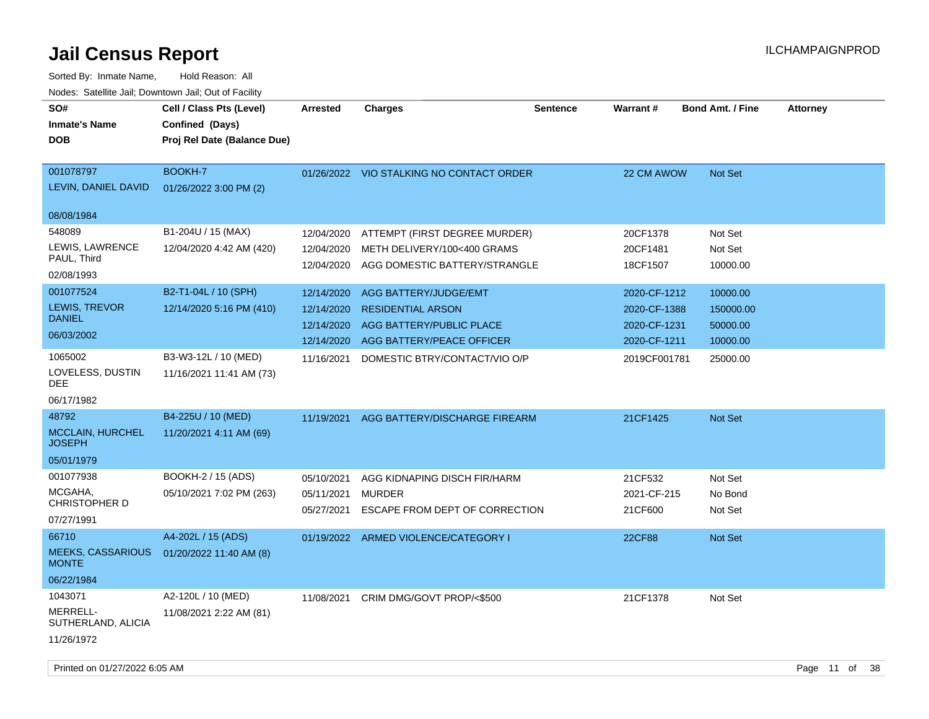| SO#<br><b>Inmate's Name</b><br><b>DOB</b>               | Cell / Class Pts (Level)<br>Confined (Days)<br>Proj Rel Date (Balance Due) | <b>Arrested</b>                        | <b>Charges</b>                                                                                           | <b>Sentence</b> | <b>Warrant#</b>                   | <b>Bond Amt. / Fine</b>        | <b>Attorney</b> |
|---------------------------------------------------------|----------------------------------------------------------------------------|----------------------------------------|----------------------------------------------------------------------------------------------------------|-----------------|-----------------------------------|--------------------------------|-----------------|
| 001078797<br>LEVIN, DANIEL DAVID<br>08/08/1984          | BOOKH-7<br>01/26/2022 3:00 PM (2)                                          |                                        | 01/26/2022 VIO STALKING NO CONTACT ORDER                                                                 |                 | 22 CM AWOW                        | Not Set                        |                 |
| 548089                                                  |                                                                            |                                        |                                                                                                          |                 |                                   |                                |                 |
| LEWIS, LAWRENCE<br>PAUL, Third<br>02/08/1993            | B1-204U / 15 (MAX)<br>12/04/2020 4:42 AM (420)                             | 12/04/2020<br>12/04/2020               | ATTEMPT (FIRST DEGREE MURDER)<br>METH DELIVERY/100<400 GRAMS<br>12/04/2020 AGG DOMESTIC BATTERY/STRANGLE |                 | 20CF1378<br>20CF1481<br>18CF1507  | Not Set<br>Not Set<br>10000.00 |                 |
| 001077524                                               | B2-T1-04L / 10 (SPH)                                                       | 12/14/2020                             | AGG BATTERY/JUDGE/EMT                                                                                    |                 | 2020-CF-1212                      | 10000.00                       |                 |
| LEWIS, TREVOR<br><b>DANIEL</b>                          | 12/14/2020 5:16 PM (410)                                                   | 12/14/2020<br>12/14/2020               | <b>RESIDENTIAL ARSON</b><br>AGG BATTERY/PUBLIC PLACE                                                     |                 | 2020-CF-1388<br>2020-CF-1231      | 150000.00<br>50000.00          |                 |
| 06/03/2002                                              |                                                                            | 12/14/2020                             | AGG BATTERY/PEACE OFFICER                                                                                |                 | 2020-CF-1211                      | 10000.00                       |                 |
| 1065002<br>LOVELESS, DUSTIN<br>DEE                      | B3-W3-12L / 10 (MED)<br>11/16/2021 11:41 AM (73)                           | 11/16/2021                             | DOMESTIC BTRY/CONTACT/VIO O/P                                                                            |                 | 2019CF001781                      | 25000.00                       |                 |
| 06/17/1982                                              |                                                                            |                                        |                                                                                                          |                 |                                   |                                |                 |
| 48792<br><b>MCCLAIN, HURCHEL</b><br><b>JOSEPH</b>       | B4-225U / 10 (MED)<br>11/20/2021 4:11 AM (69)                              |                                        | 11/19/2021 AGG BATTERY/DISCHARGE FIREARM                                                                 |                 | 21CF1425                          | Not Set                        |                 |
| 05/01/1979                                              |                                                                            |                                        |                                                                                                          |                 |                                   |                                |                 |
| 001077938<br>MCGAHA,<br>CHRISTOPHER D<br>07/27/1991     | BOOKH-2 / 15 (ADS)<br>05/10/2021 7:02 PM (263)                             | 05/10/2021<br>05/11/2021<br>05/27/2021 | AGG KIDNAPING DISCH FIR/HARM<br><b>MURDER</b><br>ESCAPE FROM DEPT OF CORRECTION                          |                 | 21CF532<br>2021-CF-215<br>21CF600 | Not Set<br>No Bond<br>Not Set  |                 |
| 66710<br><b>MEEKS, CASSARIOUS</b><br><b>MONTE</b>       | A4-202L / 15 (ADS)<br>01/20/2022 11:40 AM (8)                              |                                        | 01/19/2022 ARMED VIOLENCE/CATEGORY I                                                                     |                 | <b>22CF88</b>                     | Not Set                        |                 |
| 06/22/1984                                              |                                                                            |                                        |                                                                                                          |                 |                                   |                                |                 |
| 1043071<br>MERRELL-<br>SUTHERLAND, ALICIA<br>11/26/1972 | A2-120L / 10 (MED)<br>11/08/2021 2:22 AM (81)                              | 11/08/2021                             | CRIM DMG/GOVT PROP/<\$500                                                                                |                 | 21CF1378                          | Not Set                        |                 |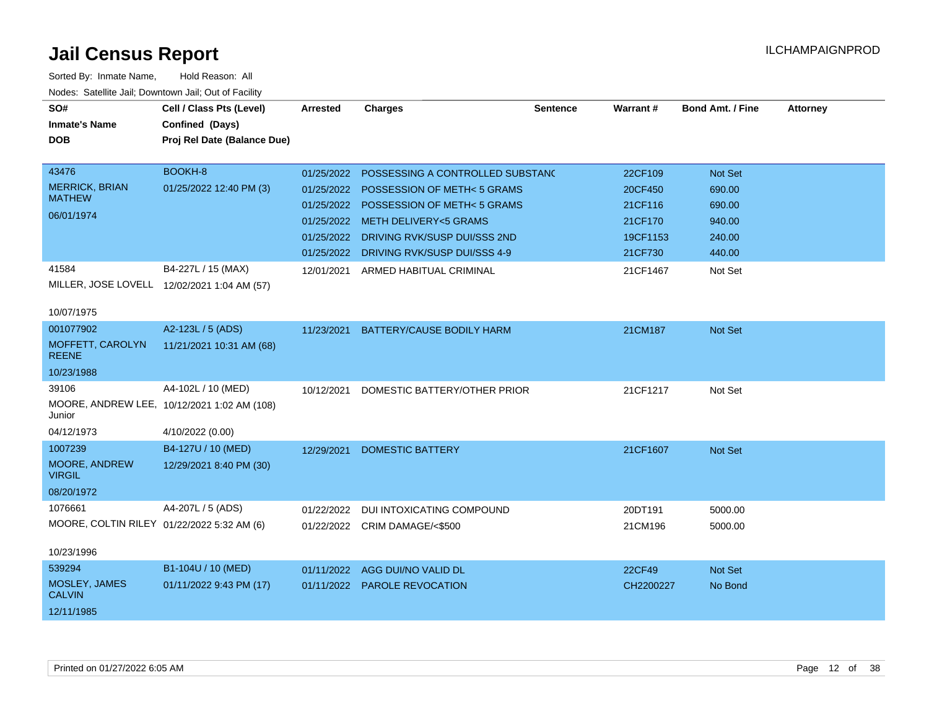| SO#<br><b>Inmate's Name</b><br><b>DOB</b>  | Cell / Class Pts (Level)<br>Confined (Days)<br>Proj Rel Date (Balance Due) | Arrested   | <b>Charges</b>                   | <b>Sentence</b> | Warrant#  | <b>Bond Amt. / Fine</b> | <b>Attorney</b> |
|--------------------------------------------|----------------------------------------------------------------------------|------------|----------------------------------|-----------------|-----------|-------------------------|-----------------|
| 43476                                      | BOOKH-8                                                                    | 01/25/2022 | POSSESSING A CONTROLLED SUBSTAND |                 | 22CF109   | Not Set                 |                 |
| <b>MERRICK, BRIAN</b>                      | 01/25/2022 12:40 PM (3)                                                    | 01/25/2022 | POSSESSION OF METH<5 GRAMS       |                 | 20CF450   | 690.00                  |                 |
| <b>MATHEW</b>                              |                                                                            | 01/25/2022 | POSSESSION OF METH<5 GRAMS       |                 | 21CF116   | 690.00                  |                 |
| 06/01/1974                                 |                                                                            | 01/25/2022 | <b>METH DELIVERY&lt;5 GRAMS</b>  |                 | 21CF170   | 940.00                  |                 |
|                                            |                                                                            | 01/25/2022 | DRIVING RVK/SUSP DUI/SSS 2ND     |                 | 19CF1153  | 240.00                  |                 |
|                                            |                                                                            | 01/25/2022 | DRIVING RVK/SUSP DUI/SSS 4-9     |                 | 21CF730   | 440.00                  |                 |
| 41584                                      | B4-227L / 15 (MAX)                                                         | 12/01/2021 | ARMED HABITUAL CRIMINAL          |                 | 21CF1467  | Not Set                 |                 |
|                                            | MILLER, JOSE LOVELL 12/02/2021 1:04 AM (57)                                |            |                                  |                 |           |                         |                 |
| 10/07/1975                                 |                                                                            |            |                                  |                 |           |                         |                 |
| 001077902                                  | A2-123L / 5 (ADS)                                                          | 11/23/2021 | BATTERY/CAUSE BODILY HARM        |                 | 21CM187   | Not Set                 |                 |
| MOFFETT, CAROLYN<br><b>REENE</b>           | 11/21/2021 10:31 AM (68)                                                   |            |                                  |                 |           |                         |                 |
| 10/23/1988                                 |                                                                            |            |                                  |                 |           |                         |                 |
| 39106                                      | A4-102L / 10 (MED)                                                         | 10/12/2021 | DOMESTIC BATTERY/OTHER PRIOR     |                 | 21CF1217  | Not Set                 |                 |
| Junior                                     | MOORE, ANDREW LEE, 10/12/2021 1:02 AM (108)                                |            |                                  |                 |           |                         |                 |
| 04/12/1973                                 | 4/10/2022 (0.00)                                                           |            |                                  |                 |           |                         |                 |
| 1007239                                    | B4-127U / 10 (MED)                                                         | 12/29/2021 | <b>DOMESTIC BATTERY</b>          |                 | 21CF1607  | Not Set                 |                 |
| MOORE, ANDREW<br><b>VIRGIL</b>             | 12/29/2021 8:40 PM (30)                                                    |            |                                  |                 |           |                         |                 |
| 08/20/1972                                 |                                                                            |            |                                  |                 |           |                         |                 |
| 1076661                                    | A4-207L / 5 (ADS)                                                          | 01/22/2022 | DUI INTOXICATING COMPOUND        |                 | 20DT191   | 5000.00                 |                 |
| MOORE, COLTIN RILEY 01/22/2022 5:32 AM (6) |                                                                            |            | 01/22/2022 CRIM DAMAGE/<\$500    |                 | 21CM196   | 5000.00                 |                 |
| 10/23/1996                                 |                                                                            |            |                                  |                 |           |                         |                 |
| 539294                                     | B1-104U / 10 (MED)                                                         | 01/11/2022 | AGG DUI/NO VALID DL              |                 | 22CF49    | Not Set                 |                 |
| MOSLEY, JAMES<br><b>CALVIN</b>             | 01/11/2022 9:43 PM (17)                                                    |            | 01/11/2022 PAROLE REVOCATION     |                 | CH2200227 | No Bond                 |                 |
| 12/11/1985                                 |                                                                            |            |                                  |                 |           |                         |                 |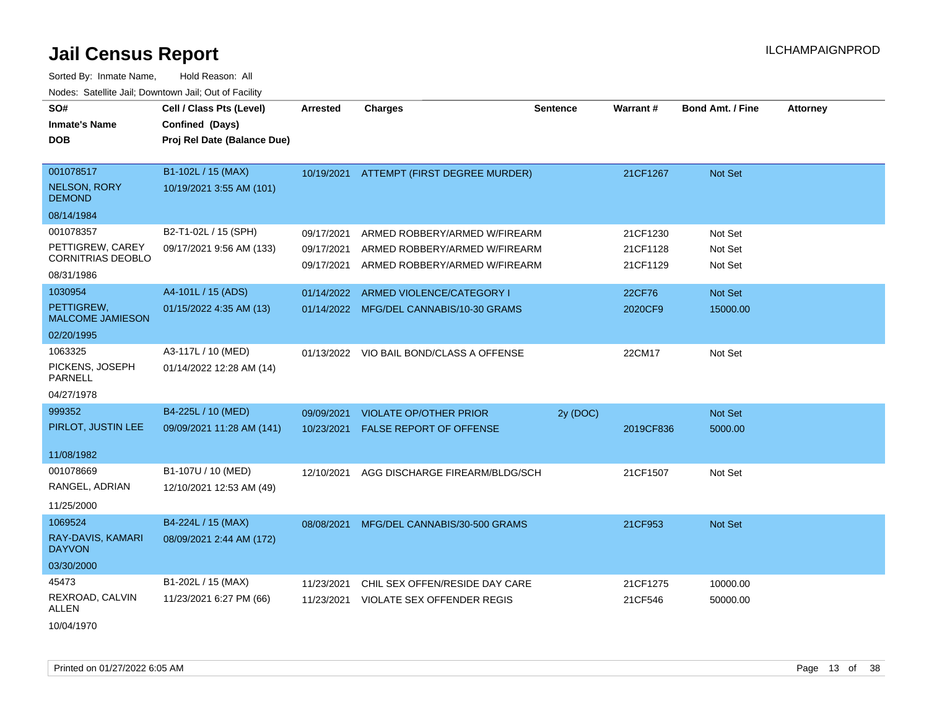| SO#<br><b>Inmate's Name</b><br><b>DOB</b>                                             | Cell / Class Pts (Level)<br>Confined (Days)<br>Proj Rel Date (Balance Due) | Arrested                               | <b>Charges</b>                                                                                  | <b>Sentence</b> | <b>Warrant#</b>                  | <b>Bond Amt. / Fine</b>       | <b>Attorney</b> |
|---------------------------------------------------------------------------------------|----------------------------------------------------------------------------|----------------------------------------|-------------------------------------------------------------------------------------------------|-----------------|----------------------------------|-------------------------------|-----------------|
| 001078517<br><b>NELSON, RORY</b><br><b>DEMOND</b>                                     | B1-102L / 15 (MAX)<br>10/19/2021 3:55 AM (101)                             |                                        | 10/19/2021 ATTEMPT (FIRST DEGREE MURDER)                                                        |                 | 21CF1267                         | Not Set                       |                 |
| 08/14/1984<br>001078357<br>PETTIGREW, CAREY<br><b>CORNITRIAS DEOBLO</b><br>08/31/1986 | B2-T1-02L / 15 (SPH)<br>09/17/2021 9:56 AM (133)                           | 09/17/2021<br>09/17/2021<br>09/17/2021 | ARMED ROBBERY/ARMED W/FIREARM<br>ARMED ROBBERY/ARMED W/FIREARM<br>ARMED ROBBERY/ARMED W/FIREARM |                 | 21CF1230<br>21CF1128<br>21CF1129 | Not Set<br>Not Set<br>Not Set |                 |
| 1030954<br>PETTIGREW,<br><b>MALCOME JAMIESON</b><br>02/20/1995                        | A4-101L / 15 (ADS)<br>01/15/2022 4:35 AM (13)                              | 01/14/2022                             | ARMED VIOLENCE/CATEGORY I<br>01/14/2022 MFG/DEL CANNABIS/10-30 GRAMS                            |                 | 22CF76<br>2020CF9                | Not Set<br>15000.00           |                 |
| 1063325<br>PICKENS, JOSEPH<br><b>PARNELL</b><br>04/27/1978                            | A3-117L / 10 (MED)<br>01/14/2022 12:28 AM (14)                             |                                        | 01/13/2022 VIO BAIL BOND/CLASS A OFFENSE                                                        |                 | 22CM17                           | Not Set                       |                 |
| 999352<br>PIRLOT, JUSTIN LEE<br>11/08/1982                                            | B4-225L / 10 (MED)<br>09/09/2021 11:28 AM (141)                            | 09/09/2021<br>10/23/2021               | <b>VIOLATE OP/OTHER PRIOR</b><br><b>FALSE REPORT OF OFFENSE</b>                                 | 2y (DOC)        | 2019CF836                        | Not Set<br>5000.00            |                 |
| 001078669<br>RANGEL, ADRIAN<br>11/25/2000                                             | B1-107U / 10 (MED)<br>12/10/2021 12:53 AM (49)                             | 12/10/2021                             | AGG DISCHARGE FIREARM/BLDG/SCH                                                                  |                 | 21CF1507                         | Not Set                       |                 |
| 1069524<br>RAY-DAVIS, KAMARI<br><b>DAYVON</b><br>03/30/2000                           | B4-224L / 15 (MAX)<br>08/09/2021 2:44 AM (172)                             |                                        | 08/08/2021 MFG/DEL CANNABIS/30-500 GRAMS                                                        |                 | 21CF953                          | Not Set                       |                 |
| 45473<br>REXROAD, CALVIN<br>ALLEN<br>10/04/1970                                       | B1-202L / 15 (MAX)<br>11/23/2021 6:27 PM (66)                              | 11/23/2021<br>11/23/2021               | CHIL SEX OFFEN/RESIDE DAY CARE<br><b>VIOLATE SEX OFFENDER REGIS</b>                             |                 | 21CF1275<br>21CF546              | 10000.00<br>50000.00          |                 |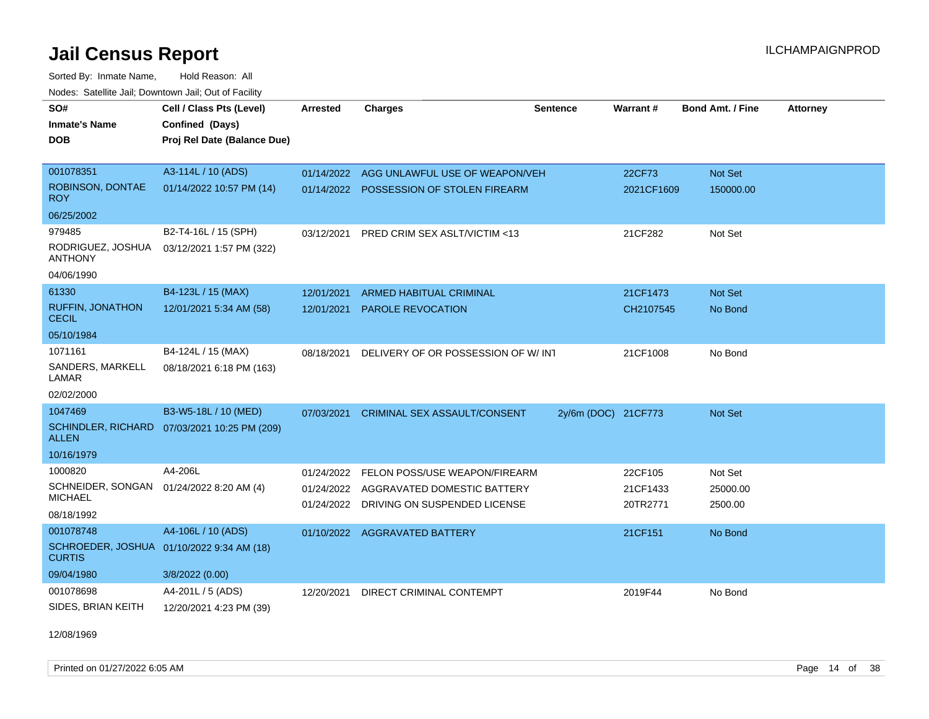Sorted By: Inmate Name, Hold Reason: All Nodes: Satellite Jail; Downtown Jail; Out of Facility

| SO#                                       | Cell / Class Pts (Level)    | <b>Arrested</b> | <b>Charges</b>                         | <b>Sentence</b>     | Warrant#   | <b>Bond Amt. / Fine</b> | <b>Attorney</b> |
|-------------------------------------------|-----------------------------|-----------------|----------------------------------------|---------------------|------------|-------------------------|-----------------|
| <b>Inmate's Name</b>                      | Confined (Days)             |                 |                                        |                     |            |                         |                 |
| <b>DOB</b>                                | Proj Rel Date (Balance Due) |                 |                                        |                     |            |                         |                 |
|                                           |                             |                 |                                        |                     |            |                         |                 |
| 001078351                                 | A3-114L / 10 (ADS)          | 01/14/2022      | AGG UNLAWFUL USE OF WEAPON/VEH         |                     | 22CF73     | Not Set                 |                 |
| ROBINSON, DONTAE<br><b>ROY</b>            | 01/14/2022 10:57 PM (14)    | 01/14/2022      | POSSESSION OF STOLEN FIREARM           |                     | 2021CF1609 | 150000.00               |                 |
| 06/25/2002                                |                             |                 |                                        |                     |            |                         |                 |
| 979485                                    | B2-T4-16L / 15 (SPH)        | 03/12/2021      | PRED CRIM SEX ASLT/VICTIM <13          |                     | 21CF282    | Not Set                 |                 |
| RODRIGUEZ, JOSHUA<br><b>ANTHONY</b>       | 03/12/2021 1:57 PM (322)    |                 |                                        |                     |            |                         |                 |
| 04/06/1990                                |                             |                 |                                        |                     |            |                         |                 |
| 61330                                     | B4-123L / 15 (MAX)          | 12/01/2021      | <b>ARMED HABITUAL CRIMINAL</b>         |                     | 21CF1473   | Not Set                 |                 |
| <b>RUFFIN, JONATHON</b><br><b>CECIL</b>   | 12/01/2021 5:34 AM (58)     | 12/01/2021      | <b>PAROLE REVOCATION</b>               |                     | CH2107545  | No Bond                 |                 |
| 05/10/1984                                |                             |                 |                                        |                     |            |                         |                 |
| 1071161                                   | B4-124L / 15 (MAX)          | 08/18/2021      | DELIVERY OF OR POSSESSION OF W/INT     |                     | 21CF1008   | No Bond                 |                 |
| SANDERS, MARKELL<br>LAMAR                 | 08/18/2021 6:18 PM (163)    |                 |                                        |                     |            |                         |                 |
| 02/02/2000                                |                             |                 |                                        |                     |            |                         |                 |
| 1047469                                   | B3-W5-18L / 10 (MED)        | 07/03/2021      | <b>CRIMINAL SEX ASSAULT/CONSENT</b>    | 2y/6m (DOC) 21CF773 |            | Not Set                 |                 |
| <b>SCHINDLER, RICHARD</b><br><b>ALLEN</b> | 07/03/2021 10:25 PM (209)   |                 |                                        |                     |            |                         |                 |
| 10/16/1979                                |                             |                 |                                        |                     |            |                         |                 |
| 1000820                                   | A4-206L                     | 01/24/2022      | FELON POSS/USE WEAPON/FIREARM          |                     | 22CF105    | Not Set                 |                 |
| SCHNEIDER, SONGAN                         | 01/24/2022 8:20 AM (4)      |                 | 01/24/2022 AGGRAVATED DOMESTIC BATTERY |                     | 21CF1433   | 25000.00                |                 |
| <b>MICHAEL</b>                            |                             | 01/24/2022      | DRIVING ON SUSPENDED LICENSE           |                     | 20TR2771   | 2500.00                 |                 |
| 08/18/1992                                |                             |                 |                                        |                     |            |                         |                 |
| 001078748                                 | A4-106L / 10 (ADS)          |                 | 01/10/2022 AGGRAVATED BATTERY          |                     | 21CF151    | No Bond                 |                 |
| <b>SCHROEDER, JOSHUA</b><br><b>CURTIS</b> | 01/10/2022 9:34 AM (18)     |                 |                                        |                     |            |                         |                 |
| 09/04/1980                                | 3/8/2022 (0.00)             |                 |                                        |                     |            |                         |                 |
| 001078698                                 | A4-201L / 5 (ADS)           | 12/20/2021      | DIRECT CRIMINAL CONTEMPT               |                     | 2019F44    | No Bond                 |                 |
| SIDES, BRIAN KEITH                        | 12/20/2021 4:23 PM (39)     |                 |                                        |                     |            |                         |                 |

12/08/1969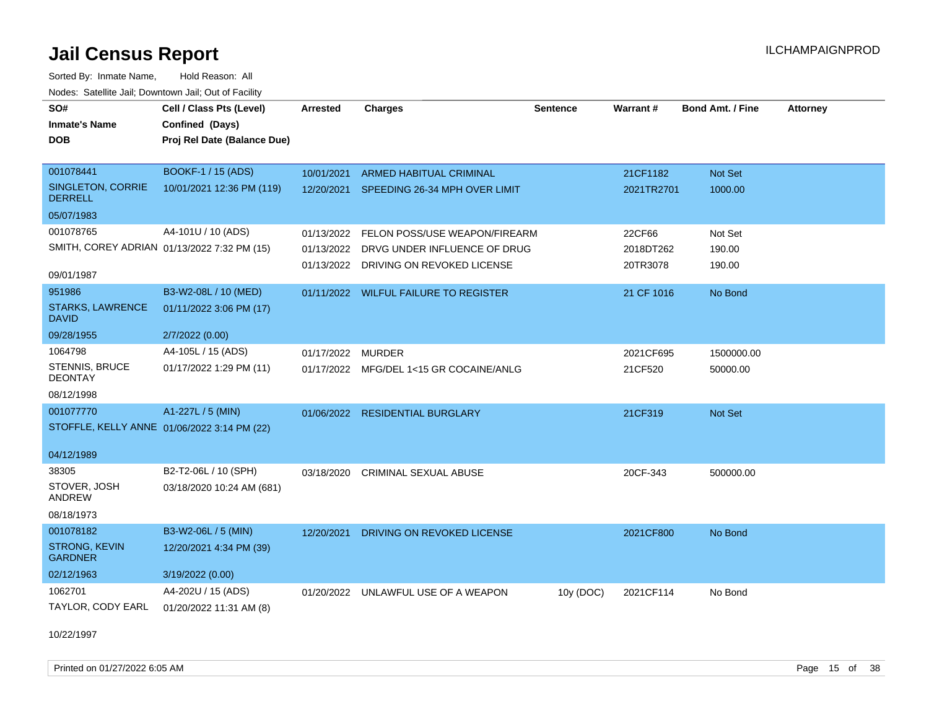Sorted By: Inmate Name, Hold Reason: All Nodes: Satellite Jail; Downtown Jail; Out of Facility

| SO#<br><b>Inmate's Name</b><br><b>DOB</b>   | Cell / Class Pts (Level)<br>Confined (Days)<br>Proj Rel Date (Balance Due) | <b>Arrested</b> | <b>Charges</b>                           | <b>Sentence</b> | Warrant#   | Bond Amt. / Fine | <b>Attorney</b> |
|---------------------------------------------|----------------------------------------------------------------------------|-----------------|------------------------------------------|-----------------|------------|------------------|-----------------|
| 001078441                                   | <b>BOOKF-1 / 15 (ADS)</b>                                                  | 10/01/2021      | <b>ARMED HABITUAL CRIMINAL</b>           |                 | 21CF1182   | Not Set          |                 |
| SINGLETON, CORRIE<br><b>DERRELL</b>         | 10/01/2021 12:36 PM (119)                                                  |                 | 12/20/2021 SPEEDING 26-34 MPH OVER LIMIT |                 | 2021TR2701 | 1000.00          |                 |
| 05/07/1983                                  |                                                                            |                 |                                          |                 |            |                  |                 |
| 001078765                                   | A4-101U / 10 (ADS)                                                         | 01/13/2022      | FELON POSS/USE WEAPON/FIREARM            |                 | 22CF66     | Not Set          |                 |
| SMITH, COREY ADRIAN 01/13/2022 7:32 PM (15) |                                                                            |                 | 01/13/2022 DRVG UNDER INFLUENCE OF DRUG  |                 | 2018DT262  | 190.00           |                 |
| 09/01/1987                                  |                                                                            |                 | 01/13/2022 DRIVING ON REVOKED LICENSE    |                 | 20TR3078   | 190.00           |                 |
| 951986                                      | B3-W2-08L / 10 (MED)                                                       |                 | 01/11/2022 WILFUL FAILURE TO REGISTER    |                 | 21 CF 1016 | No Bond          |                 |
| <b>STARKS, LAWRENCE</b><br><b>DAVID</b>     | 01/11/2022 3:06 PM (17)                                                    |                 |                                          |                 |            |                  |                 |
| 09/28/1955                                  | 2/7/2022 (0.00)                                                            |                 |                                          |                 |            |                  |                 |
| 1064798                                     | A4-105L / 15 (ADS)                                                         | 01/17/2022      | MURDER                                   |                 | 2021CF695  | 1500000.00       |                 |
| STENNIS, BRUCE<br><b>DEONTAY</b>            | 01/17/2022 1:29 PM (11)                                                    |                 | 01/17/2022 MFG/DEL 1<15 GR COCAINE/ANLG  |                 | 21CF520    | 50000.00         |                 |
| 08/12/1998                                  |                                                                            |                 |                                          |                 |            |                  |                 |
| 001077770                                   | A1-227L / 5 (MIN)                                                          |                 | 01/06/2022 RESIDENTIAL BURGLARY          |                 | 21CF319    | Not Set          |                 |
| STOFFLE, KELLY ANNE 01/06/2022 3:14 PM (22) |                                                                            |                 |                                          |                 |            |                  |                 |
| 04/12/1989                                  |                                                                            |                 |                                          |                 |            |                  |                 |
| 38305                                       | B2-T2-06L / 10 (SPH)                                                       | 03/18/2020      | CRIMINAL SEXUAL ABUSE                    |                 | 20CF-343   | 500000.00        |                 |
| STOVER, JOSH<br><b>ANDREW</b>               | 03/18/2020 10:24 AM (681)                                                  |                 |                                          |                 |            |                  |                 |
| 08/18/1973                                  |                                                                            |                 |                                          |                 |            |                  |                 |
| 001078182                                   | B3-W2-06L / 5 (MIN)                                                        | 12/20/2021      | DRIVING ON REVOKED LICENSE               |                 | 2021CF800  | No Bond          |                 |
| <b>STRONG, KEVIN</b><br><b>GARDNER</b>      | 12/20/2021 4:34 PM (39)                                                    |                 |                                          |                 |            |                  |                 |
| 02/12/1963                                  | 3/19/2022 (0.00)                                                           |                 |                                          |                 |            |                  |                 |
| 1062701                                     | A4-202U / 15 (ADS)                                                         |                 | 01/20/2022 UNLAWFUL USE OF A WEAPON      | 10y (DOC)       | 2021CF114  | No Bond          |                 |
| TAYLOR, CODY EARL                           | 01/20/2022 11:31 AM (8)                                                    |                 |                                          |                 |            |                  |                 |

10/22/1997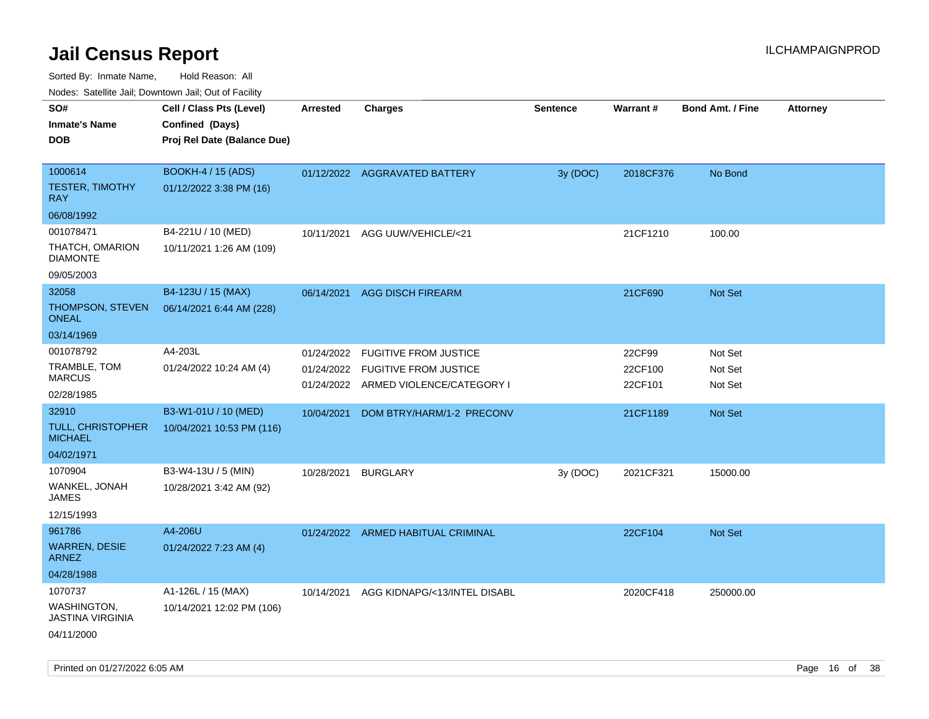| roacs. Catellite Jall, Downtown Jall, Out of Facility |                             |                          |                                                           |                 |                    |                         |                 |
|-------------------------------------------------------|-----------------------------|--------------------------|-----------------------------------------------------------|-----------------|--------------------|-------------------------|-----------------|
| SO#                                                   | Cell / Class Pts (Level)    | <b>Arrested</b>          | <b>Charges</b>                                            | <b>Sentence</b> | Warrant#           | <b>Bond Amt. / Fine</b> | <b>Attorney</b> |
| <b>Inmate's Name</b>                                  | Confined (Days)             |                          |                                                           |                 |                    |                         |                 |
| <b>DOB</b>                                            | Proj Rel Date (Balance Due) |                          |                                                           |                 |                    |                         |                 |
|                                                       |                             |                          |                                                           |                 |                    |                         |                 |
| 1000614                                               | <b>BOOKH-4 / 15 (ADS)</b>   |                          | 01/12/2022 AGGRAVATED BATTERY                             | 3y (DOC)        | 2018CF376          | No Bond                 |                 |
| <b>TESTER, TIMOTHY</b><br><b>RAY</b>                  | 01/12/2022 3:38 PM (16)     |                          |                                                           |                 |                    |                         |                 |
| 06/08/1992                                            |                             |                          |                                                           |                 |                    |                         |                 |
| 001078471                                             | B4-221U / 10 (MED)          | 10/11/2021               | AGG UUW/VEHICLE/<21                                       |                 | 21CF1210           | 100.00                  |                 |
| THATCH, OMARION<br><b>DIAMONTE</b>                    | 10/11/2021 1:26 AM (109)    |                          |                                                           |                 |                    |                         |                 |
| 09/05/2003                                            |                             |                          |                                                           |                 |                    |                         |                 |
| 32058                                                 | B4-123U / 15 (MAX)          | 06/14/2021               | <b>AGG DISCH FIREARM</b>                                  |                 | 21CF690            | Not Set                 |                 |
| THOMPSON, STEVEN<br><b>ONEAL</b>                      | 06/14/2021 6:44 AM (228)    |                          |                                                           |                 |                    |                         |                 |
| 03/14/1969                                            |                             |                          |                                                           |                 |                    |                         |                 |
| 001078792                                             | A4-203L                     | 01/24/2022               | <b>FUGITIVE FROM JUSTICE</b>                              |                 | 22CF99             | Not Set                 |                 |
| TRAMBLE, TOM<br><b>MARCUS</b>                         | 01/24/2022 10:24 AM (4)     | 01/24/2022<br>01/24/2022 | <b>FUGITIVE FROM JUSTICE</b><br>ARMED VIOLENCE/CATEGORY I |                 | 22CF100<br>22CF101 | Not Set<br>Not Set      |                 |
| 02/28/1985                                            |                             |                          |                                                           |                 |                    |                         |                 |
| 32910                                                 | B3-W1-01U / 10 (MED)        | 10/04/2021               | DOM BTRY/HARM/1-2 PRECONV                                 |                 | 21CF1189           | Not Set                 |                 |
| <b>TULL, CHRISTOPHER</b><br><b>MICHAEL</b>            | 10/04/2021 10:53 PM (116)   |                          |                                                           |                 |                    |                         |                 |
| 04/02/1971                                            |                             |                          |                                                           |                 |                    |                         |                 |
| 1070904                                               | B3-W4-13U / 5 (MIN)         | 10/28/2021               | <b>BURGLARY</b>                                           | 3y (DOC)        | 2021CF321          | 15000.00                |                 |
| WANKEL, JONAH<br>JAMES                                | 10/28/2021 3:42 AM (92)     |                          |                                                           |                 |                    |                         |                 |
| 12/15/1993                                            |                             |                          |                                                           |                 |                    |                         |                 |
| 961786                                                | A4-206U                     |                          | 01/24/2022 ARMED HABITUAL CRIMINAL                        |                 | 22CF104            | Not Set                 |                 |
| <b>WARREN, DESIE</b><br><b>ARNEZ</b>                  | 01/24/2022 7:23 AM (4)      |                          |                                                           |                 |                    |                         |                 |
| 04/28/1988                                            |                             |                          |                                                           |                 |                    |                         |                 |
| 1070737                                               | A1-126L / 15 (MAX)          | 10/14/2021               | AGG KIDNAPG/<13/INTEL DISABL                              |                 | 2020CF418          | 250000.00               |                 |
| WASHINGTON,<br><b>JASTINA VIRGINIA</b>                | 10/14/2021 12:02 PM (106)   |                          |                                                           |                 |                    |                         |                 |
| 04/11/2000                                            |                             |                          |                                                           |                 |                    |                         |                 |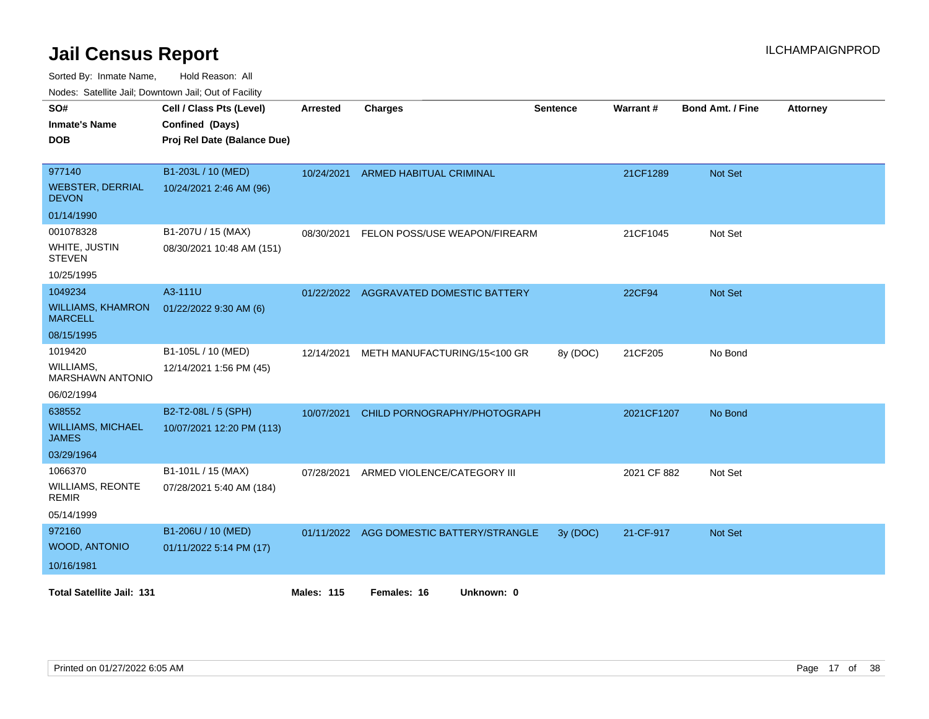Sorted By: Inmate Name, Hold Reason: All

| Nodes: Satellite Jail; Downtown Jail; Out of Facility |  |
|-------------------------------------------------------|--|
|-------------------------------------------------------|--|

| SO#                                        | Cell / Class Pts (Level)    | Arrested          | <b>Charges</b>                           | <b>Sentence</b> | Warrant#      | <b>Bond Amt. / Fine</b> | <b>Attorney</b> |
|--------------------------------------------|-----------------------------|-------------------|------------------------------------------|-----------------|---------------|-------------------------|-----------------|
| <b>Inmate's Name</b>                       | Confined (Days)             |                   |                                          |                 |               |                         |                 |
| <b>DOB</b>                                 | Proj Rel Date (Balance Due) |                   |                                          |                 |               |                         |                 |
|                                            |                             |                   |                                          |                 |               |                         |                 |
| 977140                                     | B1-203L / 10 (MED)          | 10/24/2021        | <b>ARMED HABITUAL CRIMINAL</b>           |                 | 21CF1289      | <b>Not Set</b>          |                 |
| <b>WEBSTER, DERRIAL</b><br><b>DEVON</b>    | 10/24/2021 2:46 AM (96)     |                   |                                          |                 |               |                         |                 |
| 01/14/1990                                 |                             |                   |                                          |                 |               |                         |                 |
| 001078328                                  | B1-207U / 15 (MAX)          | 08/30/2021        | FELON POSS/USE WEAPON/FIREARM            |                 | 21CF1045      | Not Set                 |                 |
| WHITE, JUSTIN<br><b>STEVEN</b>             | 08/30/2021 10:48 AM (151)   |                   |                                          |                 |               |                         |                 |
| 10/25/1995                                 |                             |                   |                                          |                 |               |                         |                 |
| 1049234                                    | A3-111U                     | 01/22/2022        | <b>AGGRAVATED DOMESTIC BATTERY</b>       |                 | <b>22CF94</b> | <b>Not Set</b>          |                 |
| <b>WILLIAMS, KHAMRON</b><br><b>MARCELL</b> | 01/22/2022 9:30 AM (6)      |                   |                                          |                 |               |                         |                 |
| 08/15/1995                                 |                             |                   |                                          |                 |               |                         |                 |
| 1019420                                    | B1-105L / 10 (MED)          | 12/14/2021        | METH MANUFACTURING/15<100 GR             | 8y (DOC)        | 21CF205       | No Bond                 |                 |
| WILLIAMS,<br><b>MARSHAWN ANTONIO</b>       | 12/14/2021 1:56 PM (45)     |                   |                                          |                 |               |                         |                 |
| 06/02/1994                                 |                             |                   |                                          |                 |               |                         |                 |
| 638552                                     | B2-T2-08L / 5 (SPH)         | 10/07/2021        | CHILD PORNOGRAPHY/PHOTOGRAPH             |                 | 2021CF1207    | No Bond                 |                 |
| <b>WILLIAMS, MICHAEL</b><br><b>JAMES</b>   | 10/07/2021 12:20 PM (113)   |                   |                                          |                 |               |                         |                 |
| 03/29/1964                                 |                             |                   |                                          |                 |               |                         |                 |
| 1066370                                    | B1-101L / 15 (MAX)          | 07/28/2021        | ARMED VIOLENCE/CATEGORY III              |                 | 2021 CF 882   | Not Set                 |                 |
| <b>WILLIAMS, REONTE</b><br><b>REMIR</b>    | 07/28/2021 5:40 AM (184)    |                   |                                          |                 |               |                         |                 |
| 05/14/1999                                 |                             |                   |                                          |                 |               |                         |                 |
| 972160                                     | B1-206U / 10 (MED)          |                   | 01/11/2022 AGG DOMESTIC BATTERY/STRANGLE | 3y (DOC)        | 21-CF-917     | <b>Not Set</b>          |                 |
| <b>WOOD, ANTONIO</b>                       | 01/11/2022 5:14 PM (17)     |                   |                                          |                 |               |                         |                 |
| 10/16/1981                                 |                             |                   |                                          |                 |               |                         |                 |
|                                            |                             |                   |                                          |                 |               |                         |                 |
| <b>Total Satellite Jail: 131</b>           |                             | <b>Males: 115</b> | Females: 16<br>Unknown: 0                |                 |               |                         |                 |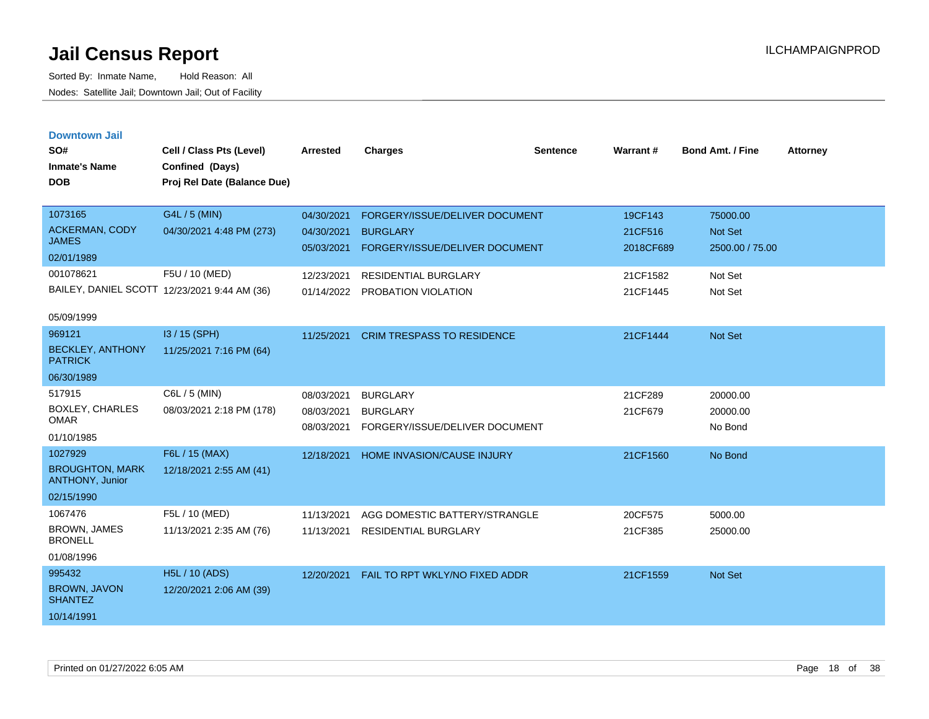| <b>Downtown Jail</b> |  |
|----------------------|--|
|                      |  |
|                      |  |

| SO#<br><b>Inmate's Name</b><br><b>DOB</b> | Cell / Class Pts (Level)<br>Confined (Days)<br>Proj Rel Date (Balance Due) | <b>Arrested</b> | <b>Charges</b>                    | <b>Sentence</b> | <b>Warrant#</b> | <b>Bond Amt. / Fine</b> | <b>Attorney</b> |
|-------------------------------------------|----------------------------------------------------------------------------|-----------------|-----------------------------------|-----------------|-----------------|-------------------------|-----------------|
| 1073165                                   | G4L / 5 (MIN)                                                              | 04/30/2021      | FORGERY/ISSUE/DELIVER DOCUMENT    |                 | 19CF143         | 75000.00                |                 |
| <b>ACKERMAN, CODY</b><br><b>JAMES</b>     | 04/30/2021 4:48 PM (273)                                                   | 04/30/2021      | <b>BURGLARY</b>                   |                 | 21CF516         | <b>Not Set</b>          |                 |
| 02/01/1989                                |                                                                            | 05/03/2021      | FORGERY/ISSUE/DELIVER DOCUMENT    |                 | 2018CF689       | 2500.00 / 75.00         |                 |
| 001078621                                 | F5U / 10 (MED)                                                             | 12/23/2021      | <b>RESIDENTIAL BURGLARY</b>       |                 | 21CF1582        | Not Set                 |                 |
|                                           | BAILEY, DANIEL SCOTT 12/23/2021 9:44 AM (36)                               |                 | 01/14/2022 PROBATION VIOLATION    |                 | 21CF1445        | Not Set                 |                 |
| 05/09/1999                                |                                                                            |                 |                                   |                 |                 |                         |                 |
| 969121                                    | I3 / 15 (SPH)                                                              | 11/25/2021      | <b>CRIM TRESPASS TO RESIDENCE</b> |                 | 21CF1444        | <b>Not Set</b>          |                 |
| <b>BECKLEY, ANTHONY</b><br><b>PATRICK</b> | 11/25/2021 7:16 PM (64)                                                    |                 |                                   |                 |                 |                         |                 |
| 06/30/1989                                |                                                                            |                 |                                   |                 |                 |                         |                 |
| 517915                                    | C6L / 5 (MIN)                                                              | 08/03/2021      | <b>BURGLARY</b>                   |                 | 21CF289         | 20000.00                |                 |
| <b>BOXLEY, CHARLES</b><br><b>OMAR</b>     | 08/03/2021 2:18 PM (178)                                                   | 08/03/2021      | <b>BURGLARY</b>                   |                 | 21CF679         | 20000.00                |                 |
| 01/10/1985                                |                                                                            | 08/03/2021      | FORGERY/ISSUE/DELIVER DOCUMENT    |                 |                 | No Bond                 |                 |
| 1027929                                   | F6L / 15 (MAX)                                                             | 12/18/2021      | HOME INVASION/CAUSE INJURY        |                 | 21CF1560        | No Bond                 |                 |
| <b>BROUGHTON, MARK</b><br>ANTHONY, Junior | 12/18/2021 2:55 AM (41)                                                    |                 |                                   |                 |                 |                         |                 |
| 02/15/1990                                |                                                                            |                 |                                   |                 |                 |                         |                 |
| 1067476                                   | F5L / 10 (MED)                                                             | 11/13/2021      | AGG DOMESTIC BATTERY/STRANGLE     |                 | 20CF575         | 5000.00                 |                 |
| <b>BROWN, JAMES</b><br><b>BRONELL</b>     | 11/13/2021 2:35 AM (76)                                                    | 11/13/2021      | <b>RESIDENTIAL BURGLARY</b>       |                 | 21CF385         | 25000.00                |                 |
| 01/08/1996                                |                                                                            |                 |                                   |                 |                 |                         |                 |
| 995432                                    | <b>H5L / 10 (ADS)</b>                                                      | 12/20/2021      | FAIL TO RPT WKLY/NO FIXED ADDR    |                 | 21CF1559        | <b>Not Set</b>          |                 |
| <b>BROWN, JAVON</b><br><b>SHANTEZ</b>     | 12/20/2021 2:06 AM (39)                                                    |                 |                                   |                 |                 |                         |                 |
| 10/14/1991                                |                                                                            |                 |                                   |                 |                 |                         |                 |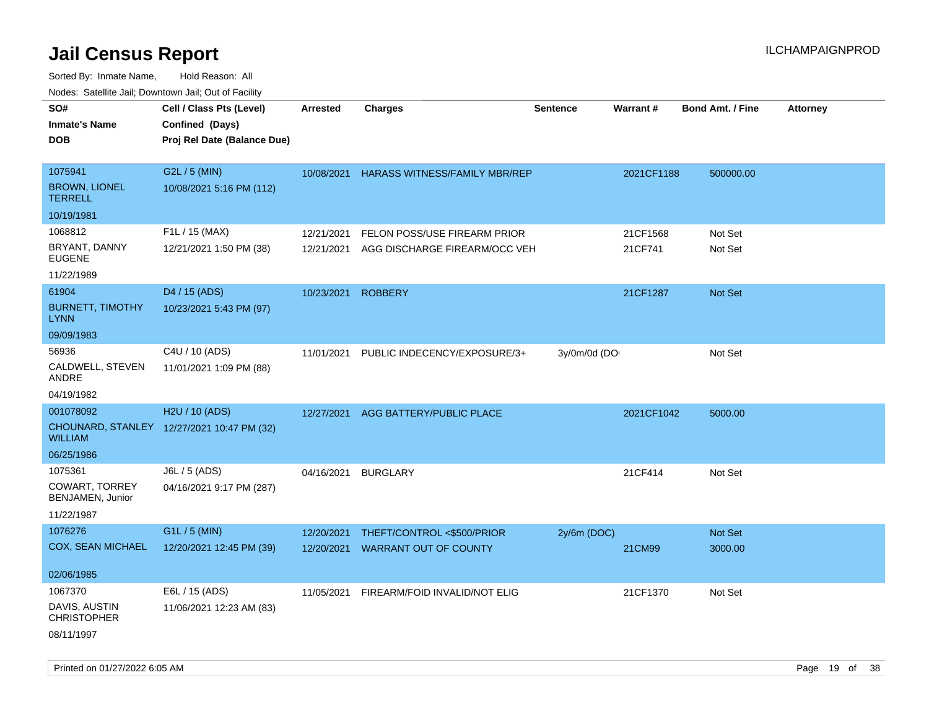| rouco. Calcinic Jan, Downtown Jan, Out of Facility |                                                                            |                          |                                                               |                 |                     |                         |                 |
|----------------------------------------------------|----------------------------------------------------------------------------|--------------------------|---------------------------------------------------------------|-----------------|---------------------|-------------------------|-----------------|
| SO#<br><b>Inmate's Name</b><br>DOB                 | Cell / Class Pts (Level)<br>Confined (Days)<br>Proj Rel Date (Balance Due) | <b>Arrested</b>          | <b>Charges</b>                                                | <b>Sentence</b> | Warrant#            | <b>Bond Amt. / Fine</b> | <b>Attorney</b> |
|                                                    |                                                                            |                          |                                                               |                 |                     |                         |                 |
| 1075941<br><b>BROWN, LIONEL</b><br><b>TERRELL</b>  | G2L / 5 (MIN)<br>10/08/2021 5:16 PM (112)                                  | 10/08/2021               | <b>HARASS WITNESS/FAMILY MBR/REP</b>                          |                 | 2021CF1188          | 500000.00               |                 |
| 10/19/1981                                         |                                                                            |                          |                                                               |                 |                     |                         |                 |
| 1068812<br>BRYANT, DANNY<br><b>EUGENE</b>          | F1L / 15 (MAX)<br>12/21/2021 1:50 PM (38)                                  | 12/21/2021<br>12/21/2021 | FELON POSS/USE FIREARM PRIOR<br>AGG DISCHARGE FIREARM/OCC VEH |                 | 21CF1568<br>21CF741 | Not Set<br>Not Set      |                 |
| 11/22/1989                                         |                                                                            |                          |                                                               |                 |                     |                         |                 |
| 61904<br><b>BURNETT, TIMOTHY</b><br>LYNN           | D4 / 15 (ADS)<br>10/23/2021 5:43 PM (97)                                   | 10/23/2021               | <b>ROBBERY</b>                                                |                 | 21CF1287            | <b>Not Set</b>          |                 |
| 09/09/1983                                         |                                                                            |                          |                                                               |                 |                     |                         |                 |
| 56936<br>CALDWELL, STEVEN<br>ANDRE                 | C4U / 10 (ADS)<br>11/01/2021 1:09 PM (88)                                  | 11/01/2021               | PUBLIC INDECENCY/EXPOSURE/3+                                  | 3y/0m/0d (DO    |                     | Not Set                 |                 |
| 04/19/1982                                         |                                                                            |                          |                                                               |                 |                     |                         |                 |
| 001078092                                          | H2U / 10 (ADS)                                                             | 12/27/2021               | AGG BATTERY/PUBLIC PLACE                                      |                 | 2021CF1042          | 5000.00                 |                 |
| WILLIAM                                            | CHOUNARD, STANLEY 12/27/2021 10:47 PM (32)                                 |                          |                                                               |                 |                     |                         |                 |
| 06/25/1986                                         |                                                                            |                          |                                                               |                 |                     |                         |                 |
| 1075361                                            | J6L / 5 (ADS)                                                              | 04/16/2021               | <b>BURGLARY</b>                                               |                 | 21CF414             | Not Set                 |                 |
| <b>COWART, TORREY</b><br>BENJAMEN, Junior          | 04/16/2021 9:17 PM (287)                                                   |                          |                                                               |                 |                     |                         |                 |
| 11/22/1987                                         |                                                                            |                          |                                                               |                 |                     |                         |                 |
| 1076276                                            | G1L / 5 (MIN)                                                              | 12/20/2021               | THEFT/CONTROL <\$500/PRIOR                                    | $2y/6m$ (DOC)   |                     | <b>Not Set</b>          |                 |
| <b>COX, SEAN MICHAEL</b>                           | 12/20/2021 12:45 PM (39)                                                   | 12/20/2021               | <b>WARRANT OUT OF COUNTY</b>                                  |                 | 21CM99              | 3000.00                 |                 |
| 02/06/1985                                         |                                                                            |                          |                                                               |                 |                     |                         |                 |
| 1067370                                            | E6L / 15 (ADS)                                                             | 11/05/2021               | FIREARM/FOID INVALID/NOT ELIG                                 |                 | 21CF1370            | Not Set                 |                 |
| DAVIS, AUSTIN<br><b>CHRISTOPHER</b>                | 11/06/2021 12:23 AM (83)                                                   |                          |                                                               |                 |                     |                         |                 |
| 08/11/1997                                         |                                                                            |                          |                                                               |                 |                     |                         |                 |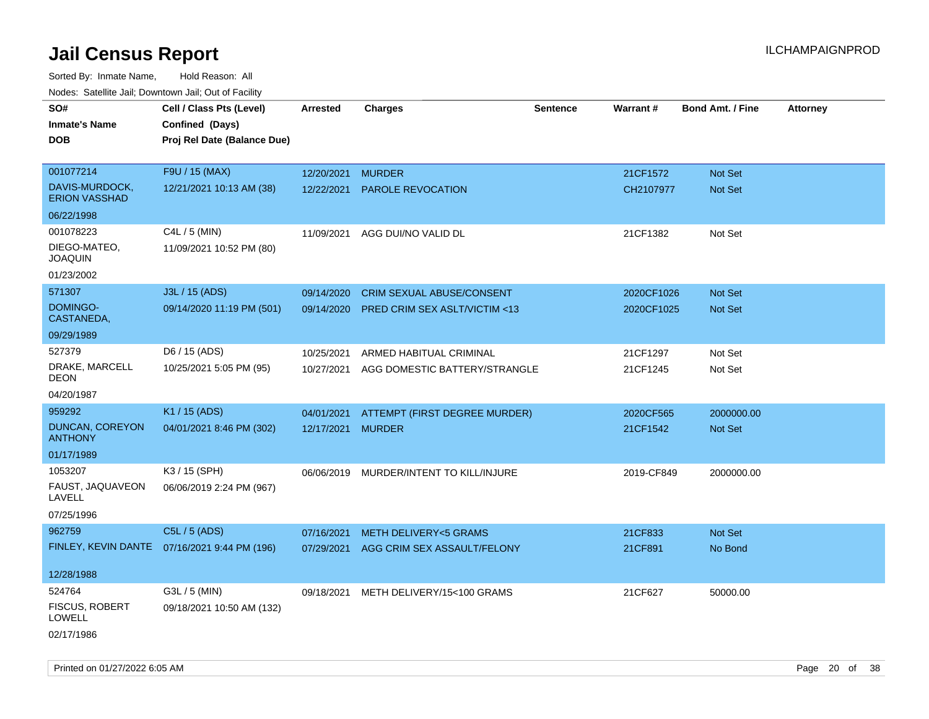| Noues. Salenne Jan, Downtown Jan, Out of Facility |                                              |            |                                         |                 |                 |                         |                 |
|---------------------------------------------------|----------------------------------------------|------------|-----------------------------------------|-----------------|-----------------|-------------------------|-----------------|
| SO#                                               | Cell / Class Pts (Level)                     | Arrested   | <b>Charges</b>                          | <b>Sentence</b> | <b>Warrant#</b> | <b>Bond Amt. / Fine</b> | <b>Attorney</b> |
| <b>Inmate's Name</b>                              | Confined (Days)                              |            |                                         |                 |                 |                         |                 |
| <b>DOB</b>                                        | Proj Rel Date (Balance Due)                  |            |                                         |                 |                 |                         |                 |
|                                                   |                                              |            |                                         |                 |                 |                         |                 |
| 001077214                                         | F9U / 15 (MAX)                               | 12/20/2021 | <b>MURDER</b>                           |                 | 21CF1572        | Not Set                 |                 |
| DAVIS-MURDOCK,<br><b>ERION VASSHAD</b>            | 12/21/2021 10:13 AM (38)                     | 12/22/2021 | PAROLE REVOCATION                       |                 | CH2107977       | <b>Not Set</b>          |                 |
| 06/22/1998                                        |                                              |            |                                         |                 |                 |                         |                 |
| 001078223                                         | C4L / 5 (MIN)                                | 11/09/2021 | AGG DUI/NO VALID DL                     |                 | 21CF1382        | Not Set                 |                 |
| DIEGO-MATEO,<br><b>JOAQUIN</b>                    | 11/09/2021 10:52 PM (80)                     |            |                                         |                 |                 |                         |                 |
| 01/23/2002                                        |                                              |            |                                         |                 |                 |                         |                 |
| 571307                                            | J3L / 15 (ADS)                               | 09/14/2020 | <b>CRIM SEXUAL ABUSE/CONSENT</b>        |                 | 2020CF1026      | <b>Not Set</b>          |                 |
| DOMINGO-<br>CASTANEDA,                            | 09/14/2020 11:19 PM (501)                    | 09/14/2020 | PRED CRIM SEX ASLT/VICTIM <13           |                 | 2020CF1025      | Not Set                 |                 |
| 09/29/1989                                        |                                              |            |                                         |                 |                 |                         |                 |
| 527379                                            | D6 / 15 (ADS)                                | 10/25/2021 | ARMED HABITUAL CRIMINAL                 |                 | 21CF1297        | Not Set                 |                 |
| DRAKE, MARCELL<br>DEON                            | 10/25/2021 5:05 PM (95)                      | 10/27/2021 | AGG DOMESTIC BATTERY/STRANGLE           |                 | 21CF1245        | Not Set                 |                 |
| 04/20/1987                                        |                                              |            |                                         |                 |                 |                         |                 |
| 959292                                            | K1 / 15 (ADS)                                | 04/01/2021 | ATTEMPT (FIRST DEGREE MURDER)           |                 | 2020CF565       | 2000000.00              |                 |
| <b>DUNCAN, COREYON</b><br><b>ANTHONY</b>          | 04/01/2021 8:46 PM (302)                     | 12/17/2021 | <b>MURDER</b>                           |                 | 21CF1542        | Not Set                 |                 |
| 01/17/1989                                        |                                              |            |                                         |                 |                 |                         |                 |
| 1053207                                           | K3 / 15 (SPH)                                |            | 06/06/2019 MURDER/INTENT TO KILL/INJURE |                 | 2019-CF849      | 2000000.00              |                 |
| FAUST, JAQUAVEON<br>LAVELL                        | 06/06/2019 2:24 PM (967)                     |            |                                         |                 |                 |                         |                 |
| 07/25/1996                                        |                                              |            |                                         |                 |                 |                         |                 |
| 962759                                            | C5L / 5 (ADS)                                | 07/16/2021 | <b>METH DELIVERY&lt;5 GRAMS</b>         |                 | 21CF833         | Not Set                 |                 |
|                                                   | FINLEY, KEVIN DANTE 07/16/2021 9:44 PM (196) | 07/29/2021 | AGG CRIM SEX ASSAULT/FELONY             |                 | 21CF891         | No Bond                 |                 |
|                                                   |                                              |            |                                         |                 |                 |                         |                 |
| 12/28/1988                                        |                                              |            |                                         |                 |                 |                         |                 |
| 524764                                            | G3L / 5 (MIN)                                | 09/18/2021 | METH DELIVERY/15<100 GRAMS              |                 | 21CF627         | 50000.00                |                 |
| <b>FISCUS, ROBERT</b><br>LOWELL                   | 09/18/2021 10:50 AM (132)                    |            |                                         |                 |                 |                         |                 |
| 02/17/1986                                        |                                              |            |                                         |                 |                 |                         |                 |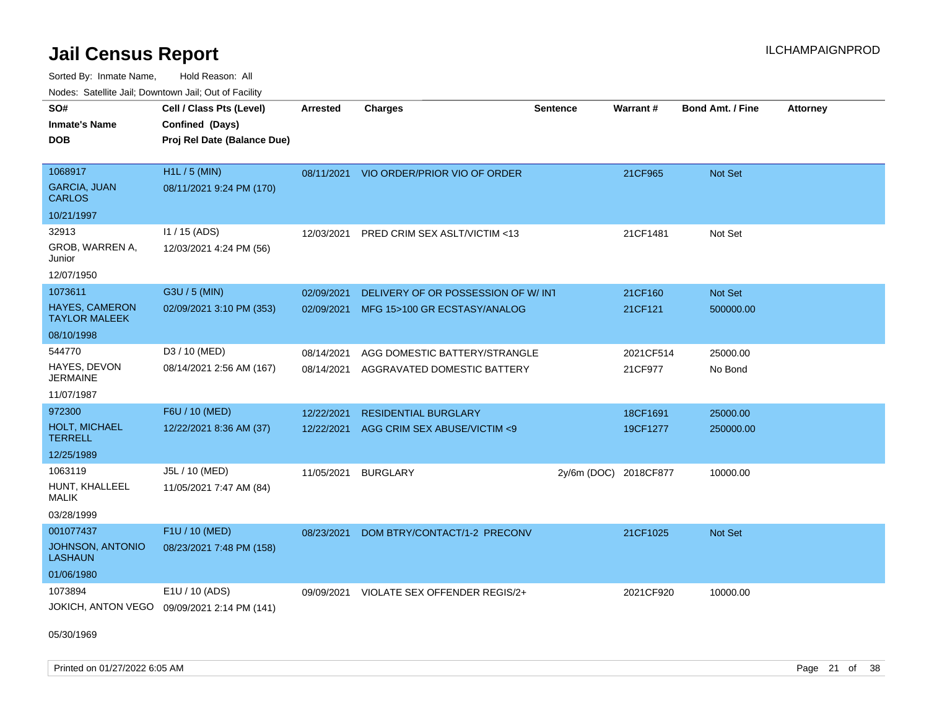Sorted By: Inmate Name, Hold Reason: All Nodes: Satellite Jail; Downtown Jail; Out of Facility

| Noucs. Calcinic Jail, Downtown Jail, Out of Facility |                                             |                 |                                          |                       |           |                         |                 |
|------------------------------------------------------|---------------------------------------------|-----------------|------------------------------------------|-----------------------|-----------|-------------------------|-----------------|
| SO#                                                  | Cell / Class Pts (Level)                    | <b>Arrested</b> | <b>Charges</b>                           | <b>Sentence</b>       | Warrant#  | <b>Bond Amt. / Fine</b> | <b>Attorney</b> |
| <b>Inmate's Name</b>                                 | Confined (Days)                             |                 |                                          |                       |           |                         |                 |
| <b>DOB</b>                                           | Proj Rel Date (Balance Due)                 |                 |                                          |                       |           |                         |                 |
|                                                      |                                             |                 |                                          |                       |           |                         |                 |
| 1068917                                              | H1L / 5 (MIN)                               |                 | 08/11/2021 VIO ORDER/PRIOR VIO OF ORDER  |                       | 21CF965   | <b>Not Set</b>          |                 |
| <b>GARCIA, JUAN</b><br>CARLOS                        | 08/11/2021 9:24 PM (170)                    |                 |                                          |                       |           |                         |                 |
| 10/21/1997                                           |                                             |                 |                                          |                       |           |                         |                 |
| 32913                                                | $11 / 15$ (ADS)                             |                 | 12/03/2021 PRED CRIM SEX ASLT/VICTIM <13 |                       | 21CF1481  | Not Set                 |                 |
| GROB, WARREN A,<br>Junior                            | 12/03/2021 4:24 PM (56)                     |                 |                                          |                       |           |                         |                 |
| 12/07/1950                                           |                                             |                 |                                          |                       |           |                         |                 |
| 1073611                                              | G3U / 5 (MIN)                               | 02/09/2021      | DELIVERY OF OR POSSESSION OF W/INT       |                       | 21CF160   | Not Set                 |                 |
| <b>HAYES, CAMERON</b><br><b>TAYLOR MALEEK</b>        | 02/09/2021 3:10 PM (353)                    | 02/09/2021      | MFG 15>100 GR ECSTASY/ANALOG             |                       | 21CF121   | 500000.00               |                 |
| 08/10/1998                                           |                                             |                 |                                          |                       |           |                         |                 |
| 544770                                               | D3 / 10 (MED)                               | 08/14/2021      | AGG DOMESTIC BATTERY/STRANGLE            |                       | 2021CF514 | 25000.00                |                 |
| HAYES, DEVON<br><b>JERMAINE</b>                      | 08/14/2021 2:56 AM (167)                    | 08/14/2021      | AGGRAVATED DOMESTIC BATTERY              |                       | 21CF977   | No Bond                 |                 |
| 11/07/1987                                           |                                             |                 |                                          |                       |           |                         |                 |
| 972300                                               | F6U / 10 (MED)                              | 12/22/2021      | <b>RESIDENTIAL BURGLARY</b>              |                       | 18CF1691  | 25000.00                |                 |
| <b>HOLT, MICHAEL</b><br>TERRELL                      | 12/22/2021 8:36 AM (37)                     | 12/22/2021      | AGG CRIM SEX ABUSE/VICTIM <9             |                       | 19CF1277  | 250000.00               |                 |
| 12/25/1989                                           |                                             |                 |                                          |                       |           |                         |                 |
| 1063119                                              | J5L / 10 (MED)                              | 11/05/2021      | <b>BURGLARY</b>                          | 2y/6m (DOC) 2018CF877 |           | 10000.00                |                 |
| HUNT, KHALLEEL<br>MALIK                              | 11/05/2021 7:47 AM (84)                     |                 |                                          |                       |           |                         |                 |
| 03/28/1999                                           |                                             |                 |                                          |                       |           |                         |                 |
| 001077437                                            | F1U / 10 (MED)                              | 08/23/2021      | DOM BTRY/CONTACT/1-2 PRECONV             |                       | 21CF1025  | <b>Not Set</b>          |                 |
| <b>JOHNSON, ANTONIO</b><br>LASHAUN                   | 08/23/2021 7:48 PM (158)                    |                 |                                          |                       |           |                         |                 |
| 01/06/1980                                           |                                             |                 |                                          |                       |           |                         |                 |
| 1073894                                              | E1U / 10 (ADS)                              | 09/09/2021      | VIOLATE SEX OFFENDER REGIS/2+            |                       | 2021CF920 | 10000.00                |                 |
|                                                      | JOKICH, ANTON VEGO 09/09/2021 2:14 PM (141) |                 |                                          |                       |           |                         |                 |

05/30/1969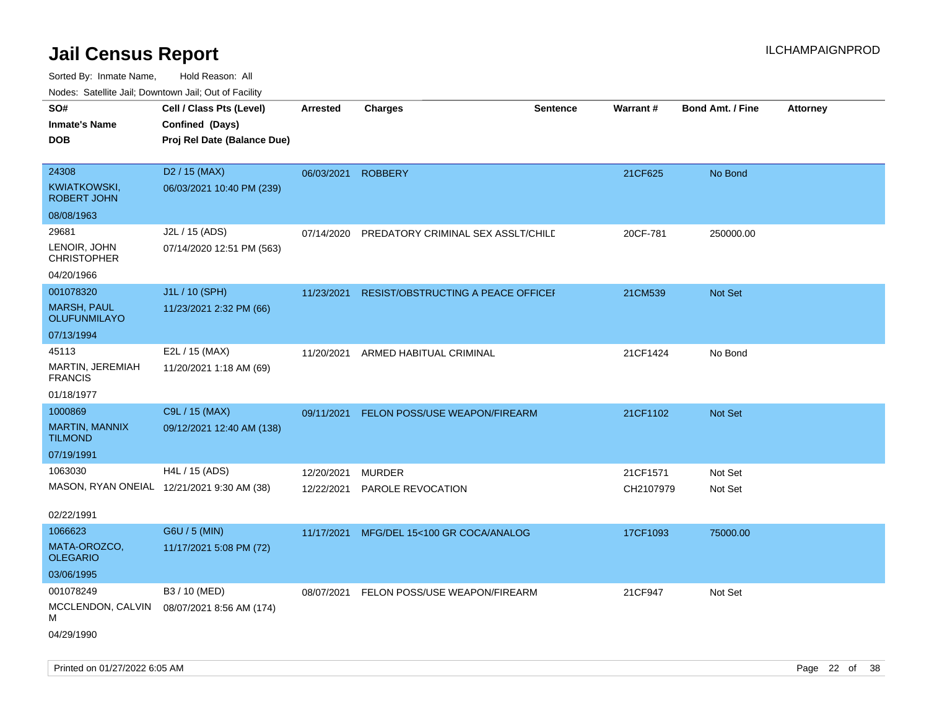| SO#<br><b>Inmate's Name</b><br><b>DOB</b>                           | Cell / Class Pts (Level)<br>Confined (Days)<br>Proj Rel Date (Balance Due) | <b>Arrested</b>          | <b>Charges</b>                            | <b>Sentence</b> | Warrant#              | <b>Bond Amt. / Fine</b> | Attorney |
|---------------------------------------------------------------------|----------------------------------------------------------------------------|--------------------------|-------------------------------------------|-----------------|-----------------------|-------------------------|----------|
| 24308<br>KWIATKOWSKI,<br><b>ROBERT JOHN</b>                         | D <sub>2</sub> / 15 (MAX)<br>06/03/2021 10:40 PM (239)                     | 06/03/2021               | <b>ROBBERY</b>                            |                 | 21CF625               | No Bond                 |          |
| 08/08/1963                                                          |                                                                            |                          |                                           |                 |                       |                         |          |
| 29681<br>LENOIR, JOHN<br><b>CHRISTOPHER</b>                         | J2L / 15 (ADS)<br>07/14/2020 12:51 PM (563)                                | 07/14/2020               | PREDATORY CRIMINAL SEX ASSLT/CHILD        |                 | 20CF-781              | 250000.00               |          |
| 04/20/1966                                                          |                                                                            |                          |                                           |                 |                       |                         |          |
| 001078320<br><b>MARSH, PAUL</b><br>OLUFUNMILAYO                     | J1L / 10 (SPH)<br>11/23/2021 2:32 PM (66)                                  | 11/23/2021               | <b>RESIST/OBSTRUCTING A PEACE OFFICEF</b> |                 | 21CM539               | <b>Not Set</b>          |          |
| 07/13/1994                                                          |                                                                            |                          |                                           |                 |                       |                         |          |
| 45113<br>MARTIN, JEREMIAH<br><b>FRANCIS</b>                         | E2L / 15 (MAX)<br>11/20/2021 1:18 AM (69)                                  | 11/20/2021               | ARMED HABITUAL CRIMINAL                   |                 | 21CF1424              | No Bond                 |          |
| 01/18/1977                                                          |                                                                            |                          |                                           |                 |                       |                         |          |
| 1000869<br><b>MARTIN, MANNIX</b><br><b>TILMOND</b>                  | C9L / 15 (MAX)<br>09/12/2021 12:40 AM (138)                                | 09/11/2021               | FELON POSS/USE WEAPON/FIREARM             |                 | 21CF1102              | <b>Not Set</b>          |          |
| 07/19/1991                                                          |                                                                            |                          |                                           |                 |                       |                         |          |
| 1063030<br>MASON, RYAN ONEIAL 12/21/2021 9:30 AM (38)<br>02/22/1991 | H4L / 15 (ADS)                                                             | 12/20/2021<br>12/22/2021 | <b>MURDER</b><br>PAROLE REVOCATION        |                 | 21CF1571<br>CH2107979 | Not Set<br>Not Set      |          |
| 1066623                                                             | G6U / 5 (MIN)                                                              |                          |                                           |                 |                       |                         |          |
| MATA-OROZCO,<br><b>OLEGARIO</b>                                     | 11/17/2021 5:08 PM (72)                                                    | 11/17/2021               | MFG/DEL 15<100 GR COCA/ANALOG             |                 | 17CF1093              | 75000.00                |          |
| 03/06/1995                                                          |                                                                            |                          |                                           |                 |                       |                         |          |
| 001078249<br>MCCLENDON, CALVIN<br>м<br>04/29/1990                   | B3 / 10 (MED)<br>08/07/2021 8:56 AM (174)                                  | 08/07/2021               | FELON POSS/USE WEAPON/FIREARM             |                 | 21CF947               | Not Set                 |          |
|                                                                     |                                                                            |                          |                                           |                 |                       |                         |          |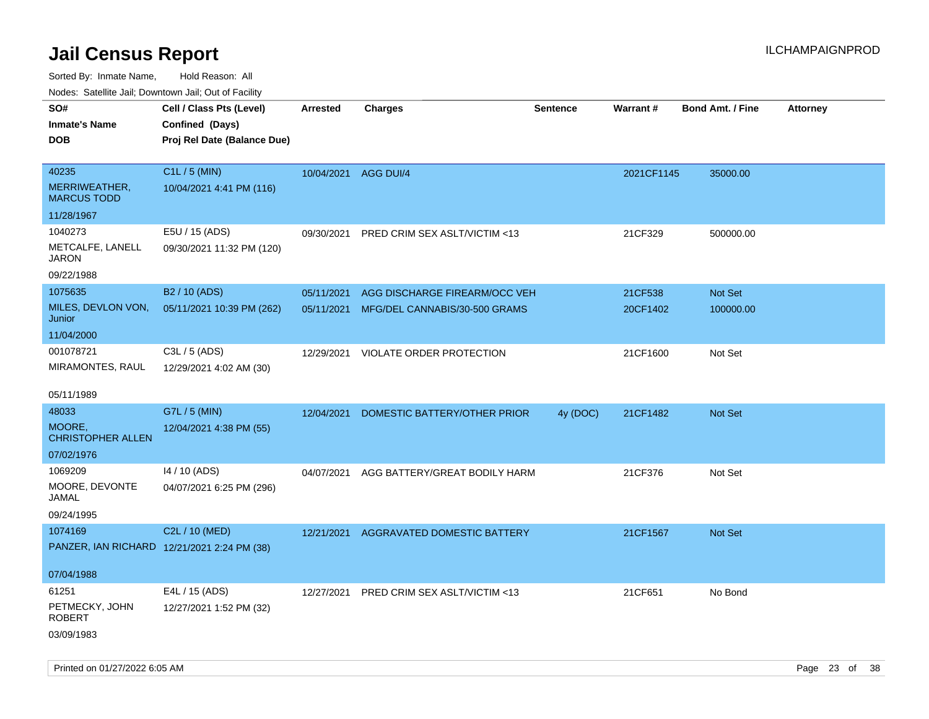Sorted By: Inmate Name, Hold Reason: All

|  |  |  | Nodes: Satellite Jail; Downtown Jail; Out of Facility |  |  |  |  |
|--|--|--|-------------------------------------------------------|--|--|--|--|
|--|--|--|-------------------------------------------------------|--|--|--|--|

| SO#                                 | Cell / Class Pts (Level)                    | <b>Arrested</b> | <b>Charges</b>                           | <b>Sentence</b> | Warrant#   | <b>Bond Amt. / Fine</b> | <b>Attorney</b> |
|-------------------------------------|---------------------------------------------|-----------------|------------------------------------------|-----------------|------------|-------------------------|-----------------|
| <b>Inmate's Name</b>                | Confined (Days)                             |                 |                                          |                 |            |                         |                 |
| <b>DOB</b>                          | Proj Rel Date (Balance Due)                 |                 |                                          |                 |            |                         |                 |
|                                     |                                             |                 |                                          |                 |            |                         |                 |
| 40235                               | C1L / 5 (MIN)                               |                 | 10/04/2021 AGG DUI/4                     |                 | 2021CF1145 | 35000.00                |                 |
| MERRIWEATHER,<br><b>MARCUS TODD</b> | 10/04/2021 4:41 PM (116)                    |                 |                                          |                 |            |                         |                 |
| 11/28/1967                          |                                             |                 |                                          |                 |            |                         |                 |
| 1040273                             | E5U / 15 (ADS)                              | 09/30/2021      | PRED CRIM SEX ASLT/VICTIM <13            |                 | 21CF329    | 500000.00               |                 |
| METCALFE, LANELL<br><b>JARON</b>    | 09/30/2021 11:32 PM (120)                   |                 |                                          |                 |            |                         |                 |
| 09/22/1988                          |                                             |                 |                                          |                 |            |                         |                 |
| 1075635                             | B2 / 10 (ADS)                               | 05/11/2021      | AGG DISCHARGE FIREARM/OCC VEH            |                 | 21CF538    | Not Set                 |                 |
| MILES, DEVLON VON,<br>Junior        | 05/11/2021 10:39 PM (262)                   |                 | 05/11/2021 MFG/DEL CANNABIS/30-500 GRAMS |                 | 20CF1402   | 100000.00               |                 |
| 11/04/2000                          |                                             |                 |                                          |                 |            |                         |                 |
| 001078721                           | C3L / 5 (ADS)                               | 12/29/2021      | <b>VIOLATE ORDER PROTECTION</b>          |                 | 21CF1600   | Not Set                 |                 |
| MIRAMONTES, RAUL                    | 12/29/2021 4:02 AM (30)                     |                 |                                          |                 |            |                         |                 |
| 05/11/1989                          |                                             |                 |                                          |                 |            |                         |                 |
| 48033                               | G7L / 5 (MIN)                               | 12/04/2021      | DOMESTIC BATTERY/OTHER PRIOR             | 4y (DOC)        | 21CF1482   | Not Set                 |                 |
| MOORE,<br><b>CHRISTOPHER ALLEN</b>  | 12/04/2021 4:38 PM (55)                     |                 |                                          |                 |            |                         |                 |
| 07/02/1976                          |                                             |                 |                                          |                 |            |                         |                 |
| 1069209                             | 14 / 10 (ADS)                               | 04/07/2021      | AGG BATTERY/GREAT BODILY HARM            |                 | 21CF376    | Not Set                 |                 |
| MOORE, DEVONTE<br><b>JAMAL</b>      | 04/07/2021 6:25 PM (296)                    |                 |                                          |                 |            |                         |                 |
| 09/24/1995                          |                                             |                 |                                          |                 |            |                         |                 |
| 1074169                             | C2L / 10 (MED)                              | 12/21/2021      | AGGRAVATED DOMESTIC BATTERY              |                 | 21CF1567   | Not Set                 |                 |
|                                     | PANZER, IAN RICHARD 12/21/2021 2:24 PM (38) |                 |                                          |                 |            |                         |                 |
| 07/04/1988                          |                                             |                 |                                          |                 |            |                         |                 |
| 61251                               | E4L / 15 (ADS)                              |                 | 12/27/2021 PRED CRIM SEX ASLT/VICTIM <13 |                 | 21CF651    | No Bond                 |                 |
| PETMECKY, JOHN<br><b>ROBERT</b>     | 12/27/2021 1:52 PM (32)                     |                 |                                          |                 |            |                         |                 |
| 03/09/1983                          |                                             |                 |                                          |                 |            |                         |                 |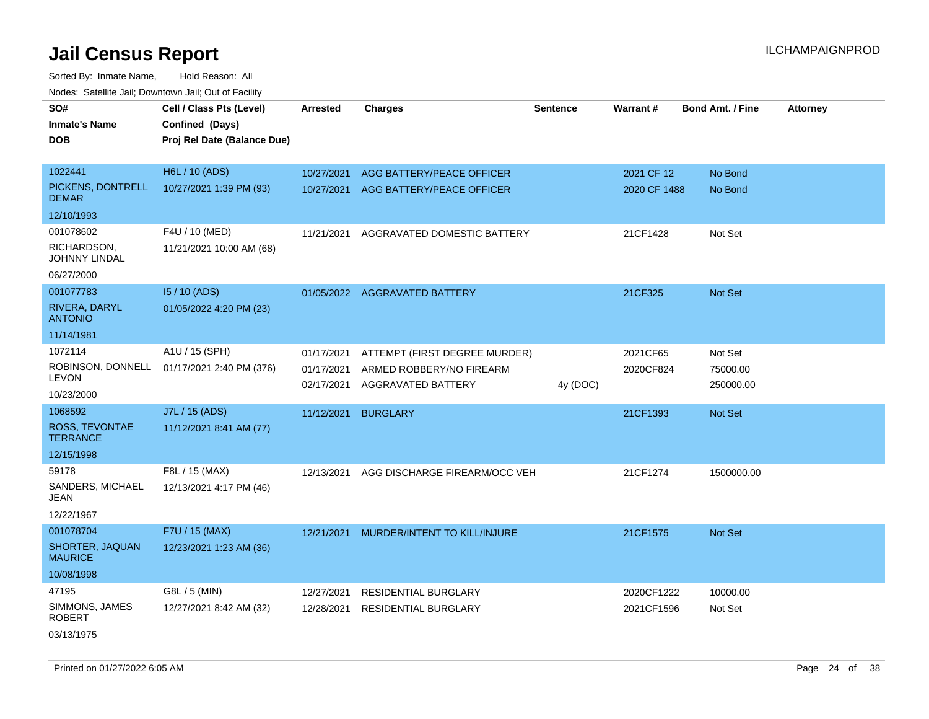Sorted By: Inmate Name, Hold Reason: All Nodes: Satellite Jail; Downtown Jail; Out of Facility

| SO#<br><b>Inmate's Name</b><br><b>DOB</b> | Cell / Class Pts (Level)<br>Confined (Days)<br>Proj Rel Date (Balance Due) | Arrested                 | <b>Charges</b>                                         | <b>Sentence</b> | Warrant#                   | <b>Bond Amt. / Fine</b> | <b>Attorney</b> |
|-------------------------------------------|----------------------------------------------------------------------------|--------------------------|--------------------------------------------------------|-----------------|----------------------------|-------------------------|-----------------|
| 1022441<br>PICKENS, DONTRELL              | H6L / 10 (ADS)<br>10/27/2021 1:39 PM (93)                                  | 10/27/2021<br>10/27/2021 | AGG BATTERY/PEACE OFFICER<br>AGG BATTERY/PEACE OFFICER |                 | 2021 CF 12<br>2020 CF 1488 | No Bond<br>No Bond      |                 |
| <b>DEMAR</b>                              |                                                                            |                          |                                                        |                 |                            |                         |                 |
| 12/10/1993                                |                                                                            |                          |                                                        |                 |                            |                         |                 |
| 001078602                                 | F4U / 10 (MED)                                                             | 11/21/2021               | AGGRAVATED DOMESTIC BATTERY                            |                 | 21CF1428                   | Not Set                 |                 |
| RICHARDSON,<br>JOHNNY LINDAL              | 11/21/2021 10:00 AM (68)                                                   |                          |                                                        |                 |                            |                         |                 |
| 06/27/2000                                |                                                                            |                          |                                                        |                 |                            |                         |                 |
| 001077783                                 | 15 / 10 (ADS)                                                              |                          | 01/05/2022 AGGRAVATED BATTERY                          |                 | 21CF325                    | <b>Not Set</b>          |                 |
| RIVERA, DARYL<br><b>ANTONIO</b>           | 01/05/2022 4:20 PM (23)                                                    |                          |                                                        |                 |                            |                         |                 |
| 11/14/1981                                |                                                                            |                          |                                                        |                 |                            |                         |                 |
| 1072114                                   | A1U / 15 (SPH)                                                             | 01/17/2021               | ATTEMPT (FIRST DEGREE MURDER)                          |                 | 2021CF65                   | Not Set                 |                 |
| LEVON                                     | ROBINSON, DONNELL 01/17/2021 2:40 PM (376)                                 | 01/17/2021<br>02/17/2021 | ARMED ROBBERY/NO FIREARM<br>AGGRAVATED BATTERY         | 4y (DOC)        | 2020CF824                  | 75000.00<br>250000.00   |                 |
| 10/23/2000                                |                                                                            |                          |                                                        |                 |                            |                         |                 |
| 1068592                                   | J7L / 15 (ADS)                                                             | 11/12/2021               | <b>BURGLARY</b>                                        |                 | 21CF1393                   | <b>Not Set</b>          |                 |
| ROSS, TEVONTAE<br><b>TERRANCE</b>         | 11/12/2021 8:41 AM (77)                                                    |                          |                                                        |                 |                            |                         |                 |
| 12/15/1998                                |                                                                            |                          |                                                        |                 |                            |                         |                 |
| 59178                                     | F8L / 15 (MAX)                                                             | 12/13/2021               | AGG DISCHARGE FIREARM/OCC VEH                          |                 | 21CF1274                   | 1500000.00              |                 |
| SANDERS, MICHAEL<br>JEAN                  | 12/13/2021 4:17 PM (46)                                                    |                          |                                                        |                 |                            |                         |                 |
| 12/22/1967                                |                                                                            |                          |                                                        |                 |                            |                         |                 |
| 001078704                                 | F7U / 15 (MAX)                                                             | 12/21/2021               | MURDER/INTENT TO KILL/INJURE                           |                 | 21CF1575                   | <b>Not Set</b>          |                 |
| SHORTER, JAQUAN<br><b>MAURICE</b>         | 12/23/2021 1:23 AM (36)                                                    |                          |                                                        |                 |                            |                         |                 |
| 10/08/1998                                |                                                                            |                          |                                                        |                 |                            |                         |                 |
| 47195                                     | G8L / 5 (MIN)                                                              | 12/27/2021               | <b>RESIDENTIAL BURGLARY</b>                            |                 | 2020CF1222                 | 10000.00                |                 |
| SIMMONS, JAMES<br><b>ROBERT</b>           | 12/27/2021 8:42 AM (32)                                                    | 12/28/2021               | <b>RESIDENTIAL BURGLARY</b>                            |                 | 2021CF1596                 | Not Set                 |                 |
| 03/13/1975                                |                                                                            |                          |                                                        |                 |                            |                         |                 |

Printed on 01/27/2022 6:05 AM Page 24 of 38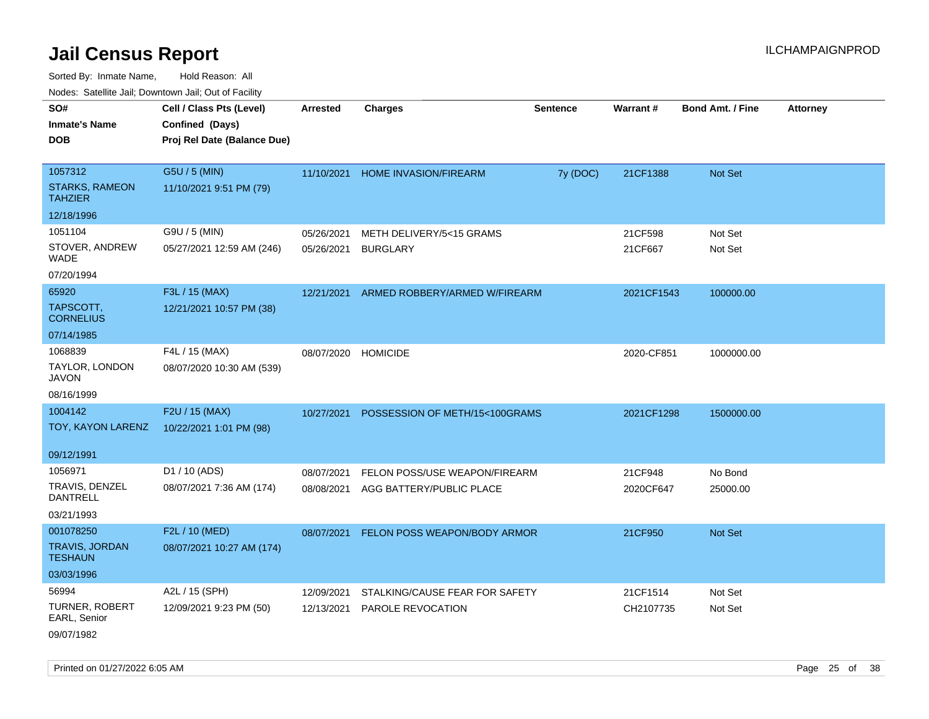Sorted By: Inmate Name, Hold Reason: All

|                                         | Nodes: Satellite Jail; Downtown Jail; Out of Facility |                 |                                |                 |                 |                         |                 |
|-----------------------------------------|-------------------------------------------------------|-----------------|--------------------------------|-----------------|-----------------|-------------------------|-----------------|
| SO#                                     | Cell / Class Pts (Level)                              | <b>Arrested</b> | <b>Charges</b>                 | <b>Sentence</b> | <b>Warrant#</b> | <b>Bond Amt. / Fine</b> | <b>Attorney</b> |
| <b>Inmate's Name</b>                    | Confined (Days)                                       |                 |                                |                 |                 |                         |                 |
| <b>DOB</b>                              | Proj Rel Date (Balance Due)                           |                 |                                |                 |                 |                         |                 |
|                                         |                                                       |                 |                                |                 |                 |                         |                 |
| 1057312                                 | G5U / 5 (MIN)                                         | 11/10/2021      | HOME INVASION/FIREARM          | 7y (DOC)        | 21CF1388        | Not Set                 |                 |
| <b>STARKS, RAMEON</b><br><b>TAHZIER</b> | 11/10/2021 9:51 PM (79)                               |                 |                                |                 |                 |                         |                 |
| 12/18/1996                              |                                                       |                 |                                |                 |                 |                         |                 |
| 1051104                                 | G9U / 5 (MIN)                                         | 05/26/2021      | METH DELIVERY/5<15 GRAMS       |                 | 21CF598         | Not Set                 |                 |
| STOVER, ANDREW<br><b>WADE</b>           | 05/27/2021 12:59 AM (246)                             | 05/26/2021      | <b>BURGLARY</b>                |                 | 21CF667         | Not Set                 |                 |
| 07/20/1994                              |                                                       |                 |                                |                 |                 |                         |                 |
| 65920                                   | F3L / 15 (MAX)                                        | 12/21/2021      | ARMED ROBBERY/ARMED W/FIREARM  |                 | 2021CF1543      | 100000.00               |                 |
| TAPSCOTT,<br><b>CORNELIUS</b>           | 12/21/2021 10:57 PM (38)                              |                 |                                |                 |                 |                         |                 |
| 07/14/1985                              |                                                       |                 |                                |                 |                 |                         |                 |
| 1068839                                 | F4L / 15 (MAX)                                        | 08/07/2020      | <b>HOMICIDE</b>                |                 | 2020-CF851      | 1000000.00              |                 |
| TAYLOR, LONDON<br><b>JAVON</b>          | 08/07/2020 10:30 AM (539)                             |                 |                                |                 |                 |                         |                 |
| 08/16/1999                              |                                                       |                 |                                |                 |                 |                         |                 |
| 1004142                                 | F2U / 15 (MAX)                                        | 10/27/2021      | POSSESSION OF METH/15<100GRAMS |                 | 2021CF1298      | 1500000.00              |                 |
| TOY, KAYON LARENZ                       | 10/22/2021 1:01 PM (98)                               |                 |                                |                 |                 |                         |                 |
|                                         |                                                       |                 |                                |                 |                 |                         |                 |
| 09/12/1991                              |                                                       |                 |                                |                 |                 |                         |                 |
| 1056971                                 | D1 / 10 (ADS)                                         | 08/07/2021      | FELON POSS/USE WEAPON/FIREARM  |                 | 21CF948         | No Bond                 |                 |
| TRAVIS, DENZEL<br>DANTRELL              | 08/07/2021 7:36 AM (174)                              | 08/08/2021      | AGG BATTERY/PUBLIC PLACE       |                 | 2020CF647       | 25000.00                |                 |
| 03/21/1993                              |                                                       |                 |                                |                 |                 |                         |                 |
| 001078250                               | F2L / 10 (MED)                                        | 08/07/2021      | FELON POSS WEAPON/BODY ARMOR   |                 | 21CF950         | Not Set                 |                 |
| <b>TRAVIS, JORDAN</b><br><b>TESHAUN</b> | 08/07/2021 10:27 AM (174)                             |                 |                                |                 |                 |                         |                 |
| 03/03/1996                              |                                                       |                 |                                |                 |                 |                         |                 |
| 56994                                   | A2L / 15 (SPH)                                        | 12/09/2021      | STALKING/CAUSE FEAR FOR SAFETY |                 | 21CF1514        | Not Set                 |                 |
| TURNER, ROBERT<br>EARL, Senior          | 12/09/2021 9:23 PM (50)                               | 12/13/2021      | <b>PAROLE REVOCATION</b>       |                 | CH2107735       | Not Set                 |                 |
| 09/07/1982                              |                                                       |                 |                                |                 |                 |                         |                 |

Printed on 01/27/2022 6:05 AM Page 25 of 38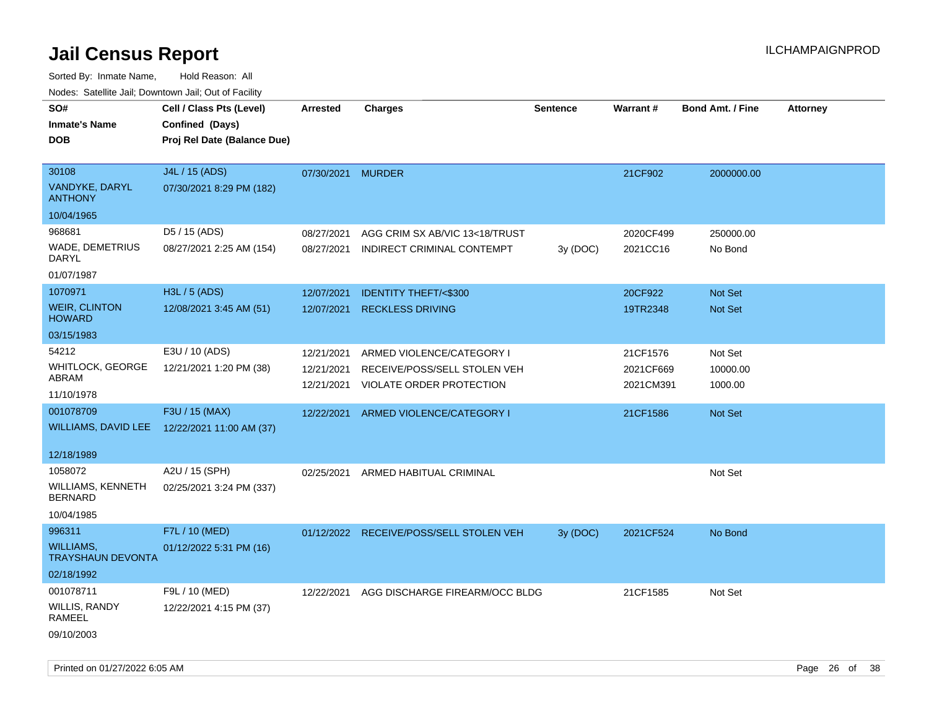| roaco. Catolino cali, Domntonn cali, Out of Facility |                             |                 |                                         |                 |                 |                         |                 |
|------------------------------------------------------|-----------------------------|-----------------|-----------------------------------------|-----------------|-----------------|-------------------------|-----------------|
| SO#                                                  | Cell / Class Pts (Level)    | <b>Arrested</b> | <b>Charges</b>                          | <b>Sentence</b> | <b>Warrant#</b> | <b>Bond Amt. / Fine</b> | <b>Attorney</b> |
| <b>Inmate's Name</b>                                 | Confined (Days)             |                 |                                         |                 |                 |                         |                 |
| <b>DOB</b>                                           | Proj Rel Date (Balance Due) |                 |                                         |                 |                 |                         |                 |
|                                                      |                             |                 |                                         |                 |                 |                         |                 |
| 30108                                                | J4L / 15 (ADS)              | 07/30/2021      | <b>MURDER</b>                           |                 | 21CF902         | 2000000.00              |                 |
| <b>VANDYKE, DARYL</b><br><b>ANTHONY</b>              | 07/30/2021 8:29 PM (182)    |                 |                                         |                 |                 |                         |                 |
| 10/04/1965                                           |                             |                 |                                         |                 |                 |                         |                 |
| 968681                                               | D5 / 15 (ADS)               | 08/27/2021      | AGG CRIM SX AB/VIC 13<18/TRUST          |                 | 2020CF499       | 250000.00               |                 |
| WADE, DEMETRIUS<br>DARYL                             | 08/27/2021 2:25 AM (154)    | 08/27/2021      | INDIRECT CRIMINAL CONTEMPT              | 3y (DOC)        | 2021CC16        | No Bond                 |                 |
| 01/07/1987                                           |                             |                 |                                         |                 |                 |                         |                 |
| 1070971                                              | H3L / 5 (ADS)               | 12/07/2021      | <b>IDENTITY THEFT/&lt;\$300</b>         |                 | 20CF922         | Not Set                 |                 |
| <b>WEIR, CLINTON</b><br><b>HOWARD</b>                | 12/08/2021 3:45 AM (51)     | 12/07/2021      | <b>RECKLESS DRIVING</b>                 |                 | 19TR2348        | Not Set                 |                 |
| 03/15/1983                                           |                             |                 |                                         |                 |                 |                         |                 |
| 54212                                                | E3U / 10 (ADS)              | 12/21/2021      | ARMED VIOLENCE/CATEGORY I               |                 | 21CF1576        | Not Set                 |                 |
| WHITLOCK, GEORGE                                     | 12/21/2021 1:20 PM (38)     | 12/21/2021      | RECEIVE/POSS/SELL STOLEN VEH            |                 | 2021CF669       | 10000.00                |                 |
| ABRAM                                                |                             | 12/21/2021      | VIOLATE ORDER PROTECTION                |                 | 2021CM391       | 1000.00                 |                 |
| 11/10/1978                                           |                             |                 |                                         |                 |                 |                         |                 |
| 001078709                                            | F3U / 15 (MAX)              | 12/22/2021      | ARMED VIOLENCE/CATEGORY I               |                 | 21CF1586        | Not Set                 |                 |
| WILLIAMS, DAVID LEE                                  | 12/22/2021 11:00 AM (37)    |                 |                                         |                 |                 |                         |                 |
|                                                      |                             |                 |                                         |                 |                 |                         |                 |
| 12/18/1989                                           |                             |                 |                                         |                 |                 |                         |                 |
| 1058072                                              | A2U / 15 (SPH)              | 02/25/2021      | ARMED HABITUAL CRIMINAL                 |                 |                 | Not Set                 |                 |
| WILLIAMS, KENNETH<br><b>BERNARD</b>                  | 02/25/2021 3:24 PM (337)    |                 |                                         |                 |                 |                         |                 |
| 10/04/1985                                           |                             |                 |                                         |                 |                 |                         |                 |
| 996311                                               | F7L / 10 (MED)              |                 | 01/12/2022 RECEIVE/POSS/SELL STOLEN VEH | 3y (DOC)        | 2021CF524       | No Bond                 |                 |
| <b>WILLIAMS,</b><br><b>TRAYSHAUN DEVONTA</b>         | 01/12/2022 5:31 PM (16)     |                 |                                         |                 |                 |                         |                 |
| 02/18/1992                                           |                             |                 |                                         |                 |                 |                         |                 |
| 001078711                                            | F9L / 10 (MED)              | 12/22/2021      | AGG DISCHARGE FIREARM/OCC BLDG          |                 | 21CF1585        | Not Set                 |                 |
| WILLIS, RANDY<br>RAMEEL                              | 12/22/2021 4:15 PM (37)     |                 |                                         |                 |                 |                         |                 |
| 09/10/2003                                           |                             |                 |                                         |                 |                 |                         |                 |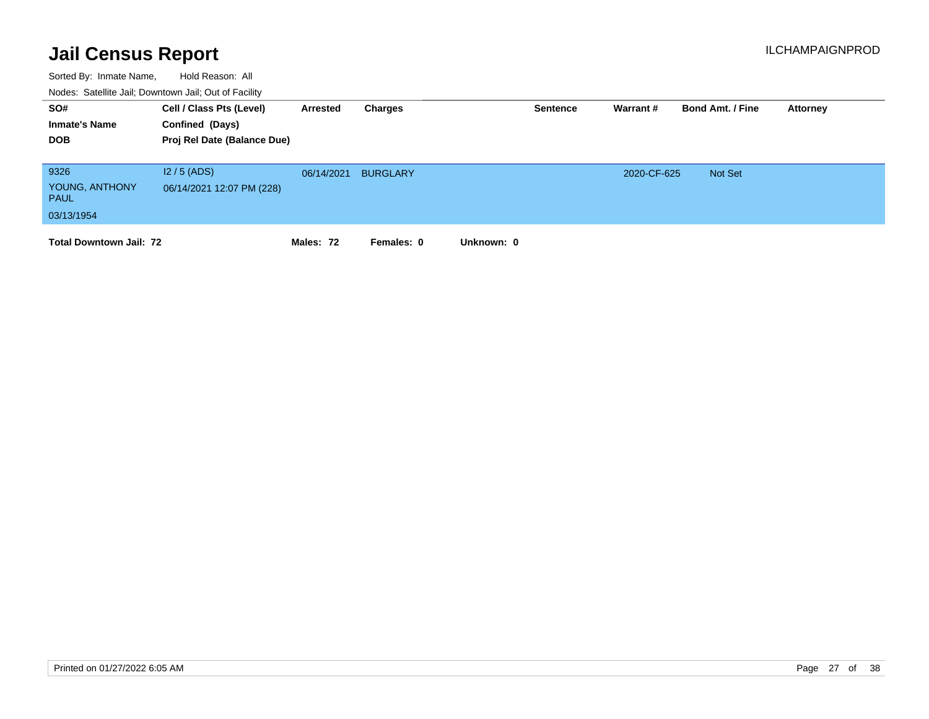| SO#<br><b>Inmate's Name</b><br><b>DOB</b>           | Cell / Class Pts (Level)<br>Confined (Days)<br>Proj Rel Date (Balance Due) | Arrested   | Charges         | <b>Sentence</b> | Warrant #   | <b>Bond Amt. / Fine</b> | Attorney |
|-----------------------------------------------------|----------------------------------------------------------------------------|------------|-----------------|-----------------|-------------|-------------------------|----------|
| 9326<br>YOUNG, ANTHONY<br><b>PAUL</b><br>03/13/1954 | $12/5$ (ADS)<br>06/14/2021 12:07 PM (228)                                  | 06/14/2021 | <b>BURGLARY</b> |                 | 2020-CF-625 | Not Set                 |          |
| <b>Total Downtown Jail: 72</b>                      |                                                                            | Males: 72  | Females: 0      | Unknown: 0      |             |                         |          |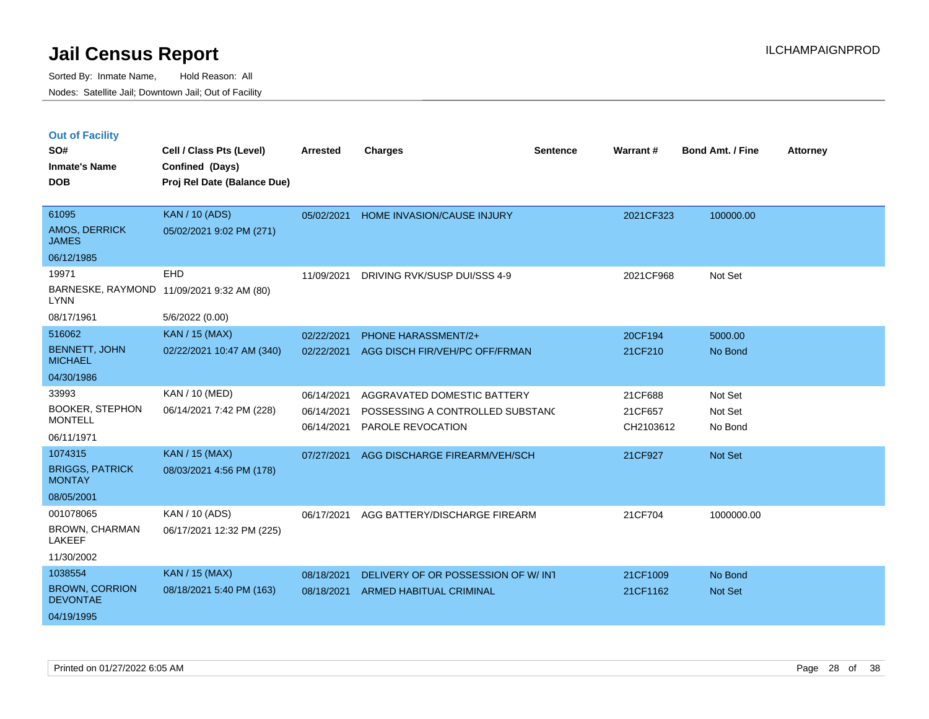|  | <b>Out of Facility</b> |
|--|------------------------|
|  |                        |

| SO#<br><b>Inmate's Name</b><br><b>DOB</b>                                  | Cell / Class Pts (Level)<br>Confined (Days)<br>Proj Rel Date (Balance Due) | <b>Arrested</b>                                      | <b>Charges</b>                                                                                                        | <b>Sentence</b> | Warrant#                                   | <b>Bond Amt. / Fine</b>                  | <b>Attorney</b> |
|----------------------------------------------------------------------------|----------------------------------------------------------------------------|------------------------------------------------------|-----------------------------------------------------------------------------------------------------------------------|-----------------|--------------------------------------------|------------------------------------------|-----------------|
| 61095<br><b>AMOS, DERRICK</b><br><b>JAMES</b><br>06/12/1985                | <b>KAN / 10 (ADS)</b><br>05/02/2021 9:02 PM (271)                          | 05/02/2021                                           | HOME INVASION/CAUSE INJURY                                                                                            |                 | 2021CF323                                  | 100000.00                                |                 |
| 19971<br><b>LYNN</b><br>08/17/1961                                         | EHD<br>BARNESKE, RAYMOND 11/09/2021 9:32 AM (80)<br>5/6/2022 (0.00)        | 11/09/2021                                           | DRIVING RVK/SUSP DUI/SSS 4-9                                                                                          |                 | 2021CF968                                  | Not Set                                  |                 |
| 516062<br><b>BENNETT, JOHN</b><br><b>MICHAEL</b><br>04/30/1986             | <b>KAN / 15 (MAX)</b><br>02/22/2021 10:47 AM (340)                         | 02/22/2021<br>02/22/2021                             | <b>PHONE HARASSMENT/2+</b><br>AGG DISCH FIR/VEH/PC OFF/FRMAN                                                          |                 | 20CF194<br>21CF210                         | 5000.00<br>No Bond                       |                 |
| 33993<br><b>BOOKER, STEPHON</b><br><b>MONTELL</b><br>06/11/1971<br>1074315 | KAN / 10 (MED)<br>06/14/2021 7:42 PM (228)<br><b>KAN / 15 (MAX)</b>        | 06/14/2021<br>06/14/2021<br>06/14/2021<br>07/27/2021 | AGGRAVATED DOMESTIC BATTERY<br>POSSESSING A CONTROLLED SUBSTANC<br>PAROLE REVOCATION<br>AGG DISCHARGE FIREARM/VEH/SCH |                 | 21CF688<br>21CF657<br>CH2103612<br>21CF927 | Not Set<br>Not Set<br>No Bond<br>Not Set |                 |
| <b>BRIGGS, PATRICK</b><br><b>MONTAY</b><br>08/05/2001                      | 08/03/2021 4:56 PM (178)                                                   |                                                      |                                                                                                                       |                 |                                            |                                          |                 |
| 001078065<br>BROWN, CHARMAN<br><b>LAKEEF</b><br>11/30/2002                 | KAN / 10 (ADS)<br>06/17/2021 12:32 PM (225)                                | 06/17/2021                                           | AGG BATTERY/DISCHARGE FIREARM                                                                                         |                 | 21CF704                                    | 1000000.00                               |                 |
| 1038554<br><b>BROWN, CORRION</b><br><b>DEVONTAE</b><br>04/19/1995          | <b>KAN / 15 (MAX)</b><br>08/18/2021 5:40 PM (163)                          | 08/18/2021<br>08/18/2021                             | DELIVERY OF OR POSSESSION OF W/ INT<br>ARMED HABITUAL CRIMINAL                                                        |                 | 21CF1009<br>21CF1162                       | No Bond<br>Not Set                       |                 |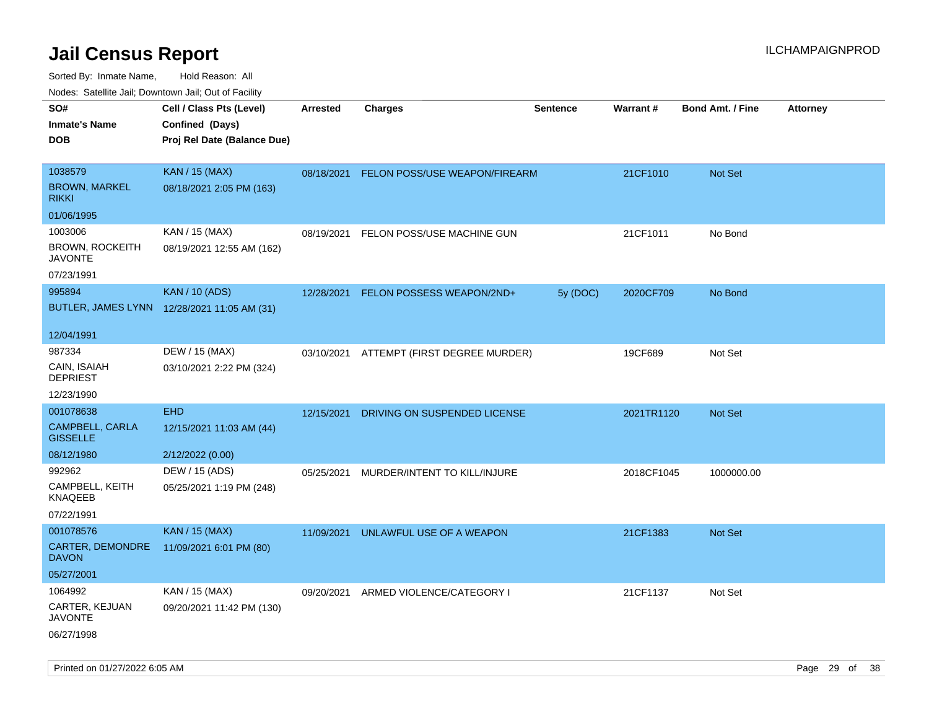| rouco. Calcinic Jan, Downtown Jan, Out of Facility  |                                                                            |                 |                                          |                 |                 |                         |                 |
|-----------------------------------------------------|----------------------------------------------------------------------------|-----------------|------------------------------------------|-----------------|-----------------|-------------------------|-----------------|
| SO#<br>Inmate's Name<br>DOB                         | Cell / Class Pts (Level)<br>Confined (Days)<br>Proj Rel Date (Balance Due) | <b>Arrested</b> | <b>Charges</b>                           | <b>Sentence</b> | <b>Warrant#</b> | <b>Bond Amt. / Fine</b> | <b>Attorney</b> |
| 1038579<br><b>BROWN, MARKEL</b><br>rikki            | <b>KAN / 15 (MAX)</b><br>08/18/2021 2:05 PM (163)                          |                 | 08/18/2021 FELON POSS/USE WEAPON/FIREARM |                 | 21CF1010        | <b>Not Set</b>          |                 |
| 01/06/1995                                          |                                                                            |                 |                                          |                 |                 |                         |                 |
| 1003006<br><b>BROWN, ROCKEITH</b><br><b>JAVONTE</b> | KAN / 15 (MAX)<br>08/19/2021 12:55 AM (162)                                | 08/19/2021      | FELON POSS/USE MACHINE GUN               |                 | 21CF1011        | No Bond                 |                 |
| 07/23/1991                                          |                                                                            |                 |                                          |                 |                 |                         |                 |
| 995894                                              | <b>KAN / 10 (ADS)</b><br>BUTLER, JAMES LYNN 12/28/2021 11:05 AM (31)       | 12/28/2021      | FELON POSSESS WEAPON/2ND+                | 5y (DOC)        | 2020CF709       | No Bond                 |                 |
| 12/04/1991                                          |                                                                            |                 |                                          |                 |                 |                         |                 |
| 987334<br>CAIN, ISAIAH<br><b>DEPRIEST</b>           | DEW / 15 (MAX)<br>03/10/2021 2:22 PM (324)                                 |                 | 03/10/2021 ATTEMPT (FIRST DEGREE MURDER) |                 | 19CF689         | Not Set                 |                 |
| 12/23/1990                                          |                                                                            |                 |                                          |                 |                 |                         |                 |
| 001078638                                           | <b>EHD</b>                                                                 | 12/15/2021      | DRIVING ON SUSPENDED LICENSE             |                 | 2021TR1120      | Not Set                 |                 |
| CAMPBELL, CARLA<br><b>GISSELLE</b>                  | 12/15/2021 11:03 AM (44)                                                   |                 |                                          |                 |                 |                         |                 |
| 08/12/1980                                          | 2/12/2022 (0.00)                                                           |                 |                                          |                 |                 |                         |                 |
| 992962                                              | DEW / 15 (ADS)                                                             | 05/25/2021      | MURDER/INTENT TO KILL/INJURE             |                 | 2018CF1045      | 1000000.00              |                 |
| CAMPBELL, KEITH<br>KNAQEEB                          | 05/25/2021 1:19 PM (248)                                                   |                 |                                          |                 |                 |                         |                 |
| 07/22/1991                                          |                                                                            |                 |                                          |                 |                 |                         |                 |
| 001078576                                           | <b>KAN / 15 (MAX)</b>                                                      | 11/09/2021      | UNLAWFUL USE OF A WEAPON                 |                 | 21CF1383        | <b>Not Set</b>          |                 |
| CARTER, DEMONDRE<br>DAVON                           | 11/09/2021 6:01 PM (80)                                                    |                 |                                          |                 |                 |                         |                 |
| 05/27/2001                                          |                                                                            |                 |                                          |                 |                 |                         |                 |
| 1064992                                             | KAN / 15 (MAX)                                                             | 09/20/2021      | ARMED VIOLENCE/CATEGORY I                |                 | 21CF1137        | Not Set                 |                 |
| CARTER, KEJUAN<br>JAVONTE                           | 09/20/2021 11:42 PM (130)                                                  |                 |                                          |                 |                 |                         |                 |
| 06/27/1998                                          |                                                                            |                 |                                          |                 |                 |                         |                 |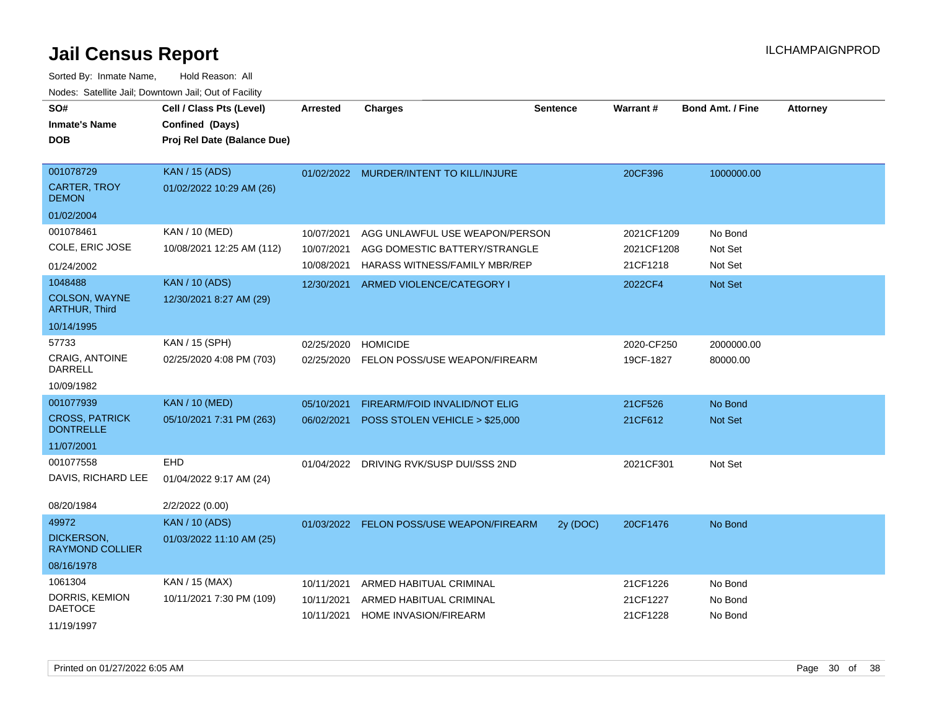| SO#<br><b>Inmate's Name</b><br><b>DOB</b>        | Cell / Class Pts (Level)<br>Confined (Days)<br>Proj Rel Date (Balance Due) | <b>Arrested</b> | <b>Charges</b>                           | <b>Sentence</b> | <b>Warrant#</b> | <b>Bond Amt. / Fine</b> | <b>Attorney</b> |
|--------------------------------------------------|----------------------------------------------------------------------------|-----------------|------------------------------------------|-----------------|-----------------|-------------------------|-----------------|
| 001078729<br><b>CARTER, TROY</b><br><b>DEMON</b> | <b>KAN / 15 (ADS)</b><br>01/02/2022 10:29 AM (26)                          | 01/02/2022      | MURDER/INTENT TO KILL/INJURE             |                 | 20CF396         | 1000000.00              |                 |
| 01/02/2004                                       |                                                                            |                 |                                          |                 |                 |                         |                 |
| 001078461                                        | KAN / 10 (MED)                                                             | 10/07/2021      | AGG UNLAWFUL USE WEAPON/PERSON           |                 | 2021CF1209      | No Bond                 |                 |
| COLE, ERIC JOSE                                  | 10/08/2021 12:25 AM (112)                                                  | 10/07/2021      | AGG DOMESTIC BATTERY/STRANGLE            |                 | 2021CF1208      | Not Set                 |                 |
| 01/24/2002                                       |                                                                            | 10/08/2021      | <b>HARASS WITNESS/FAMILY MBR/REP</b>     |                 | 21CF1218        | Not Set                 |                 |
| 1048488<br>COLSON, WAYNE<br><b>ARTHUR, Third</b> | <b>KAN / 10 (ADS)</b><br>12/30/2021 8:27 AM (29)                           | 12/30/2021      | ARMED VIOLENCE/CATEGORY I                |                 | 2022CF4         | Not Set                 |                 |
| 10/14/1995                                       |                                                                            |                 |                                          |                 |                 |                         |                 |
| 57733                                            | KAN / 15 (SPH)                                                             | 02/25/2020      | <b>HOMICIDE</b>                          |                 | 2020-CF250      | 2000000.00              |                 |
| <b>CRAIG. ANTOINE</b><br><b>DARRELL</b>          | 02/25/2020 4:08 PM (703)                                                   |                 | 02/25/2020 FELON POSS/USE WEAPON/FIREARM |                 | 19CF-1827       | 80000.00                |                 |
| 10/09/1982                                       |                                                                            |                 |                                          |                 |                 |                         |                 |
| 001077939                                        | <b>KAN / 10 (MED)</b>                                                      | 05/10/2021      | FIREARM/FOID INVALID/NOT ELIG            |                 | 21CF526         | No Bond                 |                 |
| <b>CROSS, PATRICK</b><br><b>DONTRELLE</b>        | 05/10/2021 7:31 PM (263)                                                   | 06/02/2021      | POSS STOLEN VEHICLE > \$25,000           |                 | 21CF612         | Not Set                 |                 |
| 11/07/2001                                       |                                                                            |                 |                                          |                 |                 |                         |                 |
| 001077558                                        | <b>EHD</b>                                                                 | 01/04/2022      | DRIVING RVK/SUSP DUI/SSS 2ND             |                 | 2021CF301       | Not Set                 |                 |
| DAVIS, RICHARD LEE                               | 01/04/2022 9:17 AM (24)                                                    |                 |                                          |                 |                 |                         |                 |
| 08/20/1984                                       | 2/2/2022 (0.00)                                                            |                 |                                          |                 |                 |                         |                 |
| 49972                                            | <b>KAN / 10 (ADS)</b>                                                      | 01/03/2022      | FELON POSS/USE WEAPON/FIREARM            | 2y (DOC)        | 20CF1476        | No Bond                 |                 |
| <b>DICKERSON.</b><br><b>RAYMOND COLLIER</b>      | 01/03/2022 11:10 AM (25)                                                   |                 |                                          |                 |                 |                         |                 |
| 08/16/1978                                       |                                                                            |                 |                                          |                 |                 |                         |                 |
| 1061304                                          | KAN / 15 (MAX)                                                             | 10/11/2021      | ARMED HABITUAL CRIMINAL                  |                 | 21CF1226        | No Bond                 |                 |
| DORRIS, KEMION<br><b>DAETOCE</b>                 | 10/11/2021 7:30 PM (109)                                                   | 10/11/2021      | ARMED HABITUAL CRIMINAL                  |                 | 21CF1227        | No Bond                 |                 |
| 11/19/1997                                       |                                                                            | 10/11/2021      | <b>HOME INVASION/FIREARM</b>             |                 | 21CF1228        | No Bond                 |                 |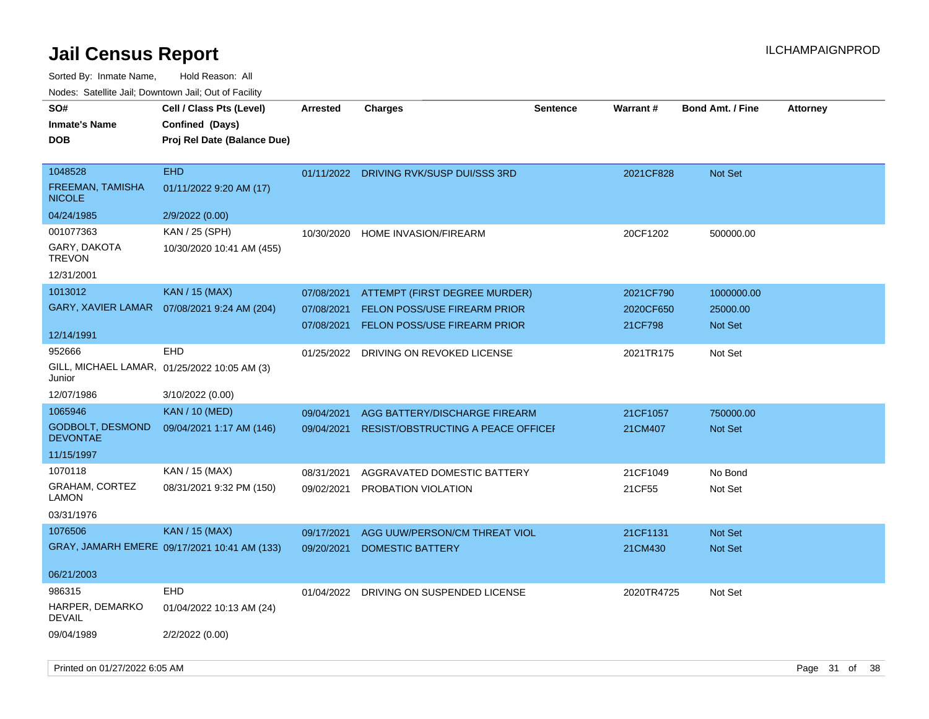Sorted By: Inmate Name, Hold Reason: All Nodes: Satellite Jail; Downtown Jail; Out of Facility

| SO#                                        | Cell / Class Pts (Level)                     | <b>Arrested</b> | <b>Charges</b>                            | <b>Sentence</b> | <b>Warrant#</b> | <b>Bond Amt. / Fine</b> | <b>Attorney</b> |
|--------------------------------------------|----------------------------------------------|-----------------|-------------------------------------------|-----------------|-----------------|-------------------------|-----------------|
| <b>Inmate's Name</b>                       | Confined (Days)                              |                 |                                           |                 |                 |                         |                 |
| <b>DOB</b>                                 | Proj Rel Date (Balance Due)                  |                 |                                           |                 |                 |                         |                 |
|                                            |                                              |                 |                                           |                 |                 |                         |                 |
| 1048528                                    | <b>EHD</b>                                   |                 | 01/11/2022 DRIVING RVK/SUSP DUI/SSS 3RD   |                 | 2021CF828       | Not Set                 |                 |
| FREEMAN, TAMISHA<br><b>NICOLE</b>          | 01/11/2022 9:20 AM (17)                      |                 |                                           |                 |                 |                         |                 |
| 04/24/1985                                 | 2/9/2022 (0.00)                              |                 |                                           |                 |                 |                         |                 |
| 001077363                                  | KAN / 25 (SPH)                               | 10/30/2020      | HOME INVASION/FIREARM                     |                 | 20CF1202        | 500000.00               |                 |
| GARY, DAKOTA<br><b>TREVON</b>              | 10/30/2020 10:41 AM (455)                    |                 |                                           |                 |                 |                         |                 |
| 12/31/2001                                 |                                              |                 |                                           |                 |                 |                         |                 |
| 1013012                                    | <b>KAN / 15 (MAX)</b>                        | 07/08/2021      | ATTEMPT (FIRST DEGREE MURDER)             |                 | 2021CF790       | 1000000.00              |                 |
| <b>GARY, XAVIER LAMAR</b>                  | 07/08/2021 9:24 AM (204)                     | 07/08/2021      | <b>FELON POSS/USE FIREARM PRIOR</b>       |                 | 2020CF650       | 25000.00                |                 |
|                                            |                                              | 07/08/2021      | <b>FELON POSS/USE FIREARM PRIOR</b>       |                 | 21CF798         | Not Set                 |                 |
| 12/14/1991                                 |                                              |                 |                                           |                 |                 |                         |                 |
| 952666                                     | <b>EHD</b>                                   | 01/25/2022      | DRIVING ON REVOKED LICENSE                |                 | 2021TR175       | Not Set                 |                 |
| Junior                                     | GILL, MICHAEL LAMAR, 01/25/2022 10:05 AM (3) |                 |                                           |                 |                 |                         |                 |
| 12/07/1986                                 | 3/10/2022 (0.00)                             |                 |                                           |                 |                 |                         |                 |
| 1065946                                    | <b>KAN / 10 (MED)</b>                        | 09/04/2021      | AGG BATTERY/DISCHARGE FIREARM             |                 | 21CF1057        | 750000.00               |                 |
| <b>GODBOLT, DESMOND</b><br><b>DEVONTAE</b> | 09/04/2021 1:17 AM (146)                     | 09/04/2021      | <b>RESIST/OBSTRUCTING A PEACE OFFICEF</b> |                 | 21CM407         | Not Set                 |                 |
| 11/15/1997                                 |                                              |                 |                                           |                 |                 |                         |                 |
| 1070118                                    | KAN / 15 (MAX)                               | 08/31/2021      | AGGRAVATED DOMESTIC BATTERY               |                 | 21CF1049        | No Bond                 |                 |
| GRAHAM, CORTEZ                             | 08/31/2021 9:32 PM (150)                     | 09/02/2021      | PROBATION VIOLATION                       |                 | 21CF55          | Not Set                 |                 |
| <b>LAMON</b>                               |                                              |                 |                                           |                 |                 |                         |                 |
| 03/31/1976                                 |                                              |                 |                                           |                 |                 |                         |                 |
| 1076506                                    | <b>KAN / 15 (MAX)</b>                        | 09/17/2021      | AGG UUW/PERSON/CM THREAT VIOL             |                 | 21CF1131        | <b>Not Set</b>          |                 |
|                                            | GRAY, JAMARH EMERE 09/17/2021 10:41 AM (133) | 09/20/2021      | <b>DOMESTIC BATTERY</b>                   |                 | 21CM430         | <b>Not Set</b>          |                 |
|                                            |                                              |                 |                                           |                 |                 |                         |                 |
| 06/21/2003                                 |                                              |                 |                                           |                 |                 |                         |                 |
| 986315                                     | <b>EHD</b>                                   | 01/04/2022      | DRIVING ON SUSPENDED LICENSE              |                 | 2020TR4725      | Not Set                 |                 |
| HARPER, DEMARKO<br><b>DEVAIL</b>           | 01/04/2022 10:13 AM (24)                     |                 |                                           |                 |                 |                         |                 |
| 09/04/1989                                 | 2/2/2022 (0.00)                              |                 |                                           |                 |                 |                         |                 |

Printed on 01/27/2022 6:05 AM **Page 31** of 38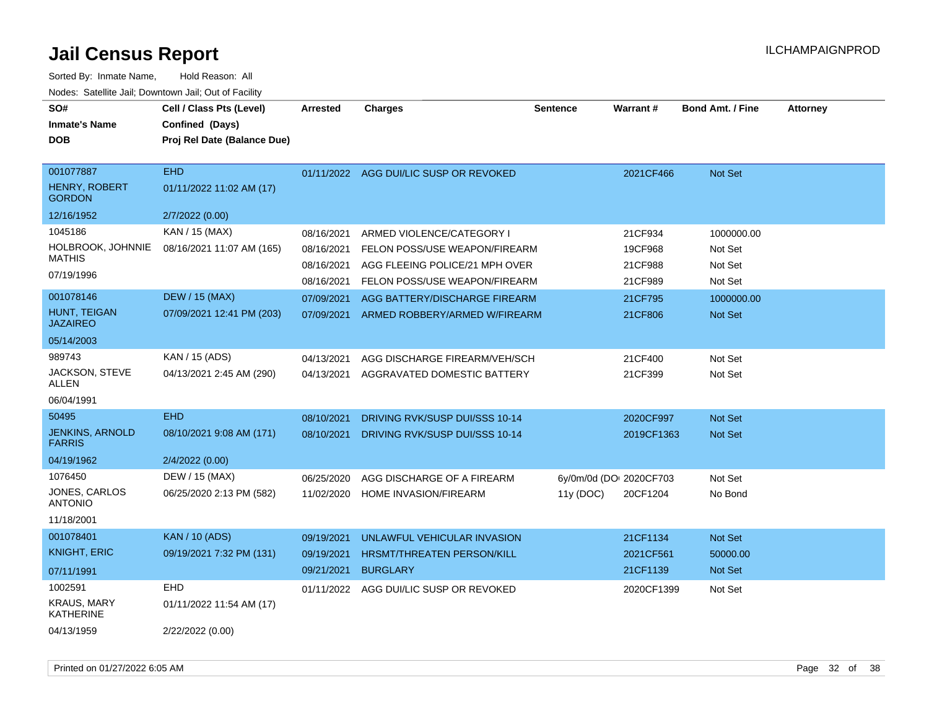| SO#<br><b>Inmate's Name</b><br><b>DOB</b>                  | Cell / Class Pts (Level)<br>Confined (Days)<br>Proj Rel Date (Balance Due) | <b>Arrested</b>                        | <b>Charges</b>                                                                               | <b>Sentence</b> | <b>Warrant#</b>                     | <b>Bond Amt. / Fine</b>          | <b>Attorney</b> |
|------------------------------------------------------------|----------------------------------------------------------------------------|----------------------------------------|----------------------------------------------------------------------------------------------|-----------------|-------------------------------------|----------------------------------|-----------------|
| 001077887<br><b>HENRY, ROBERT</b><br><b>GORDON</b>         | <b>EHD</b><br>01/11/2022 11:02 AM (17)                                     |                                        | 01/11/2022 AGG DUI/LIC SUSP OR REVOKED                                                       |                 | 2021CF466                           | Not Set                          |                 |
| 12/16/1952                                                 | 2/7/2022 (0.00)                                                            |                                        |                                                                                              |                 |                                     |                                  |                 |
| 1045186<br>HOLBROOK, JOHNNIE<br><b>MATHIS</b>              | KAN / 15 (MAX)<br>08/16/2021 11:07 AM (165)                                | 08/16/2021<br>08/16/2021<br>08/16/2021 | ARMED VIOLENCE/CATEGORY I<br>FELON POSS/USE WEAPON/FIREARM<br>AGG FLEEING POLICE/21 MPH OVER |                 | 21CF934<br>19CF968<br>21CF988       | 1000000.00<br>Not Set<br>Not Set |                 |
| 07/19/1996                                                 |                                                                            | 08/16/2021                             | FELON POSS/USE WEAPON/FIREARM                                                                |                 | 21CF989                             | Not Set                          |                 |
| 001078146<br>HUNT, TEIGAN<br><b>JAZAIREO</b><br>05/14/2003 | <b>DEW / 15 (MAX)</b><br>07/09/2021 12:41 PM (203)                         | 07/09/2021<br>07/09/2021               | AGG BATTERY/DISCHARGE FIREARM<br>ARMED ROBBERY/ARMED W/FIREARM                               |                 | 21CF795<br>21CF806                  | 1000000.00<br>Not Set            |                 |
| 989743                                                     | KAN / 15 (ADS)                                                             | 04/13/2021                             | AGG DISCHARGE FIREARM/VEH/SCH                                                                |                 | 21CF400                             | Not Set                          |                 |
| JACKSON, STEVE<br><b>ALLEN</b>                             | 04/13/2021 2:45 AM (290)                                                   | 04/13/2021                             | AGGRAVATED DOMESTIC BATTERY                                                                  |                 | 21CF399                             | Not Set                          |                 |
| 06/04/1991                                                 |                                                                            |                                        |                                                                                              |                 |                                     |                                  |                 |
| 50495<br><b>JENKINS, ARNOLD</b><br><b>FARRIS</b>           | <b>EHD</b><br>08/10/2021 9:08 AM (171)                                     | 08/10/2021<br>08/10/2021               | DRIVING RVK/SUSP DUI/SSS 10-14<br>DRIVING RVK/SUSP DUI/SSS 10-14                             |                 | 2020CF997<br>2019CF1363             | Not Set<br>Not Set               |                 |
| 04/19/1962                                                 | 2/4/2022 (0.00)                                                            |                                        |                                                                                              |                 |                                     |                                  |                 |
| 1076450<br>JONES, CARLOS<br><b>ANTONIO</b><br>11/18/2001   | DEW / 15 (MAX)<br>06/25/2020 2:13 PM (582)                                 | 06/25/2020<br>11/02/2020               | AGG DISCHARGE OF A FIREARM<br>HOME INVASION/FIREARM                                          | 11y (DOC)       | 6y/0m/0d (DOI 2020CF703<br>20CF1204 | Not Set<br>No Bond               |                 |
| 001078401                                                  | <b>KAN / 10 (ADS)</b>                                                      | 09/19/2021                             | UNLAWFUL VEHICULAR INVASION                                                                  |                 | 21CF1134                            | Not Set                          |                 |
| <b>KNIGHT, ERIC</b>                                        | 09/19/2021 7:32 PM (131)                                                   | 09/19/2021                             | <b>HRSMT/THREATEN PERSON/KILL</b>                                                            |                 | 2021CF561                           | 50000.00                         |                 |
| 07/11/1991                                                 |                                                                            | 09/21/2021                             | <b>BURGLARY</b>                                                                              |                 | 21CF1139                            | Not Set                          |                 |
| 1002591<br><b>KRAUS, MARY</b><br><b>KATHERINE</b>          | <b>EHD</b><br>01/11/2022 11:54 AM (17)                                     | 01/11/2022                             | AGG DUI/LIC SUSP OR REVOKED                                                                  |                 | 2020CF1399                          | Not Set                          |                 |
| 04/13/1959                                                 | 2/22/2022 (0.00)                                                           |                                        |                                                                                              |                 |                                     |                                  |                 |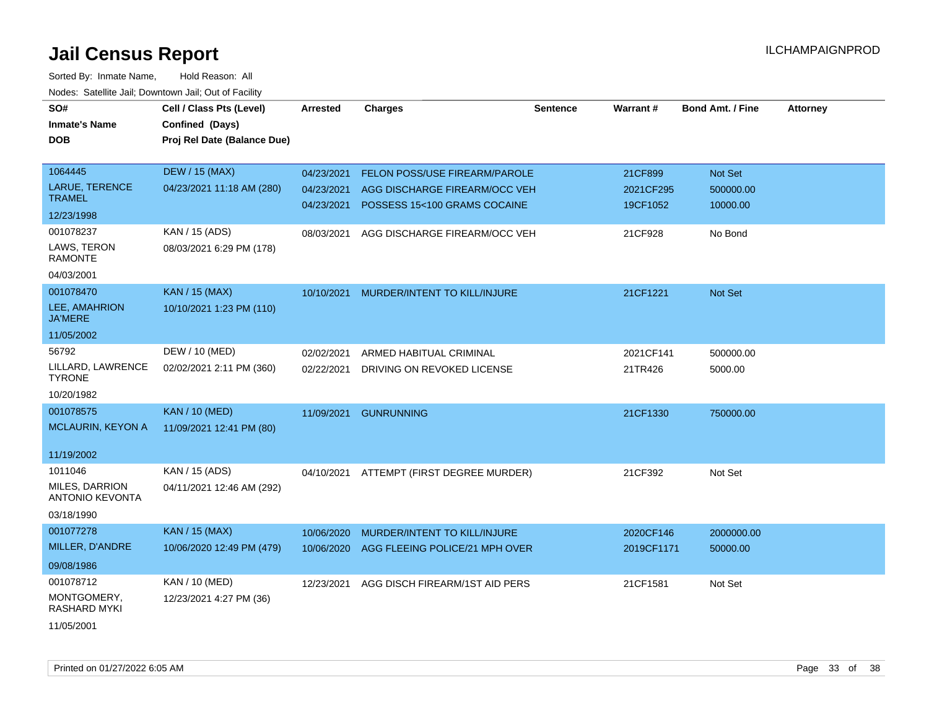| SO#                                      | Cell / Class Pts (Level)    | <b>Arrested</b> | <b>Charges</b>                 | Sentence | Warrant#   | <b>Bond Amt. / Fine</b> | <b>Attorney</b> |
|------------------------------------------|-----------------------------|-----------------|--------------------------------|----------|------------|-------------------------|-----------------|
| <b>Inmate's Name</b>                     | Confined (Days)             |                 |                                |          |            |                         |                 |
| <b>DOB</b>                               | Proj Rel Date (Balance Due) |                 |                                |          |            |                         |                 |
|                                          |                             |                 |                                |          |            |                         |                 |
| 1064445                                  | <b>DEW / 15 (MAX)</b>       | 04/23/2021      | FELON POSS/USE FIREARM/PAROLE  |          | 21CF899    | Not Set                 |                 |
| <b>LARUE, TERENCE</b>                    | 04/23/2021 11:18 AM (280)   | 04/23/2021      | AGG DISCHARGE FIREARM/OCC VEH  |          | 2021CF295  | 500000.00               |                 |
| <b>TRAMEL</b>                            |                             | 04/23/2021      | POSSESS 15<100 GRAMS COCAINE   |          | 19CF1052   | 10000.00                |                 |
| 12/23/1998                               |                             |                 |                                |          |            |                         |                 |
| 001078237                                | KAN / 15 (ADS)              | 08/03/2021      | AGG DISCHARGE FIREARM/OCC VEH  |          | 21CF928    | No Bond                 |                 |
| LAWS, TERON<br><b>RAMONTE</b>            | 08/03/2021 6:29 PM (178)    |                 |                                |          |            |                         |                 |
| 04/03/2001                               |                             |                 |                                |          |            |                         |                 |
| 001078470                                | <b>KAN / 15 (MAX)</b>       | 10/10/2021      | MURDER/INTENT TO KILL/INJURE   |          | 21CF1221   | Not Set                 |                 |
| LEE, AMAHRION<br><b>JA'MERE</b>          | 10/10/2021 1:23 PM (110)    |                 |                                |          |            |                         |                 |
| 11/05/2002                               |                             |                 |                                |          |            |                         |                 |
| 56792                                    | DEW / 10 (MED)              | 02/02/2021      | ARMED HABITUAL CRIMINAL        |          | 2021CF141  | 500000.00               |                 |
| LILLARD, LAWRENCE<br><b>TYRONE</b>       | 02/02/2021 2:11 PM (360)    | 02/22/2021      | DRIVING ON REVOKED LICENSE     |          | 21TR426    | 5000.00                 |                 |
| 10/20/1982                               |                             |                 |                                |          |            |                         |                 |
| 001078575                                | <b>KAN / 10 (MED)</b>       | 11/09/2021      | <b>GUNRUNNING</b>              |          | 21CF1330   | 750000.00               |                 |
| MCLAURIN, KEYON A                        | 11/09/2021 12:41 PM (80)    |                 |                                |          |            |                         |                 |
|                                          |                             |                 |                                |          |            |                         |                 |
| 11/19/2002                               |                             |                 |                                |          |            |                         |                 |
| 1011046                                  | KAN / 15 (ADS)              | 04/10/2021      | ATTEMPT (FIRST DEGREE MURDER)  |          | 21CF392    | Not Set                 |                 |
| MILES, DARRION<br><b>ANTONIO KEVONTA</b> | 04/11/2021 12:46 AM (292)   |                 |                                |          |            |                         |                 |
| 03/18/1990                               |                             |                 |                                |          |            |                         |                 |
| 001077278                                | <b>KAN / 15 (MAX)</b>       | 10/06/2020      | MURDER/INTENT TO KILL/INJURE   |          | 2020CF146  | 2000000.00              |                 |
| MILLER, D'ANDRE                          | 10/06/2020 12:49 PM (479)   | 10/06/2020      | AGG FLEEING POLICE/21 MPH OVER |          | 2019CF1171 | 50000.00                |                 |
| 09/08/1986                               |                             |                 |                                |          |            |                         |                 |
| 001078712                                | KAN / 10 (MED)              | 12/23/2021      | AGG DISCH FIREARM/1ST AID PERS |          | 21CF1581   | Not Set                 |                 |
| MONTGOMERY,<br><b>RASHARD MYKI</b>       | 12/23/2021 4:27 PM (36)     |                 |                                |          |            |                         |                 |
| 11/05/2001                               |                             |                 |                                |          |            |                         |                 |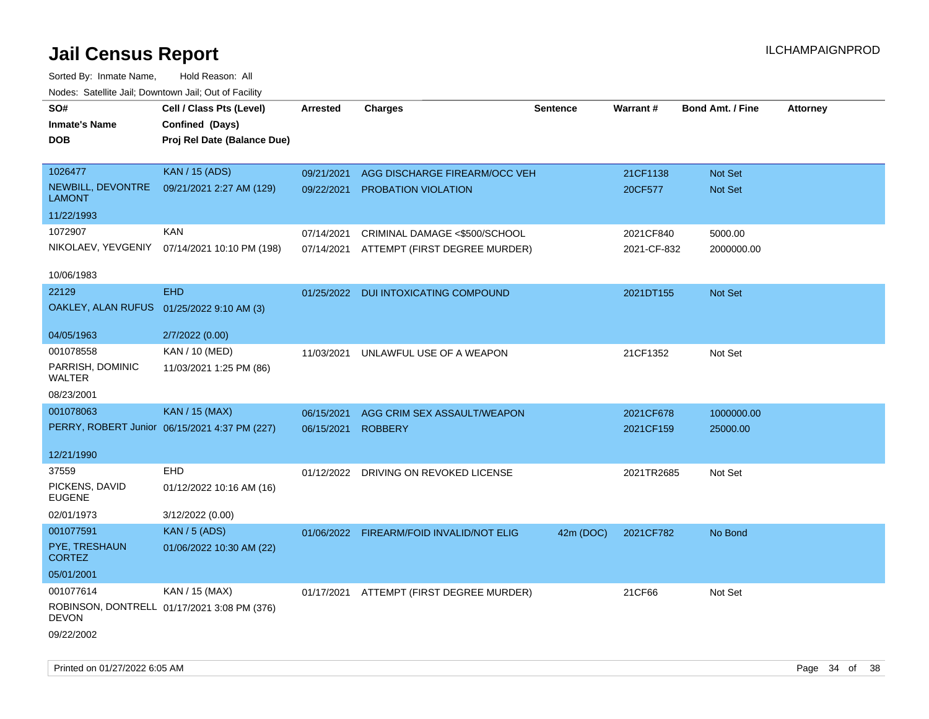| SO#<br><b>Inmate's Name</b><br><b>DOB</b> | Cell / Class Pts (Level)<br>Confined (Days)<br>Proj Rel Date (Balance Due) | Arrested   | <b>Charges</b>                           | <b>Sentence</b> | <b>Warrant#</b> | <b>Bond Amt. / Fine</b> | <b>Attorney</b> |
|-------------------------------------------|----------------------------------------------------------------------------|------------|------------------------------------------|-----------------|-----------------|-------------------------|-----------------|
| 1026477                                   | <b>KAN / 15 (ADS)</b>                                                      | 09/21/2021 | AGG DISCHARGE FIREARM/OCC VEH            |                 | 21CF1138        | Not Set                 |                 |
| NEWBILL, DEVONTRE<br><b>LAMONT</b>        | 09/21/2021 2:27 AM (129)                                                   | 09/22/2021 | <b>PROBATION VIOLATION</b>               |                 | 20CF577         | Not Set                 |                 |
| 11/22/1993                                |                                                                            |            |                                          |                 |                 |                         |                 |
| 1072907                                   | <b>KAN</b>                                                                 | 07/14/2021 | CRIMINAL DAMAGE <\$500/SCHOOL            |                 | 2021CF840       | 5000.00                 |                 |
| NIKOLAEV, YEVGENIY                        | 07/14/2021 10:10 PM (198)                                                  |            | 07/14/2021 ATTEMPT (FIRST DEGREE MURDER) |                 | 2021-CF-832     | 2000000.00              |                 |
| 10/06/1983                                |                                                                            |            |                                          |                 |                 |                         |                 |
| 22129                                     | <b>EHD</b>                                                                 |            | 01/25/2022 DUI INTOXICATING COMPOUND     |                 | 2021DT155       | Not Set                 |                 |
| OAKLEY, ALAN RUFUS 01/25/2022 9:10 AM (3) |                                                                            |            |                                          |                 |                 |                         |                 |
| 04/05/1963                                | 2/7/2022 (0.00)                                                            |            |                                          |                 |                 |                         |                 |
| 001078558                                 | KAN / 10 (MED)                                                             | 11/03/2021 | UNLAWFUL USE OF A WEAPON                 |                 | 21CF1352        | Not Set                 |                 |
| PARRISH, DOMINIC<br>WALTER                | 11/03/2021 1:25 PM (86)                                                    |            |                                          |                 |                 |                         |                 |
| 08/23/2001                                |                                                                            |            |                                          |                 |                 |                         |                 |
| 001078063                                 | <b>KAN / 15 (MAX)</b>                                                      | 06/15/2021 | AGG CRIM SEX ASSAULT/WEAPON              |                 | 2021CF678       | 1000000.00              |                 |
|                                           | PERRY, ROBERT Junior 06/15/2021 4:37 PM (227)                              | 06/15/2021 | <b>ROBBERY</b>                           |                 | 2021CF159       | 25000.00                |                 |
| 12/21/1990                                |                                                                            |            |                                          |                 |                 |                         |                 |
| 37559                                     | <b>EHD</b>                                                                 |            | 01/12/2022 DRIVING ON REVOKED LICENSE    |                 | 2021TR2685      | Not Set                 |                 |
| PICKENS, DAVID<br><b>EUGENE</b>           | 01/12/2022 10:16 AM (16)                                                   |            |                                          |                 |                 |                         |                 |
| 02/01/1973                                | 3/12/2022 (0.00)                                                           |            |                                          |                 |                 |                         |                 |
| 001077591                                 | <b>KAN / 5 (ADS)</b>                                                       |            | 01/06/2022 FIREARM/FOID INVALID/NOT ELIG | 42m (DOC)       | 2021CF782       | No Bond                 |                 |
| PYE, TRESHAUN<br><b>CORTEZ</b>            | 01/06/2022 10:30 AM (22)                                                   |            |                                          |                 |                 |                         |                 |
| 05/01/2001                                |                                                                            |            |                                          |                 |                 |                         |                 |
| 001077614                                 | KAN / 15 (MAX)                                                             |            | 01/17/2021 ATTEMPT (FIRST DEGREE MURDER) |                 | 21CF66          | Not Set                 |                 |
| <b>DEVON</b>                              | ROBINSON, DONTRELL 01/17/2021 3:08 PM (376)                                |            |                                          |                 |                 |                         |                 |
| 09/22/2002                                |                                                                            |            |                                          |                 |                 |                         |                 |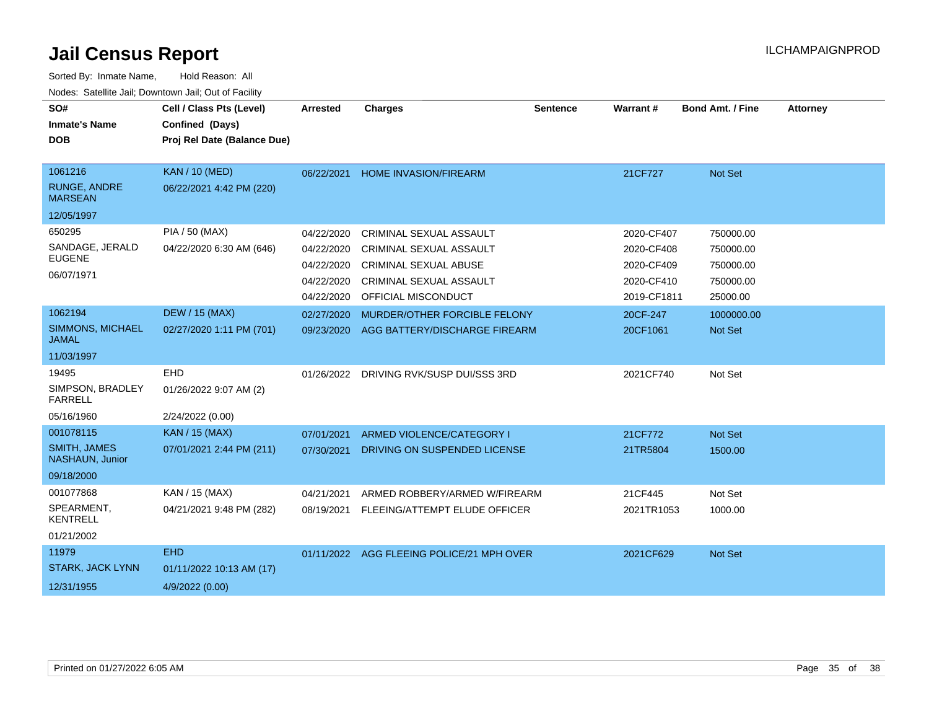| SO#<br><b>Inmate's Name</b><br><b>DOB</b>                         | Cell / Class Pts (Level)<br>Confined (Days)<br>Proj Rel Date (Balance Due) | <b>Arrested</b>                                      | <b>Charges</b>                                                                                                       | <b>Sentence</b> | <b>Warrant#</b>                                      | <b>Bond Amt. / Fine</b>                          | <b>Attorney</b> |
|-------------------------------------------------------------------|----------------------------------------------------------------------------|------------------------------------------------------|----------------------------------------------------------------------------------------------------------------------|-----------------|------------------------------------------------------|--------------------------------------------------|-----------------|
| 1061216                                                           |                                                                            |                                                      |                                                                                                                      |                 |                                                      |                                                  |                 |
| RUNGE, ANDRE<br><b>MARSEAN</b>                                    | <b>KAN / 10 (MED)</b><br>06/22/2021 4:42 PM (220)                          | 06/22/2021                                           | <b>HOME INVASION/FIREARM</b>                                                                                         |                 | 21CF727                                              | Not Set                                          |                 |
| 12/05/1997                                                        |                                                                            |                                                      |                                                                                                                      |                 |                                                      |                                                  |                 |
| 650295<br>SANDAGE, JERALD<br><b>EUGENE</b><br>06/07/1971          | PIA / 50 (MAX)<br>04/22/2020 6:30 AM (646)                                 | 04/22/2020<br>04/22/2020<br>04/22/2020<br>04/22/2020 | CRIMINAL SEXUAL ASSAULT<br><b>CRIMINAL SEXUAL ASSAULT</b><br><b>CRIMINAL SEXUAL ABUSE</b><br>CRIMINAL SEXUAL ASSAULT |                 | 2020-CF407<br>2020-CF408<br>2020-CF409<br>2020-CF410 | 750000.00<br>750000.00<br>750000.00<br>750000.00 |                 |
| 1062194                                                           | <b>DEW / 15 (MAX)</b>                                                      | 04/22/2020                                           | OFFICIAL MISCONDUCT                                                                                                  |                 | 2019-CF1811                                          | 25000.00                                         |                 |
| <b>SIMMONS, MICHAEL</b><br><b>JAMAL</b>                           | 02/27/2020 1:11 PM (701)                                                   | 02/27/2020<br>09/23/2020                             | MURDER/OTHER FORCIBLE FELONY<br>AGG BATTERY/DISCHARGE FIREARM                                                        |                 | 20CF-247<br>20CF1061                                 | 1000000.00<br>Not Set                            |                 |
| 11/03/1997                                                        |                                                                            |                                                      |                                                                                                                      |                 |                                                      |                                                  |                 |
| 19495<br>SIMPSON, BRADLEY<br><b>FARRELL</b>                       | <b>EHD</b><br>01/26/2022 9:07 AM (2)                                       | 01/26/2022                                           | DRIVING RVK/SUSP DUI/SSS 3RD                                                                                         |                 | 2021CF740                                            | Not Set                                          |                 |
| 05/16/1960                                                        | 2/24/2022 (0.00)                                                           |                                                      |                                                                                                                      |                 |                                                      |                                                  |                 |
| 001078115<br><b>SMITH, JAMES</b><br>NASHAUN, Junior<br>09/18/2000 | <b>KAN / 15 (MAX)</b><br>07/01/2021 2:44 PM (211)                          | 07/01/2021<br>07/30/2021                             | ARMED VIOLENCE/CATEGORY I<br>DRIVING ON SUSPENDED LICENSE                                                            |                 | 21CF772<br>21TR5804                                  | Not Set<br>1500.00                               |                 |
| 001077868<br>SPEARMENT,<br><b>KENTRELL</b><br>01/21/2002          | KAN / 15 (MAX)<br>04/21/2021 9:48 PM (282)                                 | 04/21/2021<br>08/19/2021                             | ARMED ROBBERY/ARMED W/FIREARM<br>FLEEING/ATTEMPT ELUDE OFFICER                                                       |                 | 21CF445<br>2021TR1053                                | Not Set<br>1000.00                               |                 |
| 11979                                                             | <b>EHD</b>                                                                 |                                                      | 01/11/2022 AGG FLEEING POLICE/21 MPH OVER                                                                            |                 | 2021CF629                                            | Not Set                                          |                 |
| <b>STARK, JACK LYNN</b><br>12/31/1955                             | 01/11/2022 10:13 AM (17)<br>4/9/2022 (0.00)                                |                                                      |                                                                                                                      |                 |                                                      |                                                  |                 |
|                                                                   |                                                                            |                                                      |                                                                                                                      |                 |                                                      |                                                  |                 |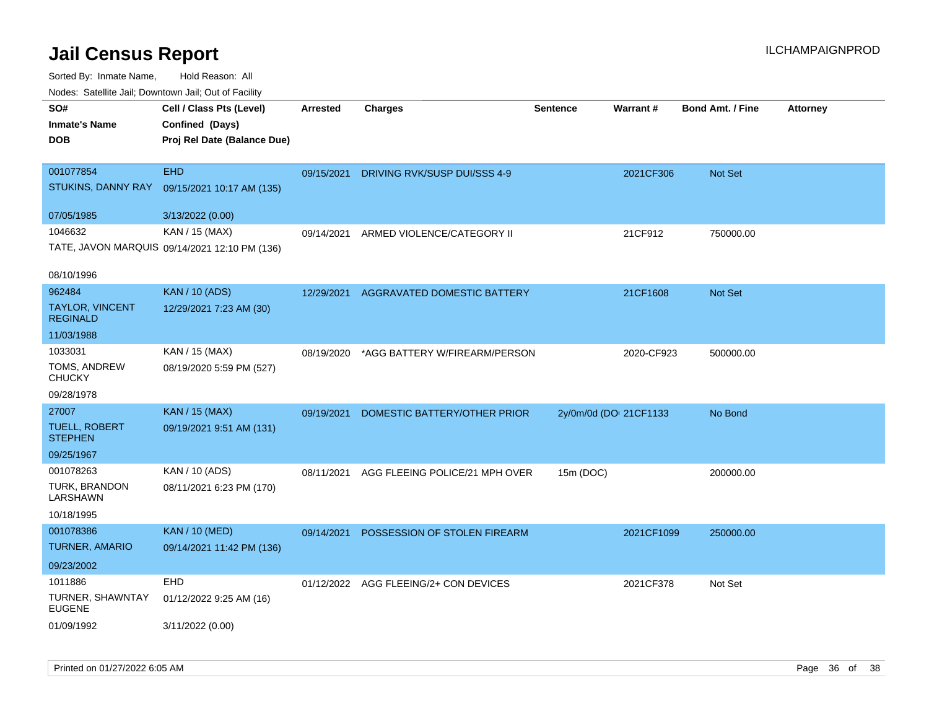| rougs. Calcing Jan, Downtown Jan, Out of Facinty              |                                                                 |            |                                       |                        |            |                         |                 |
|---------------------------------------------------------------|-----------------------------------------------------------------|------------|---------------------------------------|------------------------|------------|-------------------------|-----------------|
| SO#<br><b>Inmate's Name</b>                                   | Cell / Class Pts (Level)<br>Confined (Days)                     | Arrested   | <b>Charges</b>                        | <b>Sentence</b>        | Warrant#   | <b>Bond Amt. / Fine</b> | <b>Attorney</b> |
| <b>DOB</b>                                                    | Proj Rel Date (Balance Due)                                     |            |                                       |                        |            |                         |                 |
| 001077854<br>STUKINS, DANNY RAY                               | <b>EHD</b><br>09/15/2021 10:17 AM (135)                         | 09/15/2021 | DRIVING RVK/SUSP DUI/SSS 4-9          |                        | 2021CF306  | Not Set                 |                 |
| 07/05/1985                                                    | 3/13/2022 (0.00)                                                |            |                                       |                        |            |                         |                 |
| 1046632                                                       | KAN / 15 (MAX)<br>TATE, JAVON MARQUIS 09/14/2021 12:10 PM (136) | 09/14/2021 | ARMED VIOLENCE/CATEGORY II            |                        | 21CF912    | 750000.00               |                 |
| 08/10/1996                                                    |                                                                 |            |                                       |                        |            |                         |                 |
| 962484<br>TAYLOR, VINCENT<br><b>REGINALD</b>                  | <b>KAN / 10 (ADS)</b><br>12/29/2021 7:23 AM (30)                | 12/29/2021 | AGGRAVATED DOMESTIC BATTERY           |                        | 21CF1608   | <b>Not Set</b>          |                 |
| 11/03/1988                                                    |                                                                 |            |                                       |                        |            |                         |                 |
| 1033031<br>TOMS, ANDREW<br><b>CHUCKY</b>                      | KAN / 15 (MAX)<br>08/19/2020 5:59 PM (527)                      | 08/19/2020 | *AGG BATTERY W/FIREARM/PERSON         |                        | 2020-CF923 | 500000.00               |                 |
| 09/28/1978                                                    |                                                                 |            |                                       |                        |            |                         |                 |
| 27007<br><b>TUELL, ROBERT</b><br><b>STEPHEN</b><br>09/25/1967 | KAN / 15 (MAX)<br>09/19/2021 9:51 AM (131)                      | 09/19/2021 | DOMESTIC BATTERY/OTHER PRIOR          | 2y/0m/0d (DOI 21CF1133 |            | No Bond                 |                 |
| 001078263                                                     | KAN / 10 (ADS)                                                  | 08/11/2021 | AGG FLEEING POLICE/21 MPH OVER        | 15m (DOC)              |            | 200000.00               |                 |
| <b>TURK, BRANDON</b><br>LARSHAWN                              | 08/11/2021 6:23 PM (170)                                        |            |                                       |                        |            |                         |                 |
| 10/18/1995                                                    |                                                                 |            |                                       |                        |            |                         |                 |
| 001078386<br><b>TURNER, AMARIO</b>                            | <b>KAN / 10 (MED)</b><br>09/14/2021 11:42 PM (136)              | 09/14/2021 | POSSESSION OF STOLEN FIREARM          |                        | 2021CF1099 | 250000.00               |                 |
| 09/23/2002                                                    |                                                                 |            |                                       |                        |            |                         |                 |
| 1011886<br>TURNER, SHAWNTAY<br><b>EUGENE</b>                  | <b>EHD</b><br>01/12/2022 9:25 AM (16)                           |            | 01/12/2022 AGG FLEEING/2+ CON DEVICES |                        | 2021CF378  | Not Set                 |                 |
| 01/09/1992                                                    | 3/11/2022 (0.00)                                                |            |                                       |                        |            |                         |                 |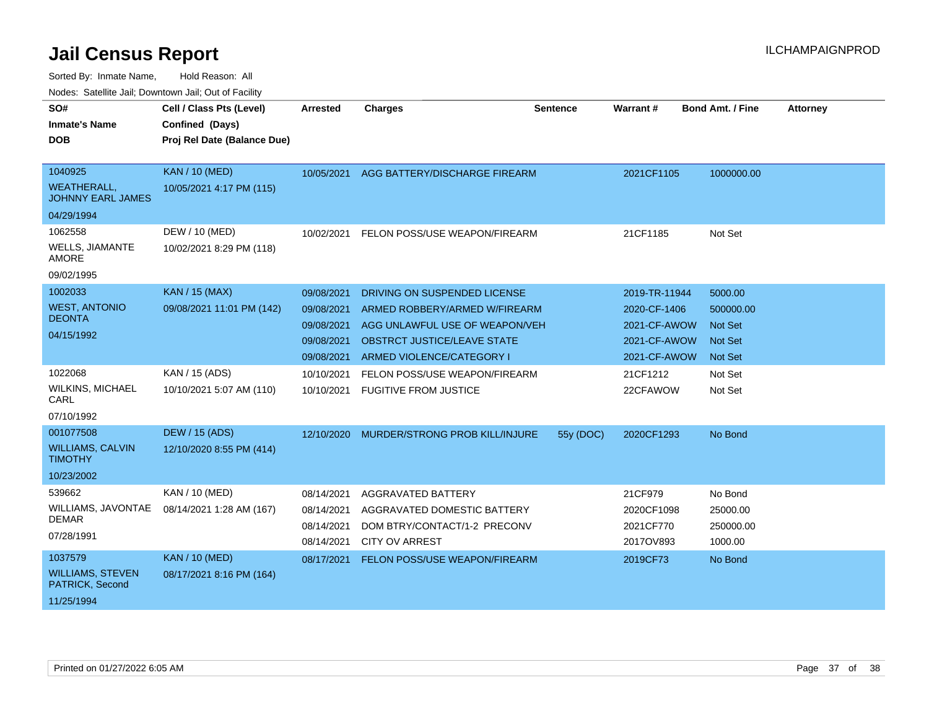| SO#                                            | Cell / Class Pts (Level)    | <b>Arrested</b>          | <b>Charges</b>                                        | <b>Sentence</b> | Warrant #              | <b>Bond Amt. / Fine</b> | <b>Attorney</b> |
|------------------------------------------------|-----------------------------|--------------------------|-------------------------------------------------------|-----------------|------------------------|-------------------------|-----------------|
| <b>Inmate's Name</b>                           | Confined (Days)             |                          |                                                       |                 |                        |                         |                 |
| <b>DOB</b>                                     | Proj Rel Date (Balance Due) |                          |                                                       |                 |                        |                         |                 |
|                                                |                             |                          |                                                       |                 |                        |                         |                 |
| 1040925                                        | <b>KAN / 10 (MED)</b>       | 10/05/2021               | AGG BATTERY/DISCHARGE FIREARM                         |                 | 2021CF1105             | 1000000.00              |                 |
| <b>WEATHERALL.</b><br><b>JOHNNY EARL JAMES</b> | 10/05/2021 4:17 PM (115)    |                          |                                                       |                 |                        |                         |                 |
| 04/29/1994                                     |                             |                          |                                                       |                 |                        |                         |                 |
| 1062558                                        | DEW / 10 (MED)              | 10/02/2021               | FELON POSS/USE WEAPON/FIREARM                         |                 | 21CF1185               | Not Set                 |                 |
| <b>WELLS, JIAMANTE</b><br><b>AMORE</b>         | 10/02/2021 8:29 PM (118)    |                          |                                                       |                 |                        |                         |                 |
| 09/02/1995                                     |                             |                          |                                                       |                 |                        |                         |                 |
| 1002033                                        | <b>KAN / 15 (MAX)</b>       | 09/08/2021               | DRIVING ON SUSPENDED LICENSE                          |                 | 2019-TR-11944          | 5000.00                 |                 |
| <b>WEST, ANTONIO</b>                           | 09/08/2021 11:01 PM (142)   | 09/08/2021               | ARMED ROBBERY/ARMED W/FIREARM                         |                 | 2020-CF-1406           | 500000.00               |                 |
| <b>DEONTA</b>                                  |                             | 09/08/2021               | AGG UNLAWFUL USE OF WEAPON/VEH                        |                 | 2021-CF-AWOW           | <b>Not Set</b>          |                 |
| 04/15/1992                                     |                             | 09/08/2021               | <b>OBSTRCT JUSTICE/LEAVE STATE</b>                    |                 | 2021-CF-AWOW           | <b>Not Set</b>          |                 |
|                                                |                             | 09/08/2021               | ARMED VIOLENCE/CATEGORY I                             |                 | 2021-CF-AWOW           | <b>Not Set</b>          |                 |
| 1022068                                        | KAN / 15 (ADS)              | 10/10/2021               | FELON POSS/USE WEAPON/FIREARM                         |                 | 21CF1212               | Not Set                 |                 |
| <b>WILKINS, MICHAEL</b><br>CARL                | 10/10/2021 5:07 AM (110)    | 10/10/2021               | <b>FUGITIVE FROM JUSTICE</b>                          |                 | 22CFAWOW               | Not Set                 |                 |
| 07/10/1992                                     |                             |                          |                                                       |                 |                        |                         |                 |
| 001077508                                      | <b>DEW / 15 (ADS)</b>       | 12/10/2020               | MURDER/STRONG PROB KILL/INJURE                        | 55y (DOC)       | 2020CF1293             | No Bond                 |                 |
| <b>WILLIAMS, CALVIN</b><br><b>TIMOTHY</b>      | 12/10/2020 8:55 PM (414)    |                          |                                                       |                 |                        |                         |                 |
| 10/23/2002                                     |                             |                          |                                                       |                 |                        |                         |                 |
| 539662                                         | KAN / 10 (MED)              | 08/14/2021               | AGGRAVATED BATTERY                                    |                 | 21CF979                | No Bond                 |                 |
| WILLIAMS, JAVONTAE<br><b>DEMAR</b>             | 08/14/2021 1:28 AM (167)    | 08/14/2021               | AGGRAVATED DOMESTIC BATTERY                           |                 | 2020CF1098             | 25000.00                |                 |
| 07/28/1991                                     |                             | 08/14/2021<br>08/14/2021 | DOM BTRY/CONTACT/1-2 PRECONV<br><b>CITY OV ARREST</b> |                 | 2021CF770<br>2017OV893 | 250000.00<br>1000.00    |                 |
| 1037579                                        | <b>KAN / 10 (MED)</b>       | 08/17/2021               | FELON POSS/USE WEAPON/FIREARM                         |                 | 2019CF73               | No Bond                 |                 |
| <b>WILLIAMS, STEVEN</b><br>PATRICK, Second     | 08/17/2021 8:16 PM (164)    |                          |                                                       |                 |                        |                         |                 |
| 11/25/1994                                     |                             |                          |                                                       |                 |                        |                         |                 |